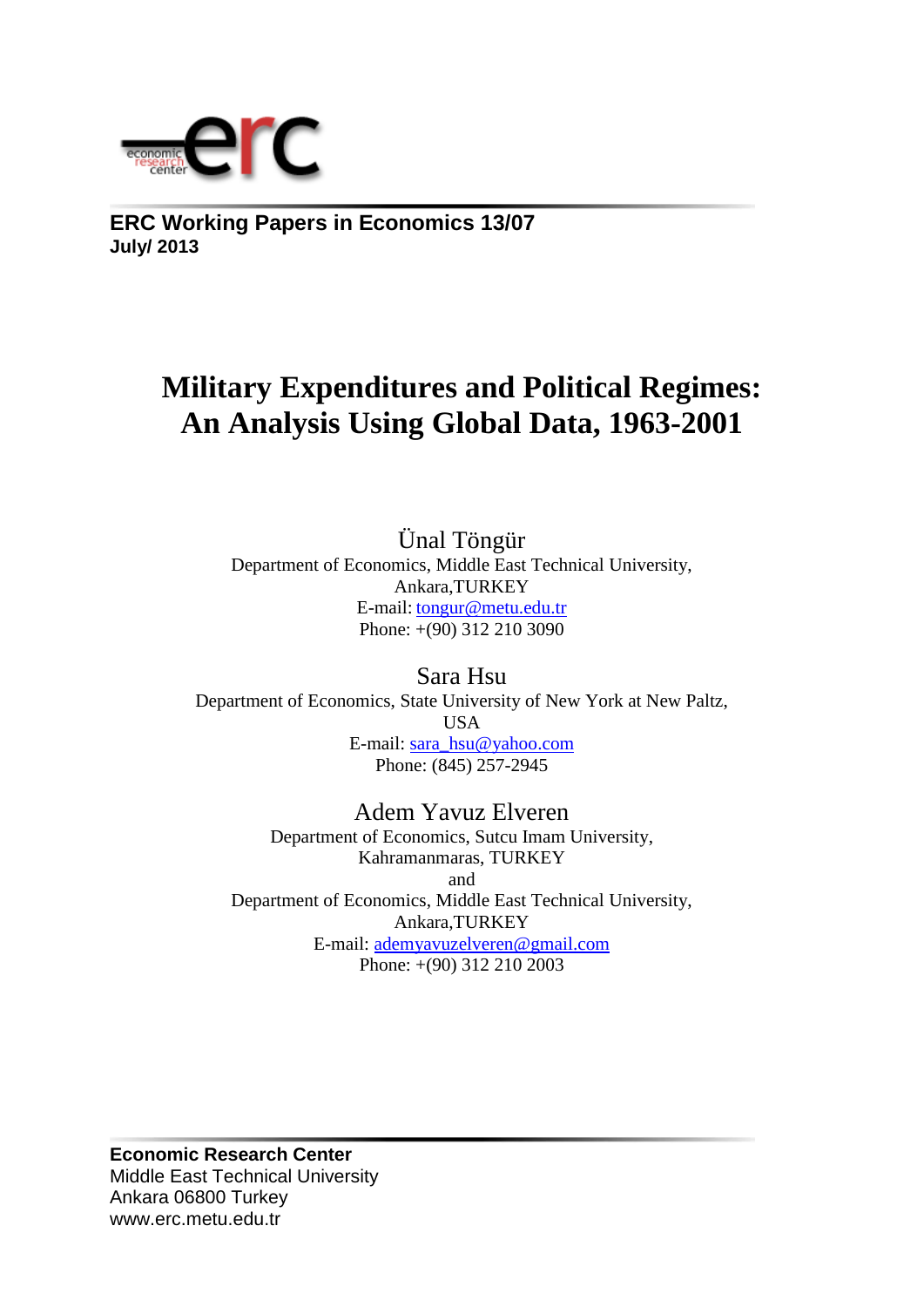

**ERC Working Papers in Economics 13/07 July/ 2013**

# **Military Expenditures and Political Regimes: An Analysis Using Global Data, 1963-2001**

Ünal Töngür Department of Economics, Middle East Technical University, Ankara,TURKEY E-mail: tongur@metu.edu.tr Phone: +(90) 312 210 3090

Sara Hsu Department of Economics, State University of New York at New Paltz, USA E-mail: [sara\\_hsu@yahoo.com](mailto:sara_hsu@yahoo.com) Phone: (845) 257-2945

Adem Yavuz Elveren Department of Economics, Sutcu Imam University, Kahramanmaras, TURKEY and Department of Economics, Middle East Technical University, Ankara,TURKEY E-mail: [ademyavuzelveren@gmail.com](mailto:ademyavuzelveren@gmail.com) Phone: +(90) 312 210 2003

**Economic Research Center** Middle East Technical University Ankara 06800 Turkey www.erc.metu.edu.tr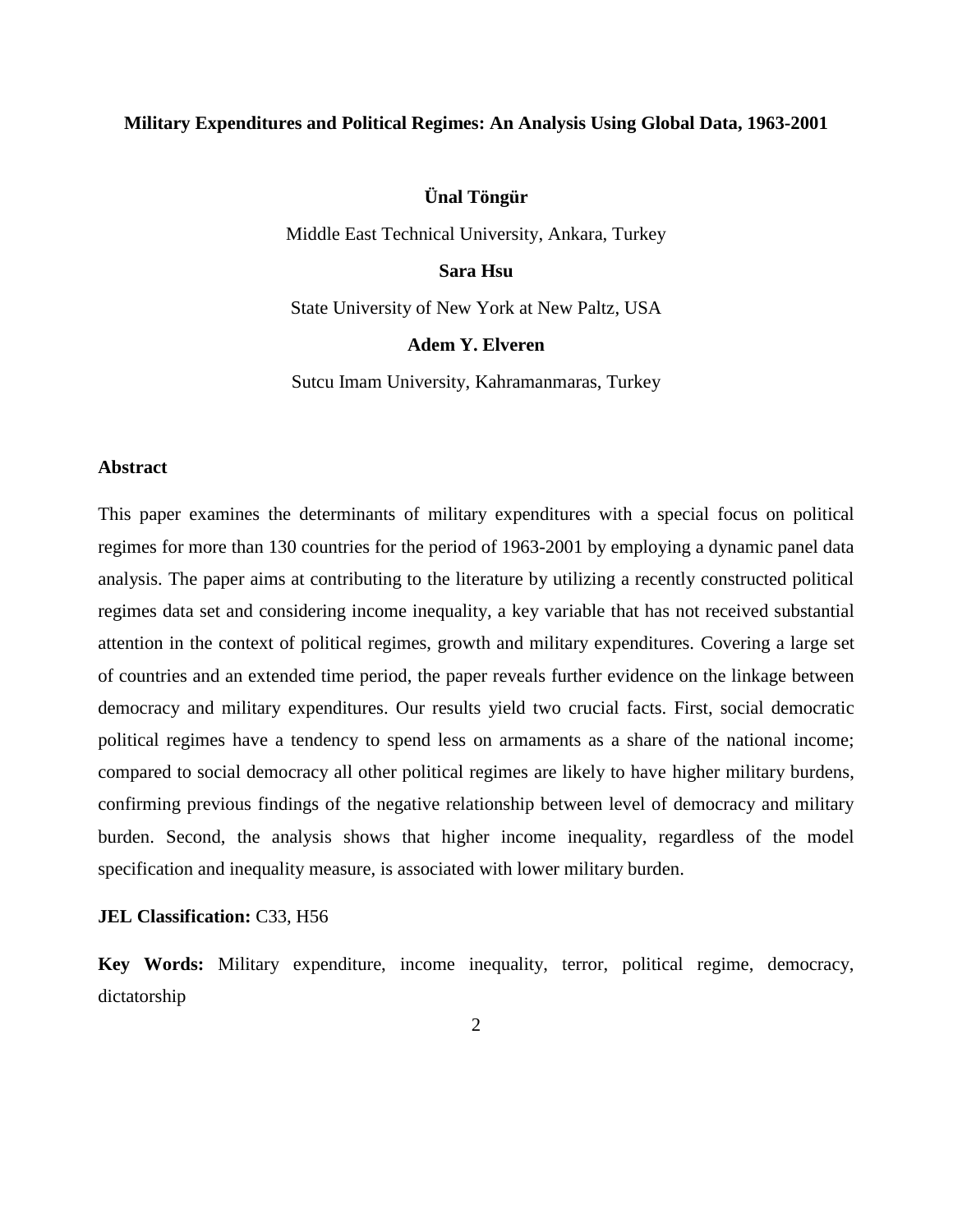# **Military Expenditures and Political Regimes: An Analysis Using Global Data, 1963-2001**

# **Ünal Töngür**

Middle East Technical University, Ankara, Turkey

# **Sara Hsu**

State University of New York at New Paltz, USA

# **Adem Y. Elveren**

Sutcu Imam University, Kahramanmaras, Turkey

#### **Abstract**

This paper examines the determinants of military expenditures with a special focus on political regimes for more than 130 countries for the period of 1963-2001 by employing a dynamic panel data analysis. The paper aims at contributing to the literature by utilizing a recently constructed political regimes data set and considering income inequality, a key variable that has not received substantial attention in the context of political regimes, growth and military expenditures. Covering a large set of countries and an extended time period, the paper reveals further evidence on the linkage between democracy and military expenditures. Our results yield two crucial facts. First, social democratic political regimes have a tendency to spend less on armaments as a share of the national income; compared to social democracy all other political regimes are likely to have higher military burdens, confirming previous findings of the negative relationship between level of democracy and military burden. Second, the analysis shows that higher income inequality, regardless of the model specification and inequality measure, is associated with lower military burden.

#### **JEL Classification:** C33, H56

**Key Words:** Military expenditure, income inequality, terror, political regime, democracy, dictatorship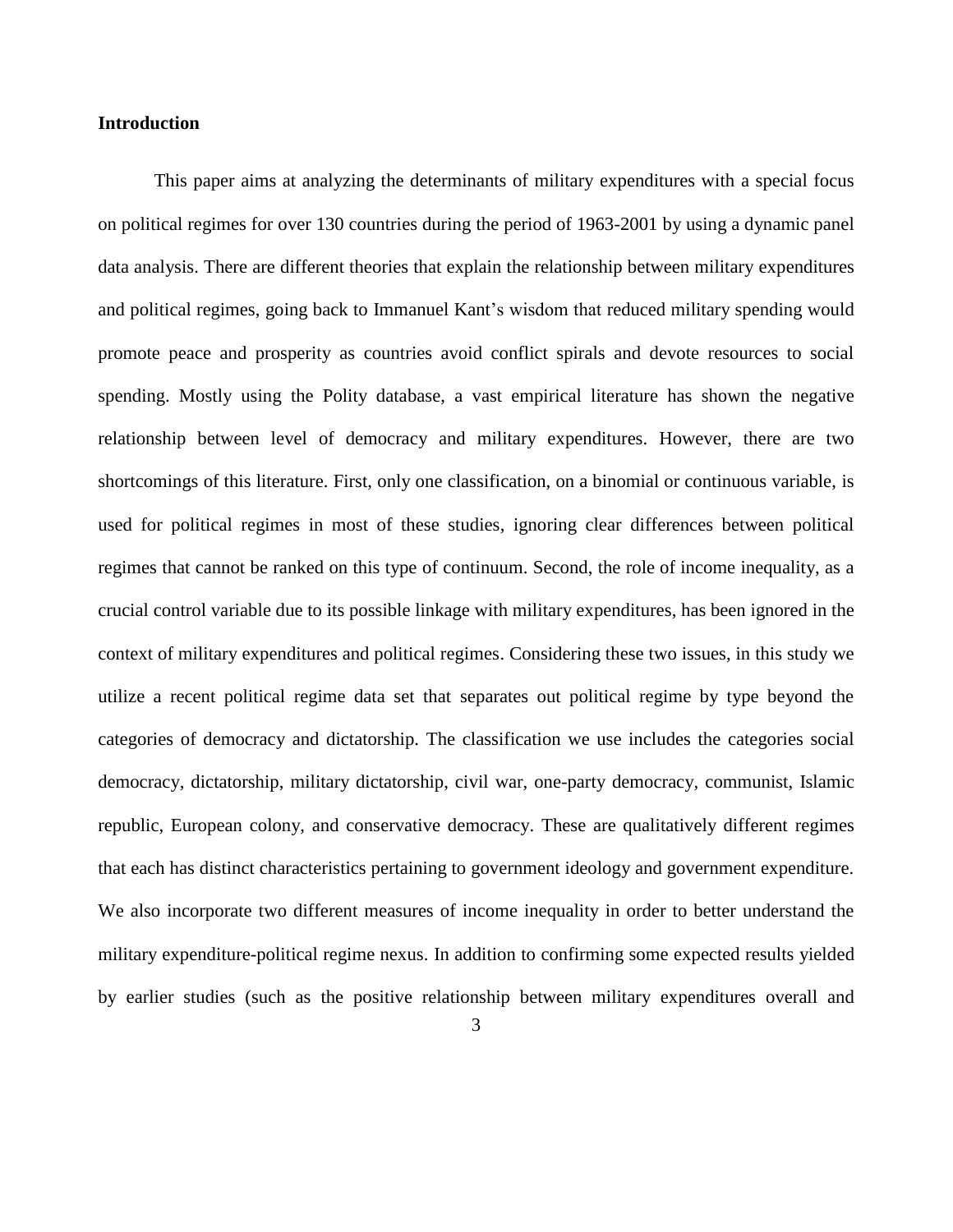## **Introduction**

This paper aims at analyzing the determinants of military expenditures with a special focus on political regimes for over 130 countries during the period of 1963-2001 by using a dynamic panel data analysis. There are different theories that explain the relationship between military expenditures and political regimes, going back to Immanuel Kant's wisdom that reduced military spending would promote peace and prosperity as countries avoid conflict spirals and devote resources to social spending. Mostly using the Polity database, a vast empirical literature has shown the negative relationship between level of democracy and military expenditures. However, there are two shortcomings of this literature. First, only one classification, on a binomial or continuous variable, is used for political regimes in most of these studies, ignoring clear differences between political regimes that cannot be ranked on this type of continuum. Second, the role of income inequality, as a crucial control variable due to its possible linkage with military expenditures, has been ignored in the context of military expenditures and political regimes. Considering these two issues, in this study we utilize a recent political regime data set that separates out political regime by type beyond the categories of democracy and dictatorship. The classification we use includes the categories social democracy, dictatorship, military dictatorship, civil war, one-party democracy, communist, Islamic republic, European colony, and conservative democracy. These are qualitatively different regimes that each has distinct characteristics pertaining to government ideology and government expenditure. We also incorporate two different measures of income inequality in order to better understand the military expenditure-political regime nexus. In addition to confirming some expected results yielded by earlier studies (such as the positive relationship between military expenditures overall and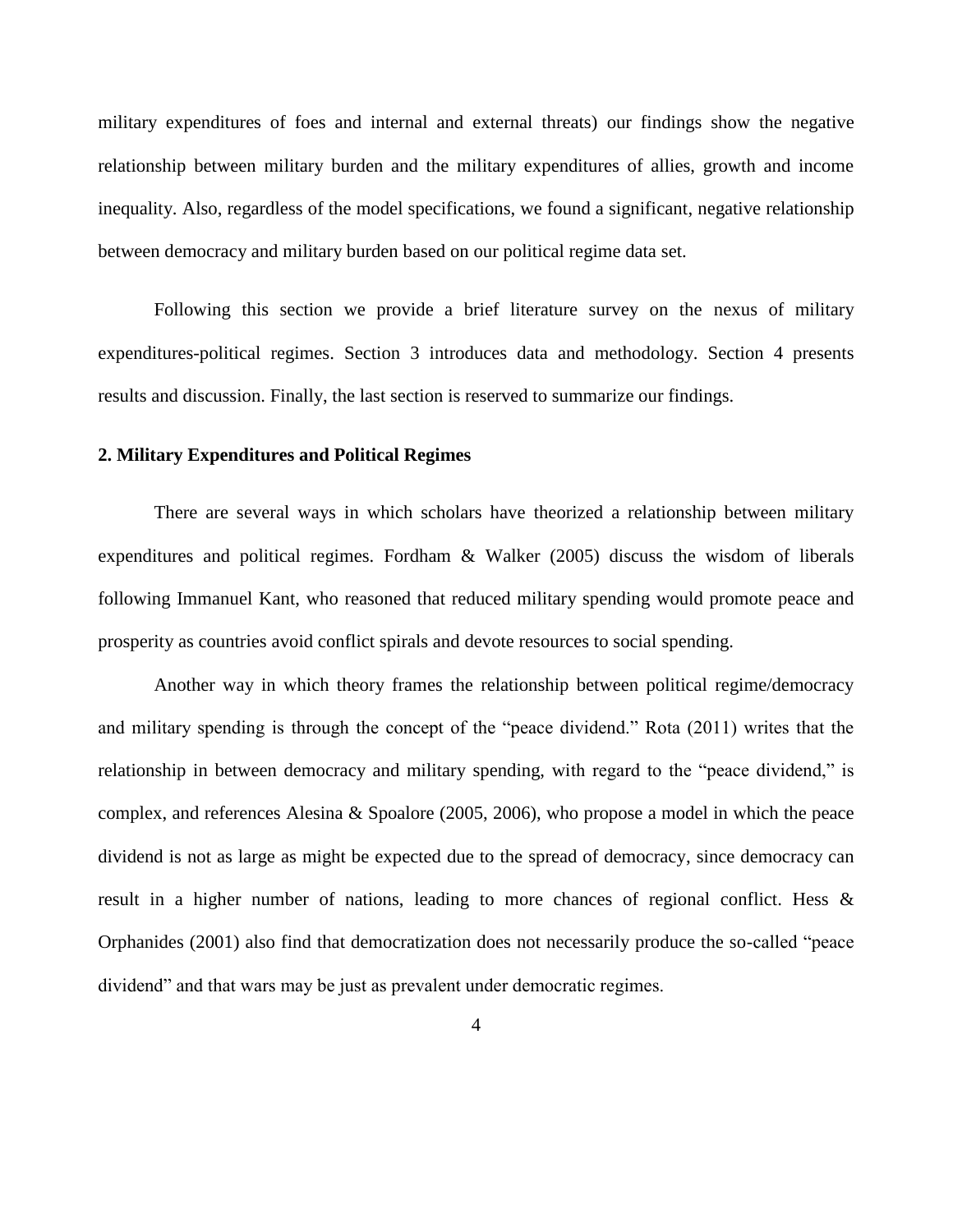military expenditures of foes and internal and external threats) our findings show the negative relationship between military burden and the military expenditures of allies, growth and income inequality. Also, regardless of the model specifications, we found a significant, negative relationship between democracy and military burden based on our political regime data set.

Following this section we provide a brief literature survey on the nexus of military expenditures-political regimes. Section 3 introduces data and methodology. Section 4 presents results and discussion. Finally, the last section is reserved to summarize our findings.

# **2. Military Expenditures and Political Regimes**

There are several ways in which scholars have theorized a relationship between military expenditures and political regimes. Fordham & Walker (2005) discuss the wisdom of liberals following Immanuel Kant, who reasoned that reduced military spending would promote peace and prosperity as countries avoid conflict spirals and devote resources to social spending.

Another way in which theory frames the relationship between political regime/democracy and military spending is through the concept of the "peace dividend." Rota (2011) writes that the relationship in between democracy and military spending, with regard to the "peace dividend," is complex, and references Alesina & Spoalore (2005, 2006), who propose a model in which the peace dividend is not as large as might be expected due to the spread of democracy, since democracy can result in a higher number of nations, leading to more chances of regional conflict. Hess & Orphanides (2001) also find that democratization does not necessarily produce the so-called "peace dividend" and that wars may be just as prevalent under democratic regimes.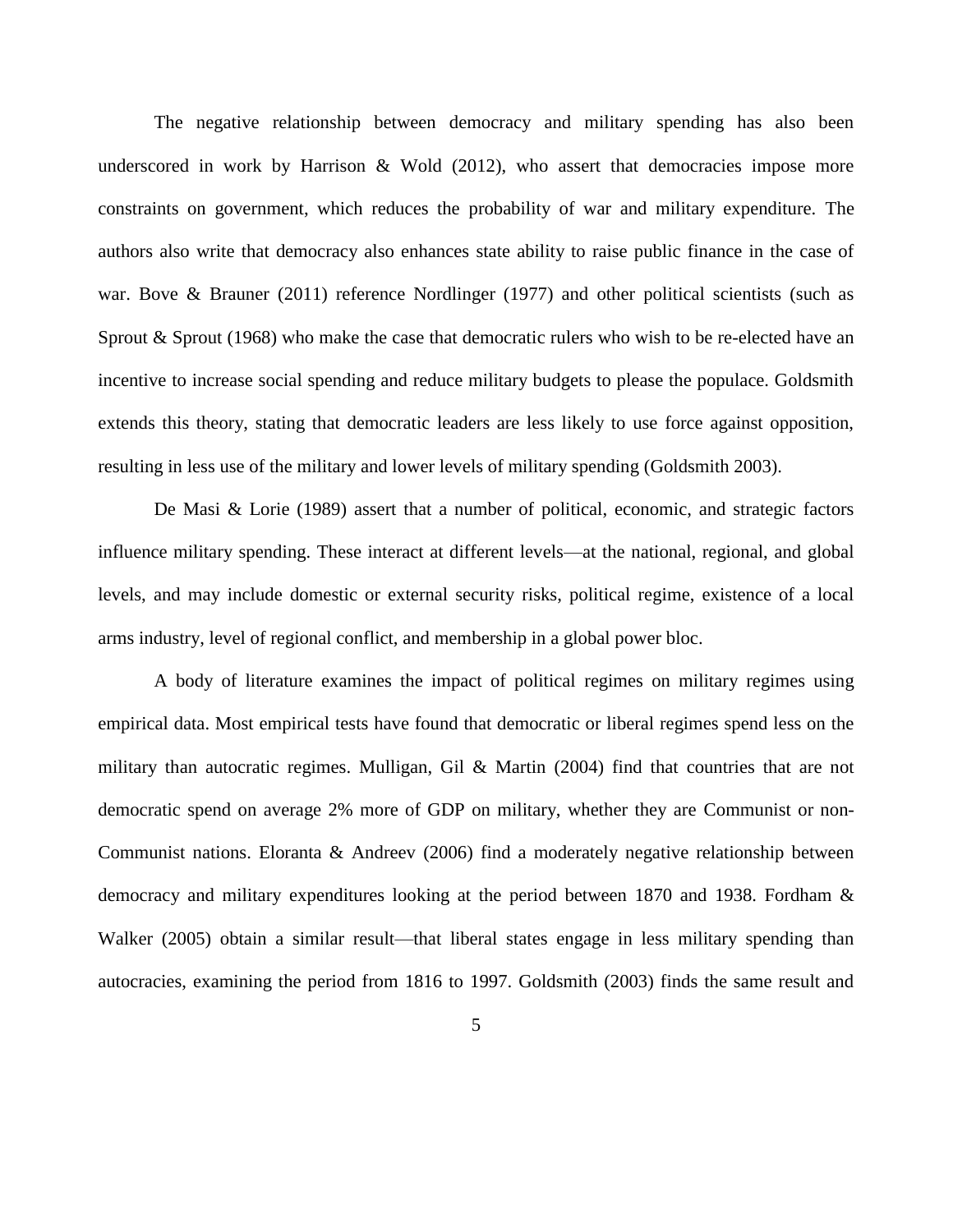The negative relationship between democracy and military spending has also been underscored in work by Harrison  $&$  Wold (2012), who assert that democracies impose more constraints on government, which reduces the probability of war and military expenditure. The authors also write that democracy also enhances state ability to raise public finance in the case of war. Bove & Brauner (2011) reference Nordlinger (1977) and other political scientists (such as Sprout & Sprout (1968) who make the case that democratic rulers who wish to be re-elected have an incentive to increase social spending and reduce military budgets to please the populace. Goldsmith extends this theory, stating that democratic leaders are less likely to use force against opposition, resulting in less use of the military and lower levels of military spending (Goldsmith 2003).

De Masi & Lorie (1989) assert that a number of political, economic, and strategic factors influence military spending. These interact at different levels—at the national, regional, and global levels, and may include domestic or external security risks, political regime, existence of a local arms industry, level of regional conflict, and membership in a global power bloc.

A body of literature examines the impact of political regimes on military regimes using empirical data. Most empirical tests have found that democratic or liberal regimes spend less on the military than autocratic regimes. Mulligan, Gil & Martin (2004) find that countries that are not democratic spend on average 2% more of GDP on military, whether they are Communist or non-Communist nations. Eloranta & Andreev (2006) find a moderately negative relationship between democracy and military expenditures looking at the period between 1870 and 1938. Fordham & Walker (2005) obtain a similar result—that liberal states engage in less military spending than autocracies, examining the period from 1816 to 1997. Goldsmith (2003) finds the same result and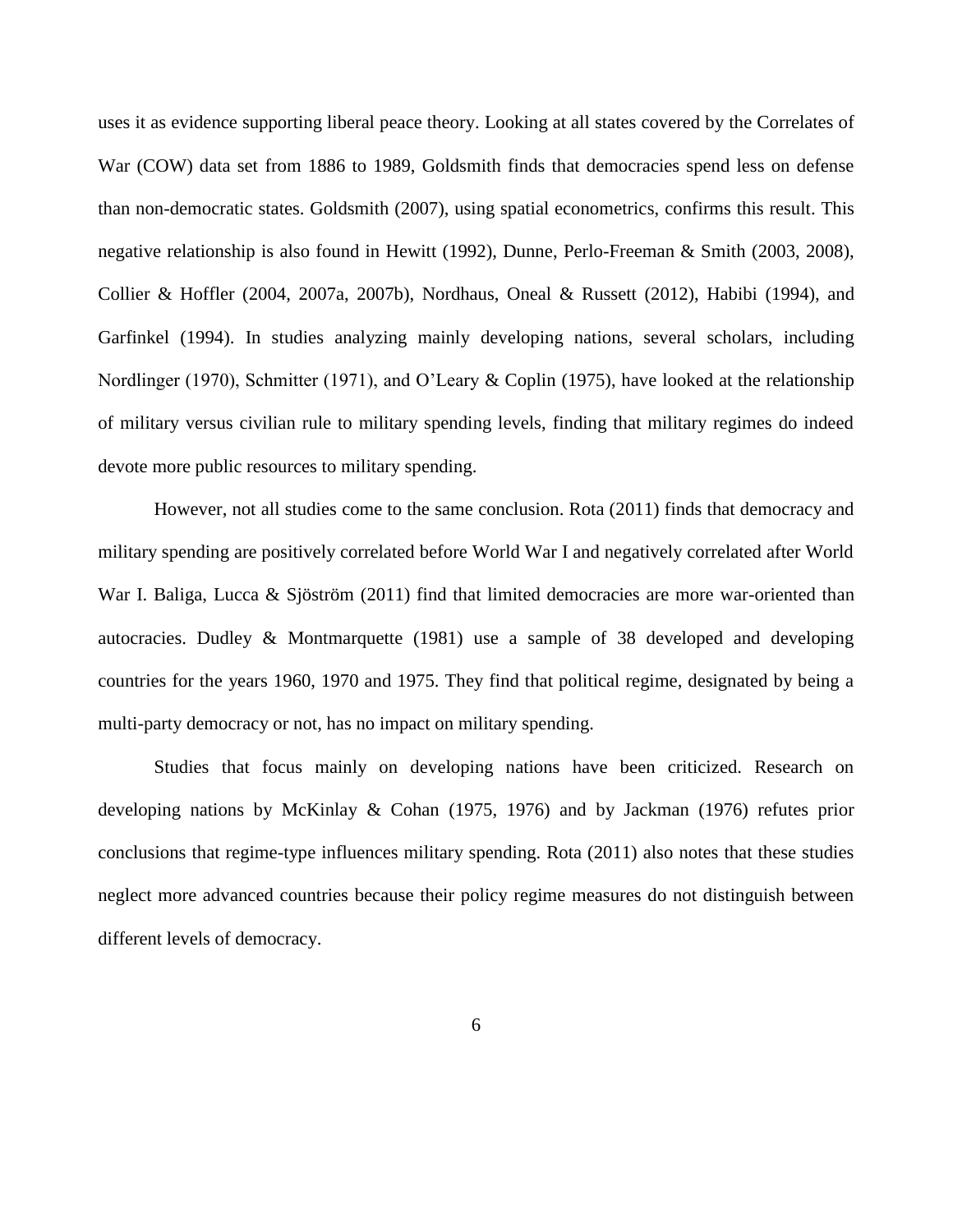uses it as evidence supporting liberal peace theory. Looking at all states covered by the Correlates of War (COW) data set from 1886 to 1989, Goldsmith finds that democracies spend less on defense than non-democratic states. Goldsmith (2007), using spatial econometrics, confirms this result. This negative relationship is also found in Hewitt (1992), Dunne, Perlo-Freeman & Smith (2003, 2008), Collier & Hoffler (2004, 2007a, 2007b), Nordhaus, Oneal & Russett (2012), Habibi (1994), and Garfinkel (1994). In studies analyzing mainly developing nations, several scholars, including Nordlinger (1970), Schmitter (1971), and O'Leary & Coplin (1975), have looked at the relationship of military versus civilian rule to military spending levels, finding that military regimes do indeed devote more public resources to military spending.

However, not all studies come to the same conclusion. Rota (2011) finds that democracy and military spending are positively correlated before World War I and negatively correlated after World War I. Baliga, Lucca & Sjöström (2011) find that limited democracies are more war-oriented than autocracies. Dudley & Montmarquette (1981) use a sample of 38 developed and developing countries for the years 1960, 1970 and 1975. They find that political regime, designated by being a multi-party democracy or not, has no impact on military spending.

Studies that focus mainly on developing nations have been criticized. Research on developing nations by McKinlay & Cohan (1975, 1976) and by Jackman (1976) refutes prior conclusions that regime-type influences military spending. Rota (2011) also notes that these studies neglect more advanced countries because their policy regime measures do not distinguish between different levels of democracy.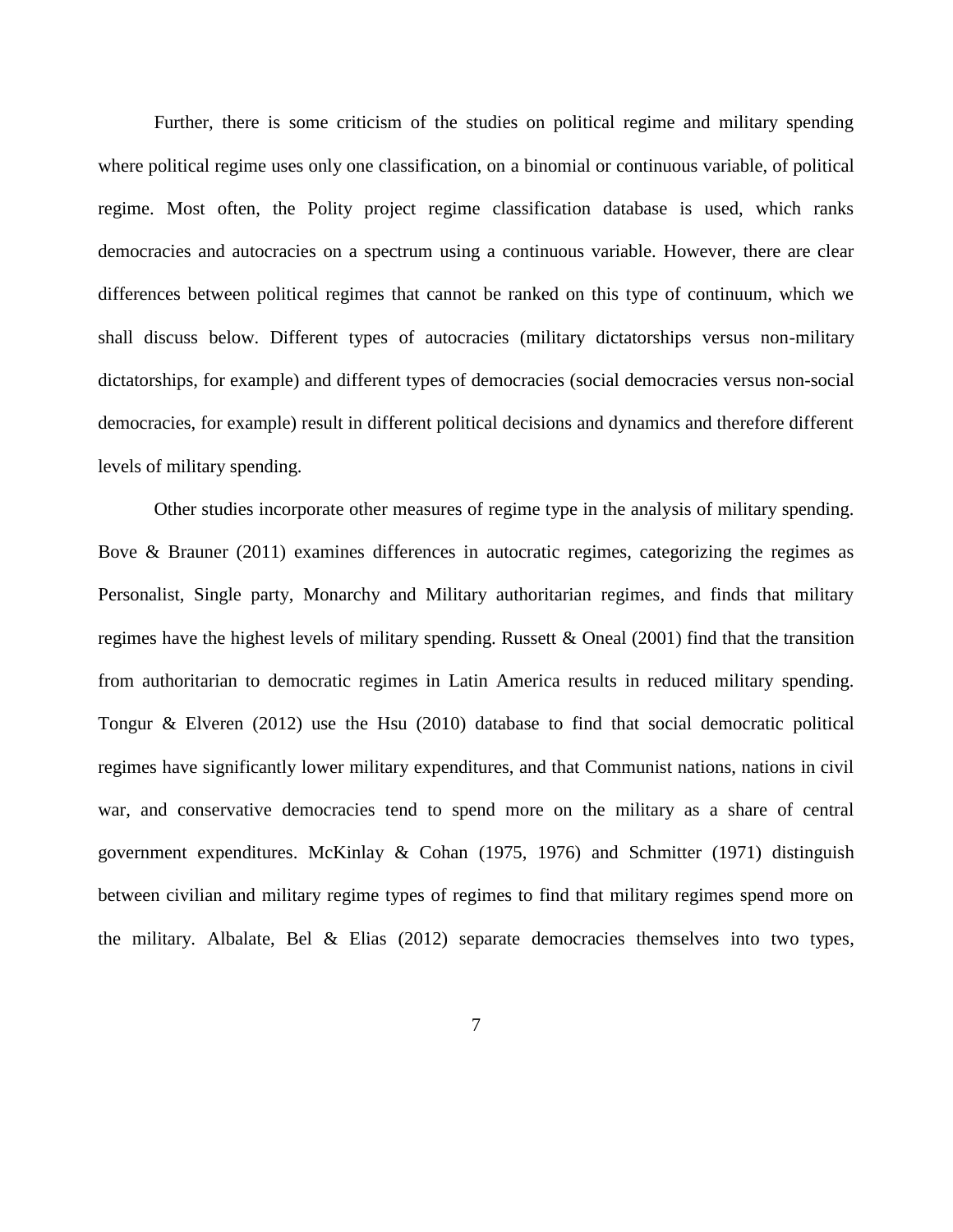Further, there is some criticism of the studies on political regime and military spending where political regime uses only one classification, on a binomial or continuous variable, of political regime. Most often, the Polity project regime classification database is used, which ranks democracies and autocracies on a spectrum using a continuous variable. However, there are clear differences between political regimes that cannot be ranked on this type of continuum, which we shall discuss below. Different types of autocracies (military dictatorships versus non-military dictatorships, for example) and different types of democracies (social democracies versus non-social democracies, for example) result in different political decisions and dynamics and therefore different levels of military spending.

Other studies incorporate other measures of regime type in the analysis of military spending. Bove & Brauner (2011) examines differences in autocratic regimes, categorizing the regimes as Personalist, Single party, Monarchy and Military authoritarian regimes, and finds that military regimes have the highest levels of military spending. Russett & Oneal (2001) find that the transition from authoritarian to democratic regimes in Latin America results in reduced military spending. Tongur & Elveren (2012) use the Hsu (2010) database to find that social democratic political regimes have significantly lower military expenditures, and that Communist nations, nations in civil war, and conservative democracies tend to spend more on the military as a share of central government expenditures. McKinlay & Cohan (1975, 1976) and Schmitter (1971) distinguish between civilian and military regime types of regimes to find that military regimes spend more on the military. Albalate, Bel & Elias (2012) separate democracies themselves into two types,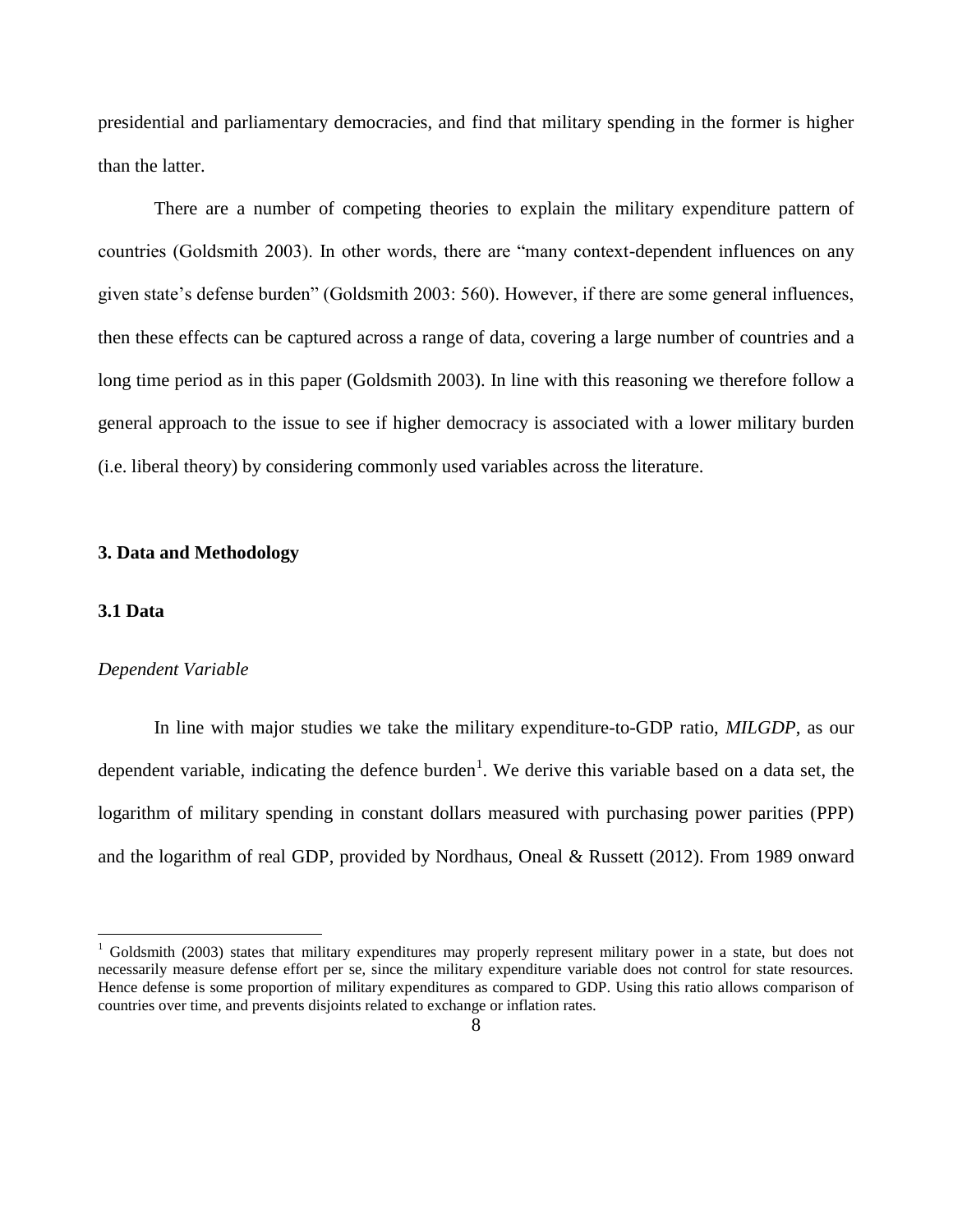presidential and parliamentary democracies, and find that military spending in the former is higher than the latter.

There are a number of competing theories to explain the military expenditure pattern of countries (Goldsmith 2003). In other words, there are "many context-dependent influences on any given state's defense burden" (Goldsmith 2003: 560). However, if there are some general influences, then these effects can be captured across a range of data, covering a large number of countries and a long time period as in this paper (Goldsmith 2003). In line with this reasoning we therefore follow a general approach to the issue to see if higher democracy is associated with a lower military burden (i.e. liberal theory) by considering commonly used variables across the literature.

## **3. Data and Methodology**

#### **3.1 Data**

 $\overline{\phantom{a}}$ 

#### *Dependent Variable*

In line with major studies we take the military expenditure-to-GDP ratio, *MILGDP*, as our dependent variable, indicating the defence burden<sup>1</sup>. We derive this variable based on a data set, the logarithm of military spending in constant dollars measured with purchasing power parities (PPP) and the logarithm of real GDP, provided by Nordhaus, Oneal & Russett (2012). From 1989 onward

<sup>1</sup> Goldsmith (2003) states that military expenditures may properly represent military power in a state, but does not necessarily measure defense effort per se, since the military expenditure variable does not control for state resources. Hence defense is some proportion of military expenditures as compared to GDP. Using this ratio allows comparison of countries over time, and prevents disjoints related to exchange or inflation rates.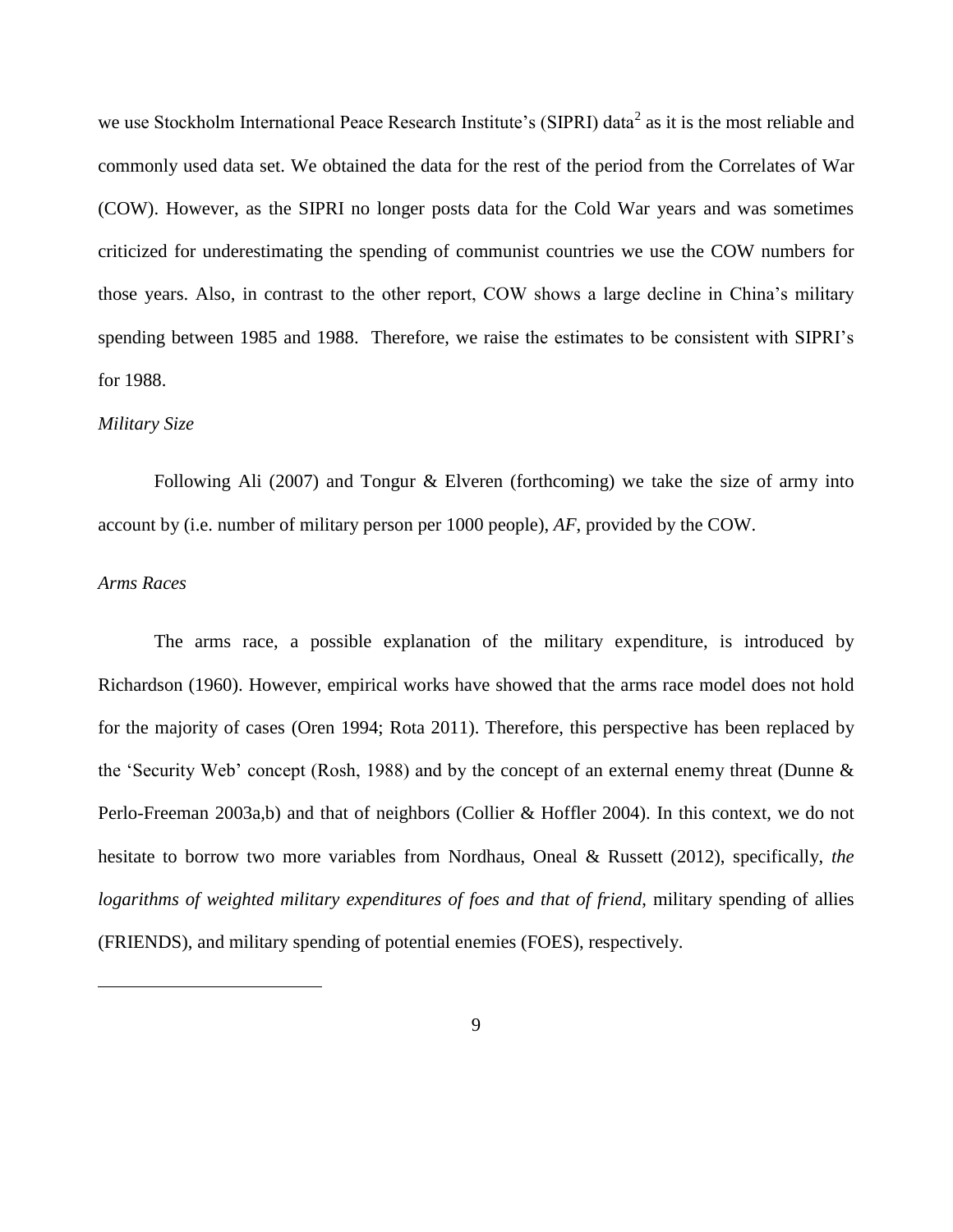we use Stockholm International Peace Research Institute's (SIPRI) data<sup>2</sup> as it is the most reliable and commonly used data set. We obtained the data for the rest of the period from the Correlates of War (COW). However, as the SIPRI no longer posts data for the Cold War years and was sometimes criticized for underestimating the spending of communist countries we use the COW numbers for those years. Also, in contrast to the other report, COW shows a large decline in China's military spending between 1985 and 1988. Therefore, we raise the estimates to be consistent with SIPRI's for 1988.

#### *Military Size*

Following Ali (2007) and Tongur & Elveren (forthcoming) we take the size of army into account by (i.e. number of military person per 1000 people), *AF*, provided by the COW.

# *Arms Races*

 $\overline{\phantom{a}}$ 

The arms race, a possible explanation of the military expenditure, is introduced by Richardson (1960). However, empirical works have showed that the arms race model does not hold for the majority of cases (Oren 1994; Rota 2011). Therefore, this perspective has been replaced by the 'Security Web' concept (Rosh, 1988) and by the concept of an external enemy threat (Dunne & Perlo-Freeman 2003a,b) and that of neighbors (Collier & Hoffler 2004). In this context, we do not hesitate to borrow two more variables from Nordhaus, Oneal & Russett (2012), specifically, *the logarithms of weighted military expenditures of foes and that of friend*, military spending of allies (FRIENDS), and military spending of potential enemies (FOES), respectively.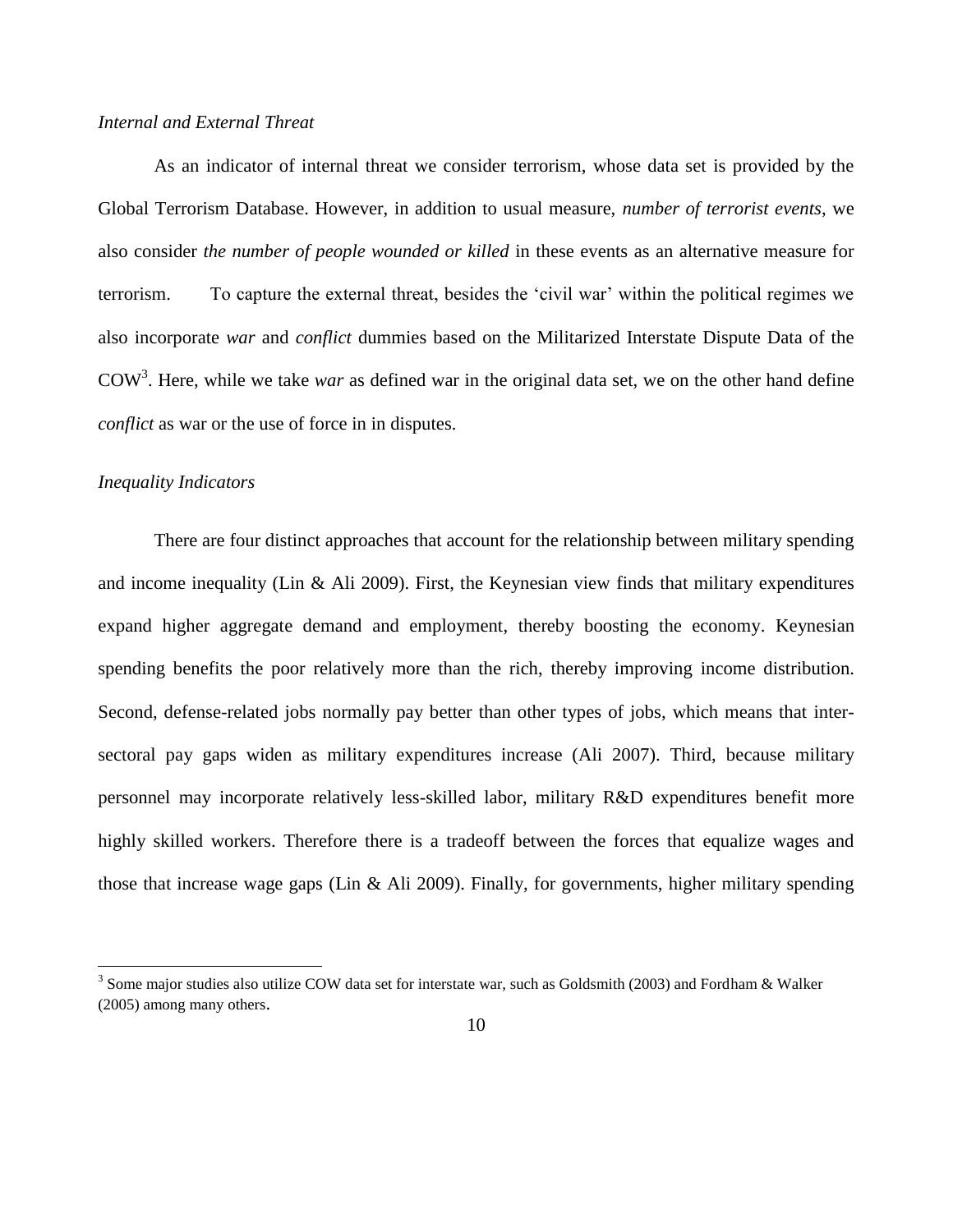# *Internal and External Threat*

As an indicator of internal threat we consider terrorism, whose data set is provided by the Global Terrorism Database. However, in addition to usual measure, *number of terrorist events*, we also consider *the number of people wounded or killed* in these events as an alternative measure for terrorism. To capture the external threat, besides the 'civil war' within the political regimes we also incorporate *war* and *conflict* dummies based on the Militarized Interstate Dispute Data of the COW<sup>3</sup> . Here, while we take *war* as defined war in the original data set, we on the other hand define *conflict* as war or the use of force in in disputes.

#### *Inequality Indicators*

 $\overline{\phantom{a}}$ 

There are four distinct approaches that account for the relationship between military spending and income inequality (Lin & Ali 2009). First, the Keynesian view finds that military expenditures expand higher aggregate demand and employment, thereby boosting the economy. Keynesian spending benefits the poor relatively more than the rich, thereby improving income distribution. Second, defense-related jobs normally pay better than other types of jobs, which means that intersectoral pay gaps widen as military expenditures increase (Ali 2007). Third, because military personnel may incorporate relatively less-skilled labor, military R&D expenditures benefit more highly skilled workers. Therefore there is a tradeoff between the forces that equalize wages and those that increase wage gaps (Lin & Ali 2009). Finally, for governments, higher military spending

<sup>&</sup>lt;sup>3</sup> Some major studies also utilize COW data set for interstate war, such as Goldsmith (2003) and Fordham & Walker (2005) among many others.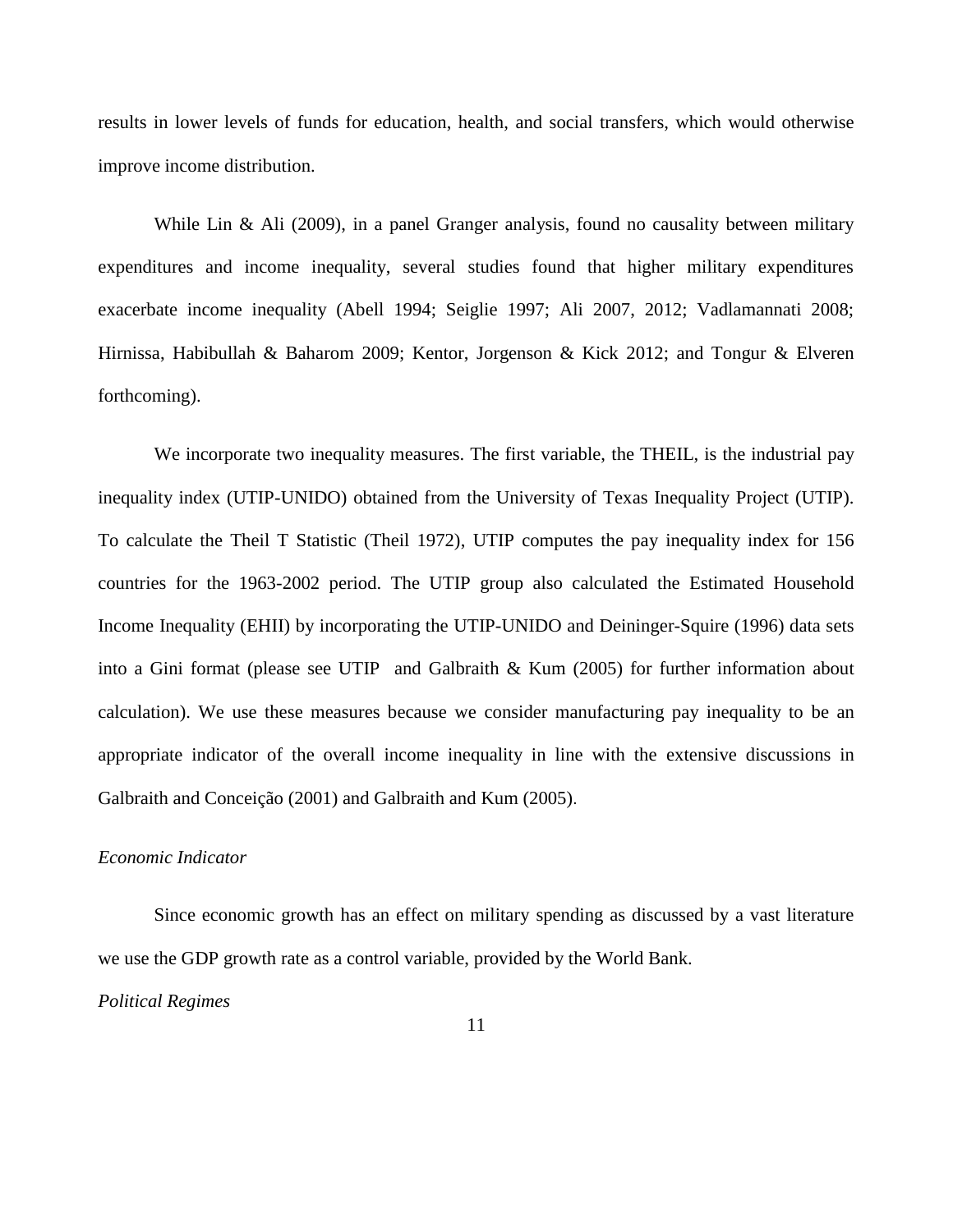results in lower levels of funds for education, health, and social transfers, which would otherwise improve income distribution.

While Lin & Ali (2009), in a panel Granger analysis, found no causality between military expenditures and income inequality, several studies found that higher military expenditures exacerbate income inequality (Abell 1994; Seiglie 1997; Ali 2007, 2012; Vadlamannati 2008; Hirnissa, Habibullah & Baharom 2009; Kentor, Jorgenson & Kick 2012; and Tongur & Elveren forthcoming).

We incorporate two inequality measures. The first variable, the THEIL, is the industrial pay inequality index (UTIP-UNIDO) obtained from the University of Texas Inequality Project (UTIP). To calculate the Theil T Statistic (Theil 1972), UTIP computes the pay inequality index for 156 countries for the 1963-2002 period. The UTIP group also calculated the Estimated Household Income Inequality (EHII) by incorporating the UTIP-UNIDO and Deininger-Squire (1996) data sets into a Gini format (please see UTIP and Galbraith & Kum (2005) for further information about calculation). We use these measures because we consider manufacturing pay inequality to be an appropriate indicator of the overall income inequality in line with the extensive discussions in Galbraith and Conceição (2001) and Galbraith and Kum (2005).

# *Economic Indicator*

Since economic growth has an effect on military spending as discussed by a vast literature we use the GDP growth rate as a control variable, provided by the World Bank.

*Political Regimes*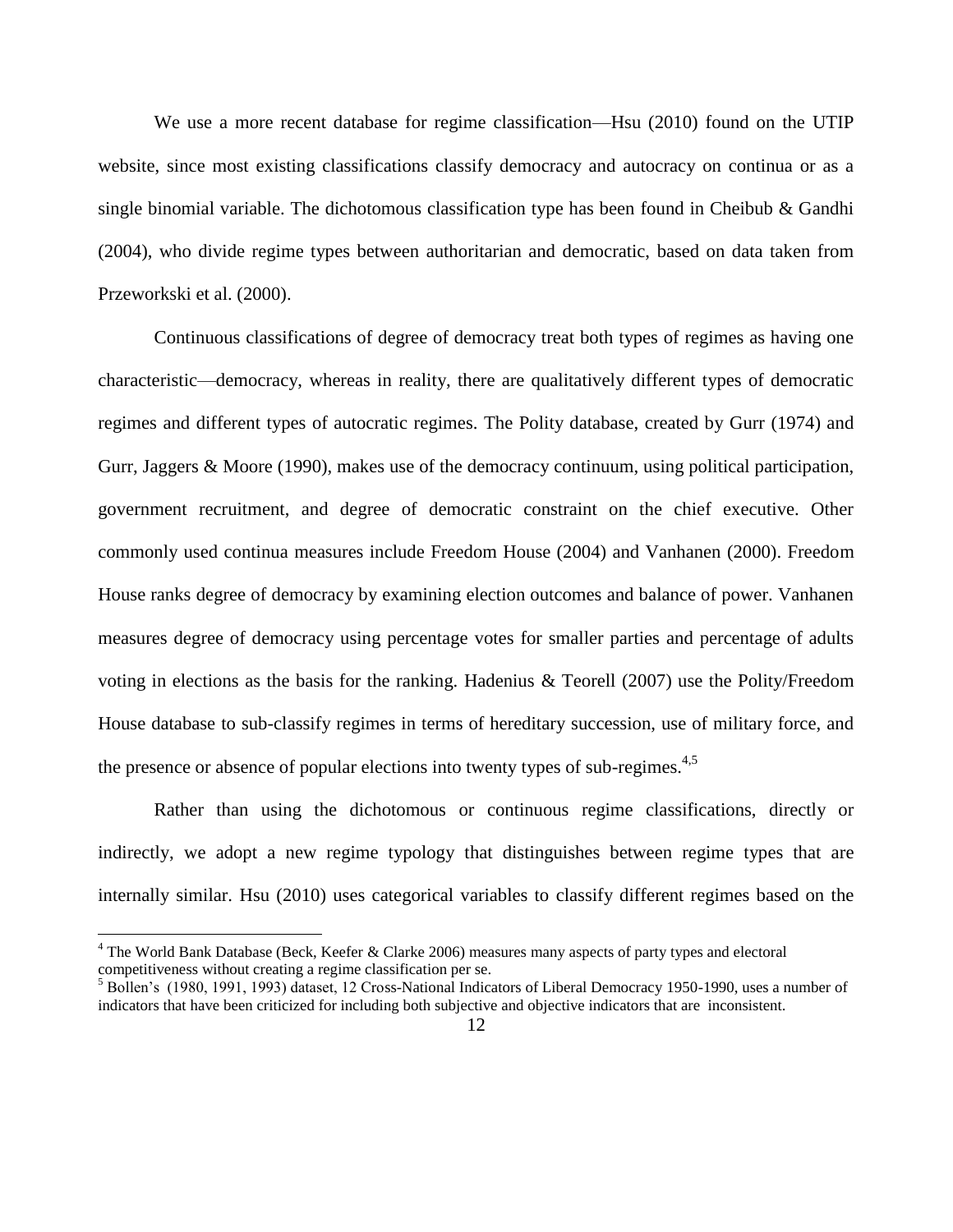We use a more recent database for regime classification—Hsu (2010) found on the UTIP website, since most existing classifications classify democracy and autocracy on continua or as a single binomial variable. The dichotomous classification type has been found in Cheibub & Gandhi (2004), who divide regime types between authoritarian and democratic, based on data taken from Przeworkski et al. (2000).

Continuous classifications of degree of democracy treat both types of regimes as having one characteristic—democracy, whereas in reality, there are qualitatively different types of democratic regimes and different types of autocratic regimes. The Polity database, created by Gurr (1974) and Gurr, Jaggers & Moore (1990), makes use of the democracy continuum, using political participation, government recruitment, and degree of democratic constraint on the chief executive. Other commonly used continua measures include Freedom House (2004) and Vanhanen (2000). Freedom House ranks degree of democracy by examining election outcomes and balance of power. Vanhanen measures degree of democracy using percentage votes for smaller parties and percentage of adults voting in elections as the basis for the ranking. Hadenius & Teorell (2007) use the Polity/Freedom House database to sub-classify regimes in terms of hereditary succession, use of military force, and the presence or absence of popular elections into twenty types of sub-regimes.<sup>4,5</sup>

Rather than using the dichotomous or continuous regime classifications, directly or indirectly, we adopt a new regime typology that distinguishes between regime types that are internally similar. Hsu (2010) uses categorical variables to classify different regimes based on the

 $\overline{\phantom{a}}$ 

<sup>&</sup>lt;sup>4</sup> The World Bank Database (Beck, Keefer & Clarke 2006) measures many aspects of party types and electoral competitiveness without creating a regime classification per se.

<sup>&</sup>lt;sup>5</sup> Bollen's (1980, 1991, 1993) dataset, 12 Cross-National Indicators of Liberal Democracy 1950-1990, uses a number of indicators that have been criticized for including both subjective and objective indicators that are inconsistent.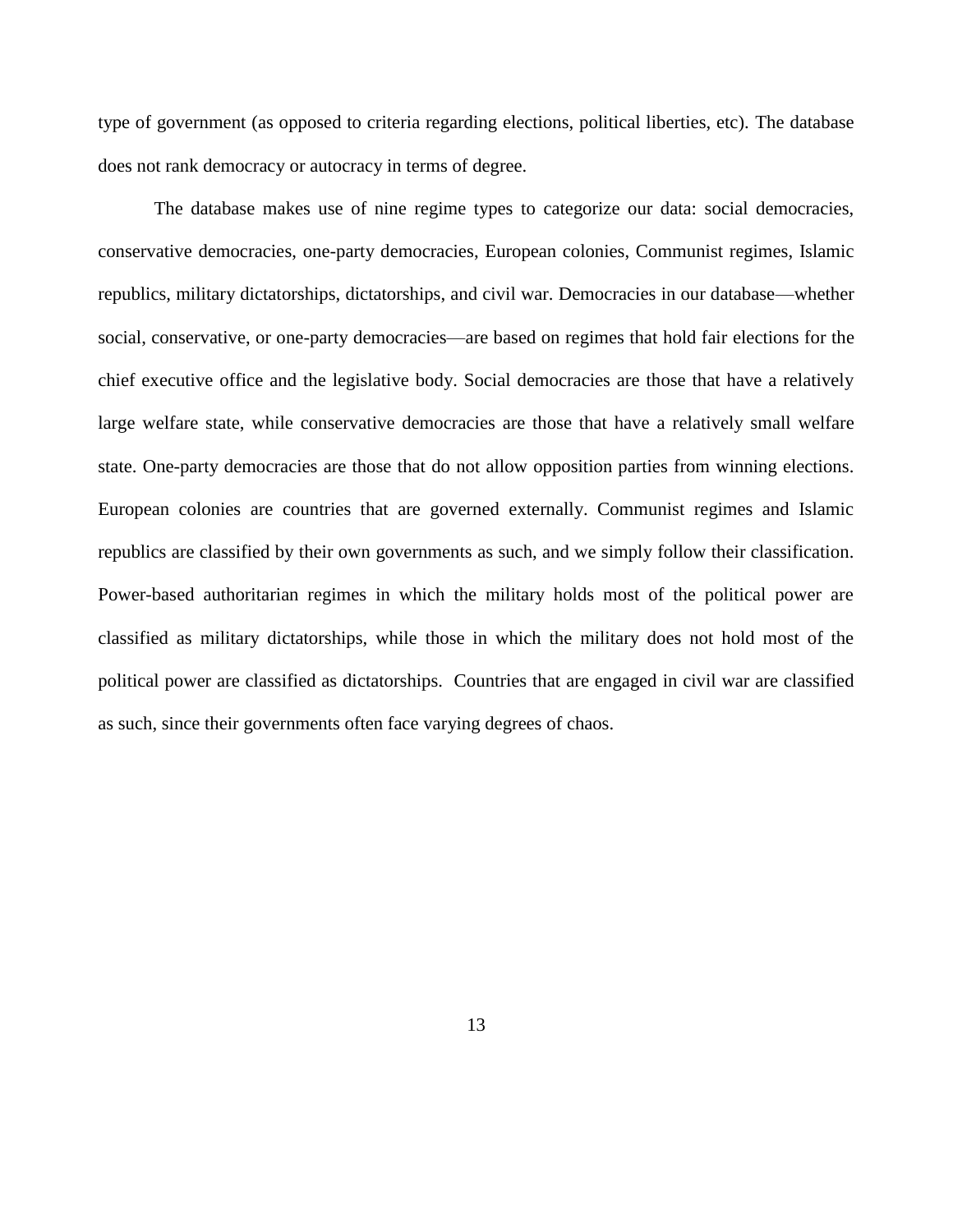type of government (as opposed to criteria regarding elections, political liberties, etc). The database does not rank democracy or autocracy in terms of degree.

The database makes use of nine regime types to categorize our data: social democracies, conservative democracies, one-party democracies, European colonies, Communist regimes, Islamic republics, military dictatorships, dictatorships, and civil war. Democracies in our database—whether social, conservative, or one-party democracies—are based on regimes that hold fair elections for the chief executive office and the legislative body. Social democracies are those that have a relatively large welfare state, while conservative democracies are those that have a relatively small welfare state. One-party democracies are those that do not allow opposition parties from winning elections. European colonies are countries that are governed externally. Communist regimes and Islamic republics are classified by their own governments as such, and we simply follow their classification. Power-based authoritarian regimes in which the military holds most of the political power are classified as military dictatorships, while those in which the military does not hold most of the political power are classified as dictatorships. Countries that are engaged in civil war are classified as such, since their governments often face varying degrees of chaos.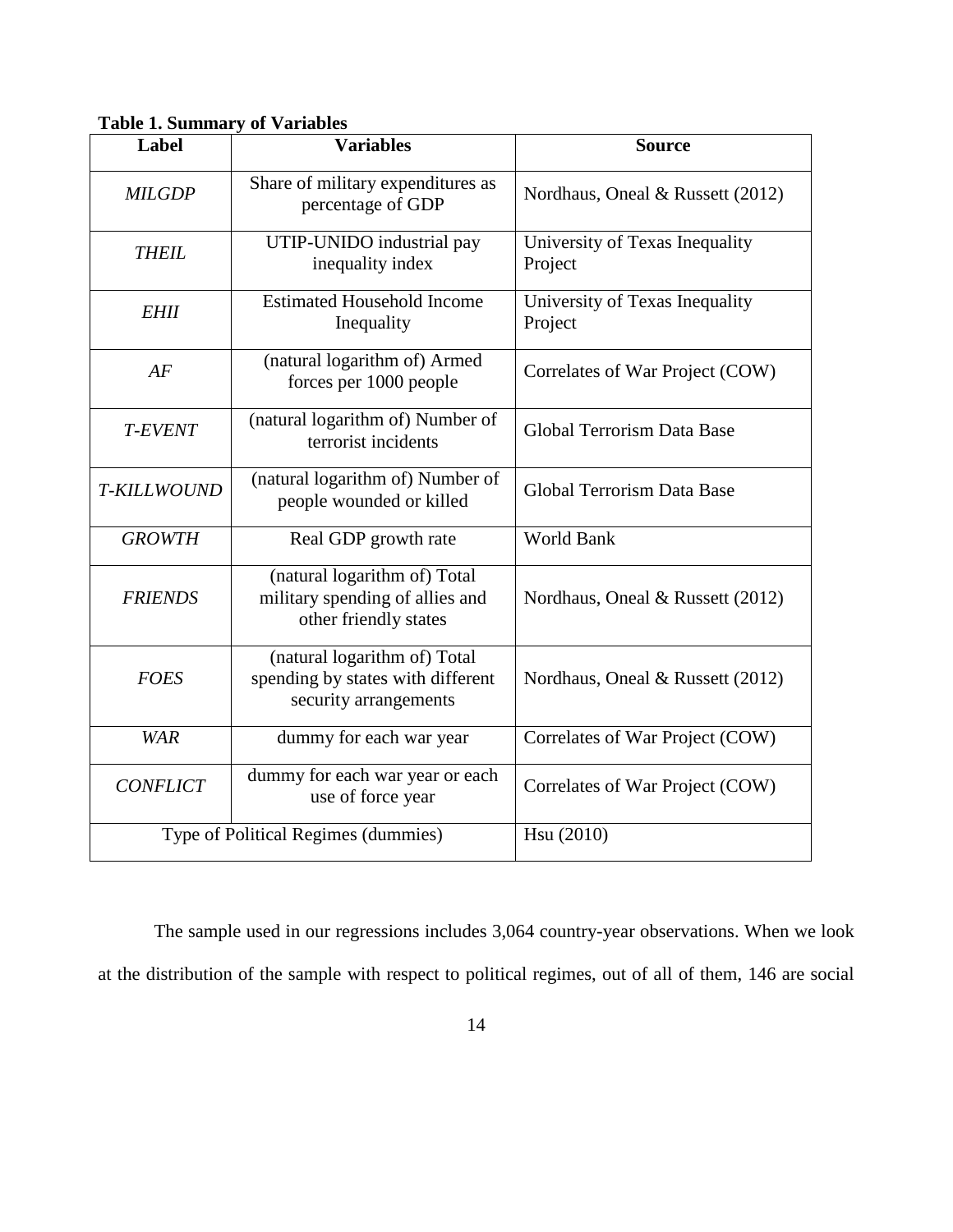| Label           | <b>Variables</b>                                                                           | <b>Source</b>                             |  |  |  |
|-----------------|--------------------------------------------------------------------------------------------|-------------------------------------------|--|--|--|
| <b>MILGDP</b>   | Share of military expenditures as<br>percentage of GDP                                     | Nordhaus, Oneal & Russett (2012)          |  |  |  |
| <b>THEIL</b>    | UTIP-UNIDO industrial pay<br>inequality index                                              | University of Texas Inequality<br>Project |  |  |  |
| <b>EHII</b>     | <b>Estimated Household Income</b><br>Inequality                                            | University of Texas Inequality<br>Project |  |  |  |
| AF              | (natural logarithm of) Armed<br>forces per 1000 people                                     | Correlates of War Project (COW)           |  |  |  |
| <b>T-EVENT</b>  | (natural logarithm of) Number of<br>terrorist incidents                                    | <b>Global Terrorism Data Base</b>         |  |  |  |
| T-KILLWOUND     | (natural logarithm of) Number of<br>people wounded or killed                               | <b>Global Terrorism Data Base</b>         |  |  |  |
| <b>GROWTH</b>   | Real GDP growth rate                                                                       | <b>World Bank</b>                         |  |  |  |
| <b>FRIENDS</b>  | (natural logarithm of) Total<br>military spending of allies and<br>other friendly states   | Nordhaus, Oneal & Russett (2012)          |  |  |  |
| <b>FOES</b>     | (natural logarithm of) Total<br>spending by states with different<br>security arrangements | Nordhaus, Oneal & Russett (2012)          |  |  |  |
| <b>WAR</b>      | dummy for each war year                                                                    | Correlates of War Project (COW)           |  |  |  |
| <b>CONFLICT</b> | dummy for each war year or each<br>use of force year                                       | Correlates of War Project (COW)           |  |  |  |
|                 | Type of Political Regimes (dummies)                                                        | Hsu (2010)                                |  |  |  |

**Table 1. Summary of Variables** 

The sample used in our regressions includes 3,064 country-year observations. When we look at the distribution of the sample with respect to political regimes, out of all of them, 146 are social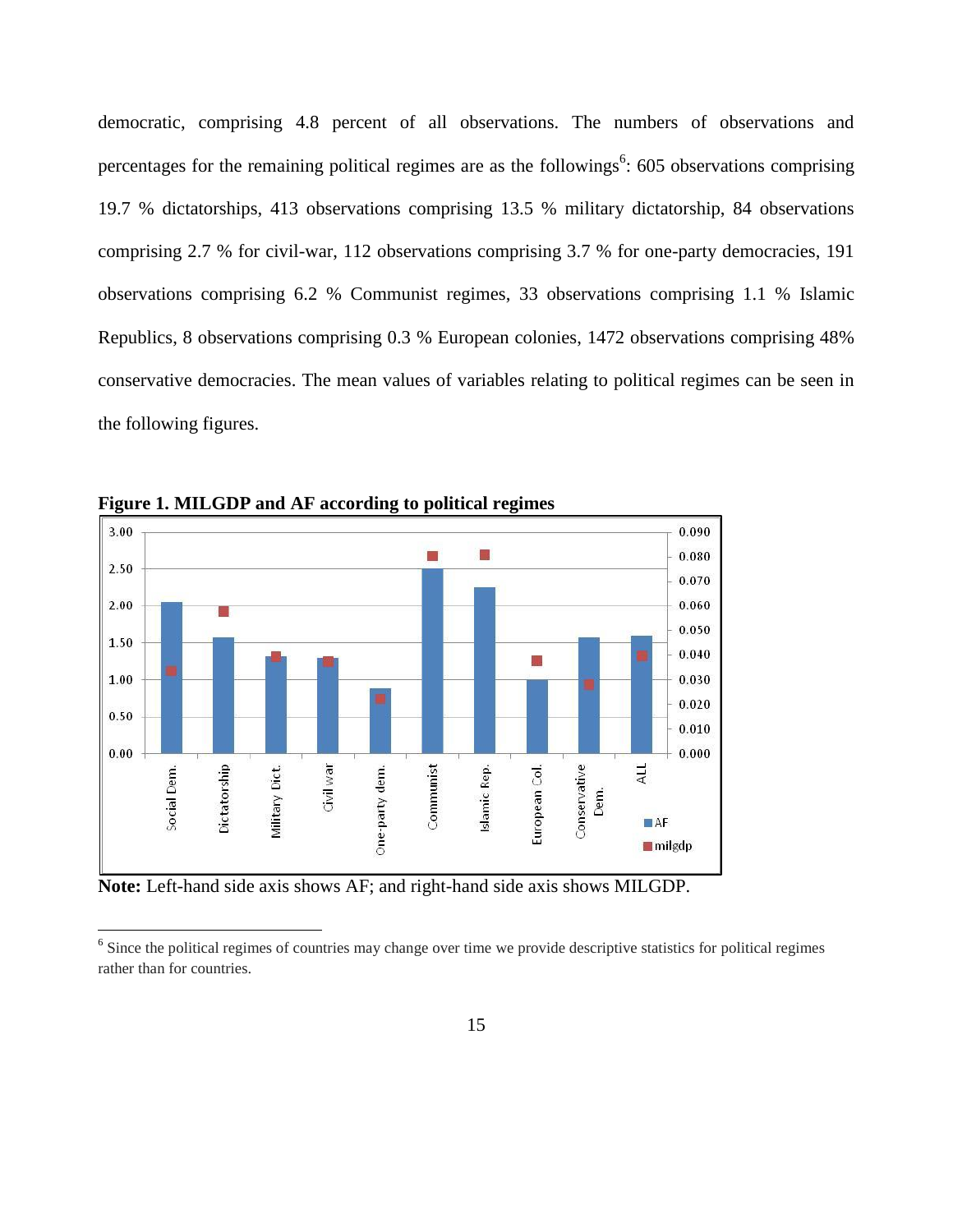democratic, comprising 4.8 percent of all observations. The numbers of observations and percentages for the remaining political regimes are as the followings<sup>6</sup>: 605 observations comprising 19.7 % dictatorships, 413 observations comprising 13.5 % military dictatorship, 84 observations comprising 2.7 % for civil-war, 112 observations comprising 3.7 % for one-party democracies, 191 observations comprising 6.2 % Communist regimes, 33 observations comprising 1.1 % Islamic Republics, 8 observations comprising 0.3 % European colonies, 1472 observations comprising 48% conservative democracies. The mean values of variables relating to political regimes can be seen in the following figures.



**Figure 1. MILGDP and AF according to political regimes**

**Note:** Left-hand side axis shows AF; and right-hand side axis shows MILGDP.

 $\overline{\phantom{a}}$ 

<sup>&</sup>lt;sup>6</sup> Since the political regimes of countries may change over time we provide descriptive statistics for political regimes rather than for countries.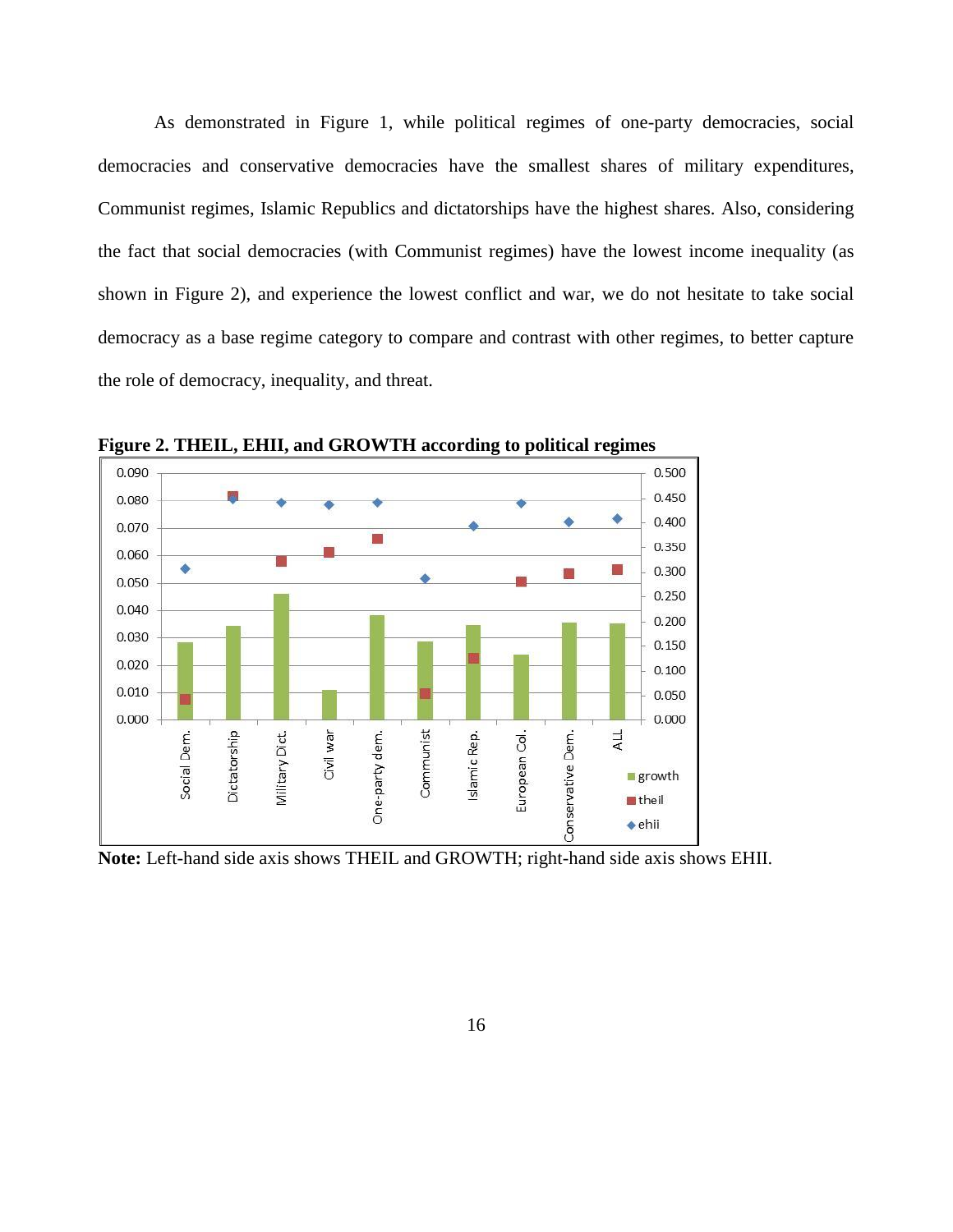As demonstrated in Figure 1, while political regimes of one-party democracies, social democracies and conservative democracies have the smallest shares of military expenditures, Communist regimes, Islamic Republics and dictatorships have the highest shares. Also, considering the fact that social democracies (with Communist regimes) have the lowest income inequality (as shown in Figure 2), and experience the lowest conflict and war, we do not hesitate to take social democracy as a base regime category to compare and contrast with other regimes, to better capture the role of democracy, inequality, and threat.



**Figure 2. THEIL, EHII, and GROWTH according to political regimes**

**Note:** Left-hand side axis shows THEIL and GROWTH; right-hand side axis shows EHII.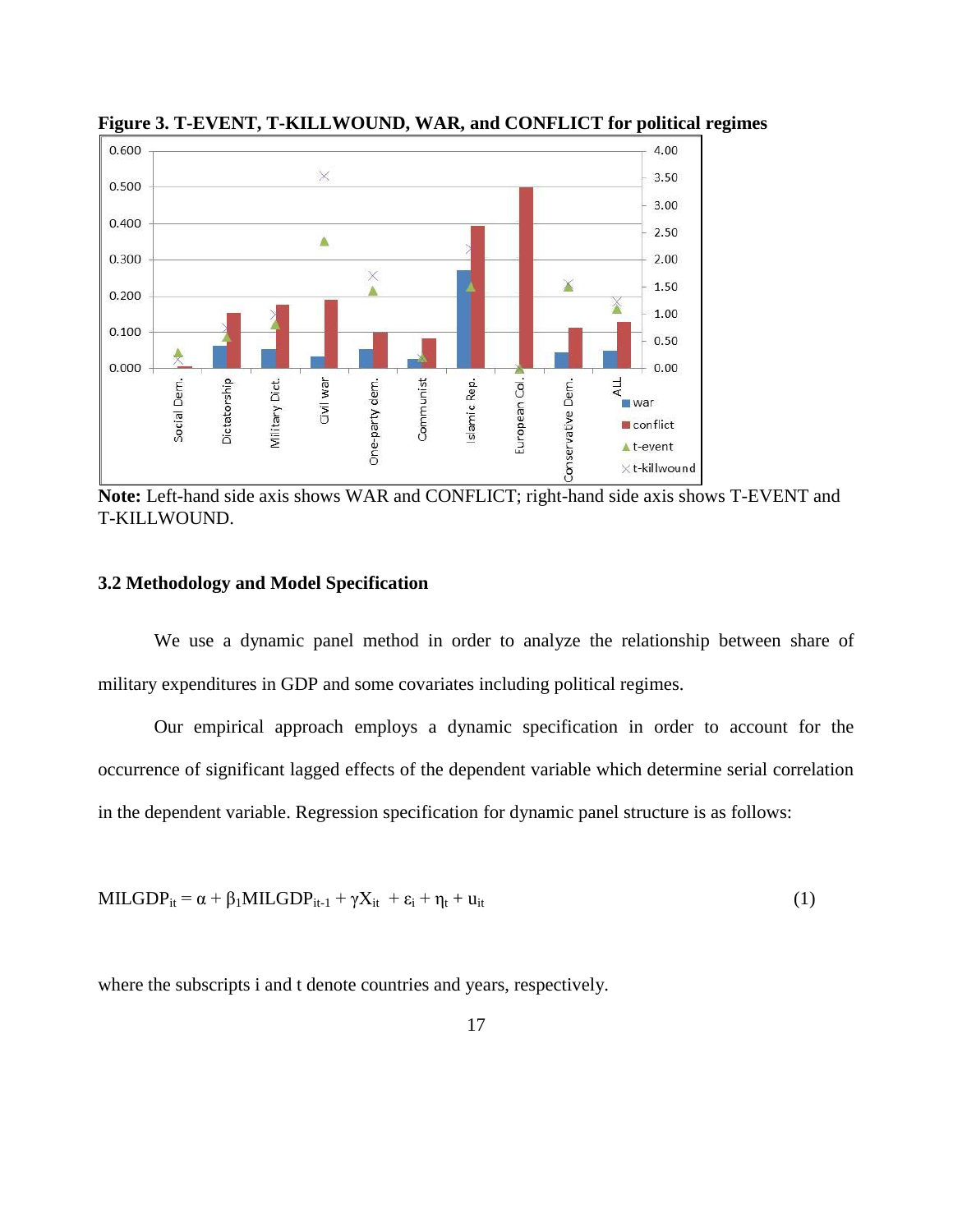

**Figure 3. T-EVENT, T-KILLWOUND, WAR, and CONFLICT for political regimes**

**Note:** Left-hand side axis shows WAR and CONFLICT; right-hand side axis shows T-EVENT and T-KILLWOUND.

# **3.2 Methodology and Model Specification**

We use a dynamic panel method in order to analyze the relationship between share of military expenditures in GDP and some covariates including political regimes.

Our empirical approach employs a dynamic specification in order to account for the occurrence of significant lagged effects of the dependent variable which determine serial correlation in the dependent variable. Regression specification for dynamic panel structure is as follows:

 $MILGDP_{it} = \alpha + \beta_1 MILGDP_{it-1} + \gamma X_{it} + \varepsilon_i + \eta_t + u_{it}$  (1)

where the subscripts i and t denote countries and years, respectively.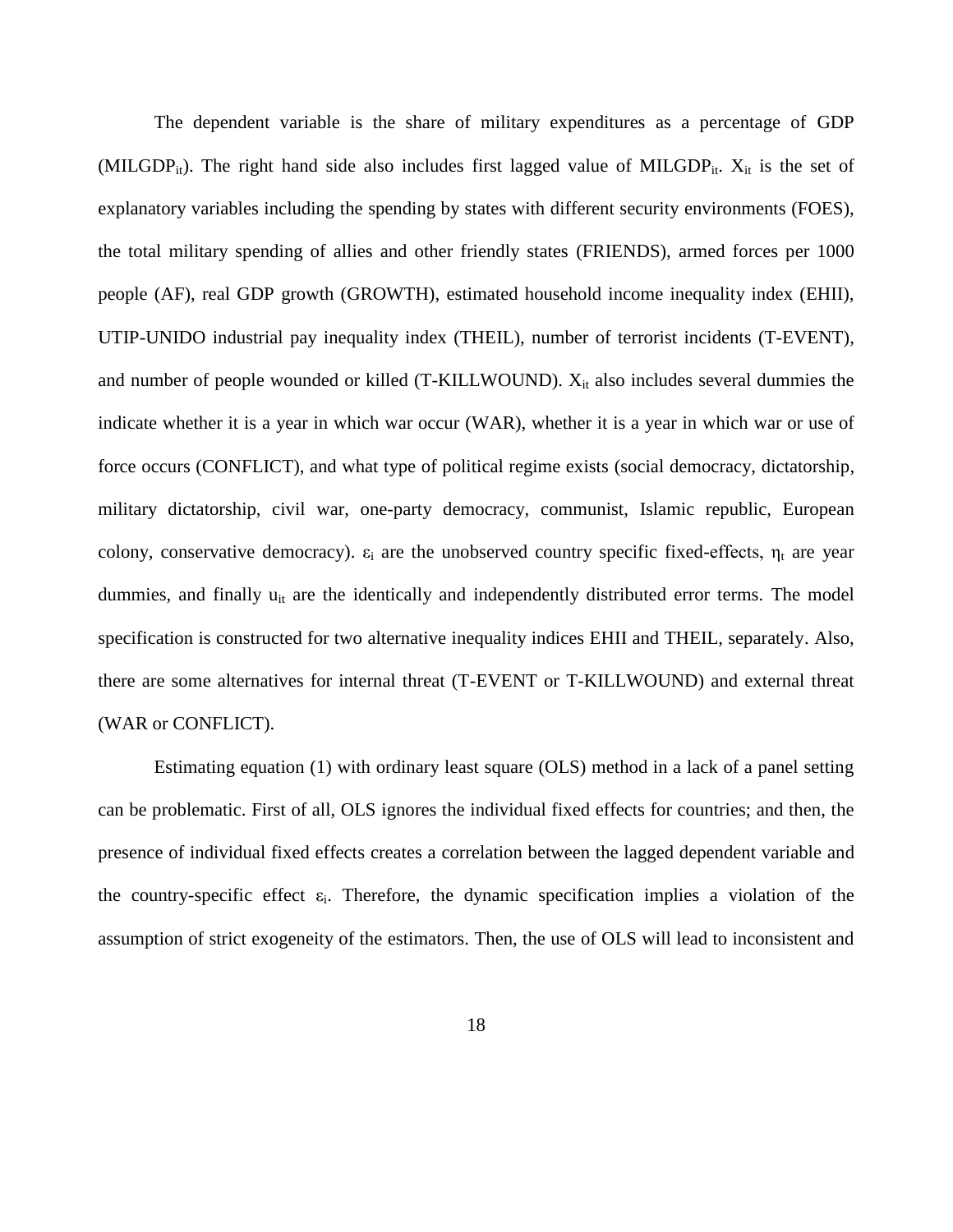The dependent variable is the share of military expenditures as a percentage of GDP (MILGDP<sub>it</sub>). The right hand side also includes first lagged value of MILGDP<sub>it</sub>.  $X_{it}$  is the set of explanatory variables including the spending by states with different security environments (FOES), the total military spending of allies and other friendly states (FRIENDS), armed forces per 1000 people (AF), real GDP growth (GROWTH), estimated household income inequality index (EHII), UTIP-UNIDO industrial pay inequality index (THEIL), number of terrorist incidents (T-EVENT), and number of people wounded or killed (T-KILLWOUND).  $X_{it}$  also includes several dummies the indicate whether it is a year in which war occur (WAR), whether it is a year in which war or use of force occurs (CONFLICT), and what type of political regime exists (social democracy, dictatorship, military dictatorship, civil war, one-party democracy, communist, Islamic republic, European colony, conservative democracy).  $\varepsilon_i$  are the unobserved country specific fixed-effects,  $\eta_t$  are year dummies, and finally  $u_{it}$  are the identically and independently distributed error terms. The model specification is constructed for two alternative inequality indices EHII and THEIL, separately. Also, there are some alternatives for internal threat (T-EVENT or T-KILLWOUND) and external threat (WAR or CONFLICT).

Estimating equation (1) with ordinary least square (OLS) method in a lack of a panel setting can be problematic. First of all, OLS ignores the individual fixed effects for countries; and then, the presence of individual fixed effects creates a correlation between the lagged dependent variable and the country-specific effect  $\varepsilon_i$ . Therefore, the dynamic specification implies a violation of the assumption of strict exogeneity of the estimators. Then, the use of OLS will lead to inconsistent and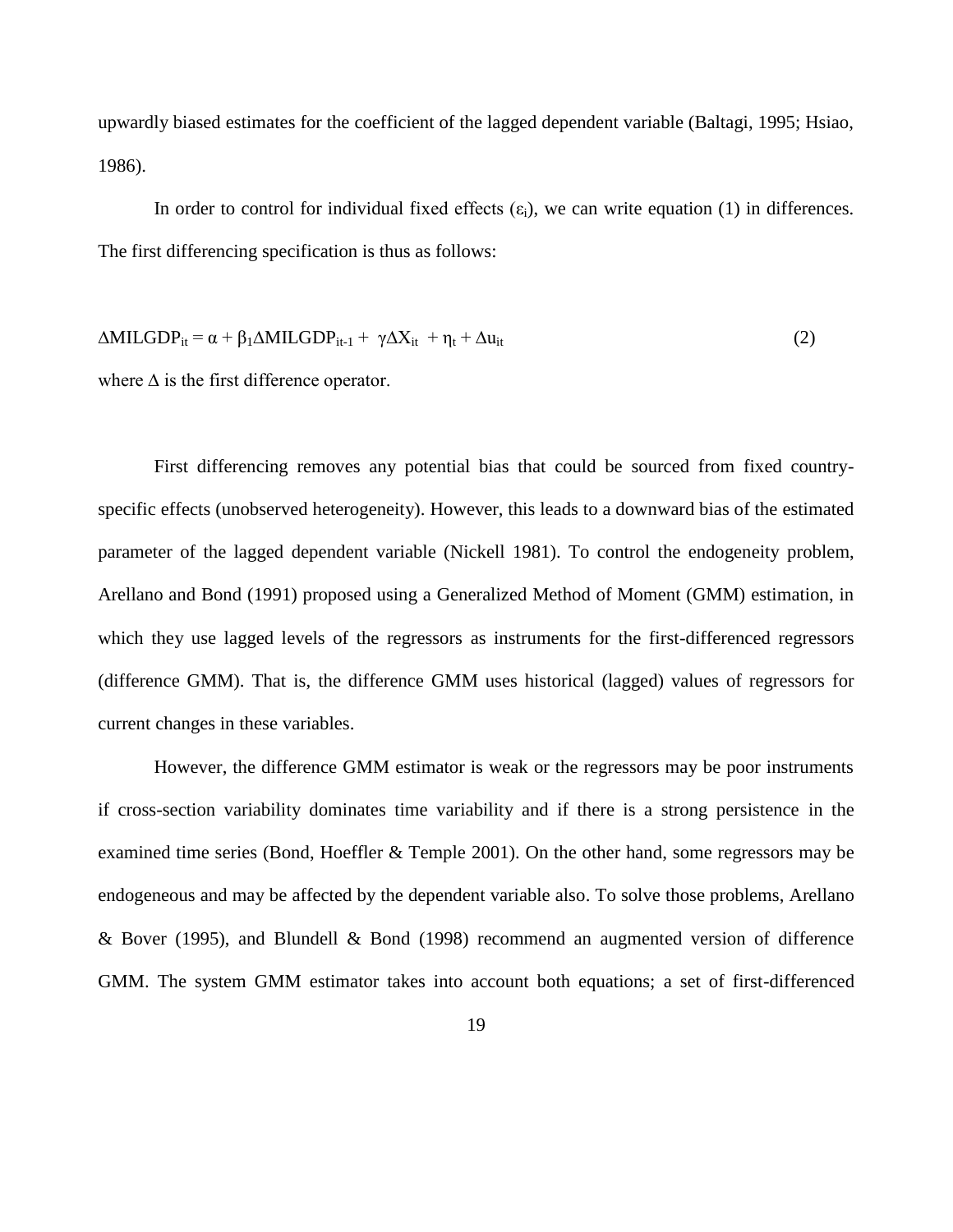upwardly biased estimates for the coefficient of the lagged dependent variable (Baltagi, 1995; Hsiao, 1986).

In order to control for individual fixed effects  $(\epsilon_i)$ , we can write equation (1) in differences. The first differencing specification is thus as follows:

$$
\Delta \text{MILGDP}_{it} = \alpha + \beta_1 \Delta \text{MILGDP}_{it-1} + \gamma \Delta X_{it} + \eta_t + \Delta u_{it}
$$
\n<sup>(2)</sup>

where  $\Delta$  is the first difference operator.

First differencing removes any potential bias that could be sourced from fixed countryspecific effects (unobserved heterogeneity). However, this leads to a downward bias of the estimated parameter of the lagged dependent variable (Nickell 1981). To control the endogeneity problem, Arellano and Bond (1991) proposed using a Generalized Method of Moment (GMM) estimation, in which they use lagged levels of the regressors as instruments for the first-differenced regressors (difference GMM). That is, the difference GMM uses historical (lagged) values of regressors for current changes in these variables.

However, the difference GMM estimator is weak or the regressors may be poor instruments if cross-section variability dominates time variability and if there is a strong persistence in the examined time series (Bond, Hoeffler & Temple 2001). On the other hand, some regressors may be endogeneous and may be affected by the dependent variable also. To solve those problems, Arellano & Bover (1995), and Blundell & Bond (1998) recommend an augmented version of difference GMM. The system GMM estimator takes into account both equations; a set of first-differenced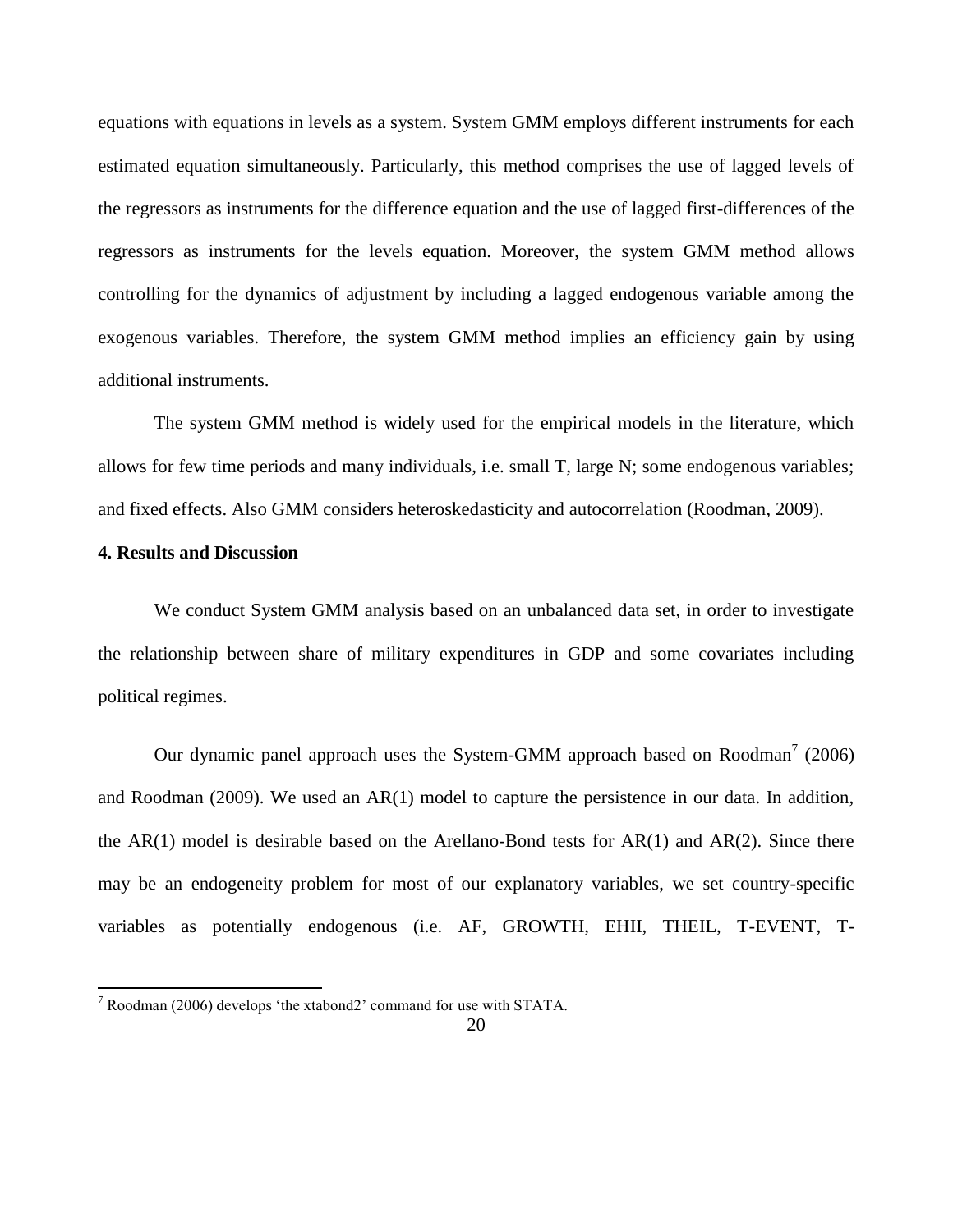equations with equations in levels as a system. System GMM employs different instruments for each estimated equation simultaneously. Particularly, this method comprises the use of lagged levels of the regressors as instruments for the difference equation and the use of lagged first-differences of the regressors as instruments for the levels equation. Moreover, the system GMM method allows controlling for the dynamics of adjustment by including a lagged endogenous variable among the exogenous variables. Therefore, the system GMM method implies an efficiency gain by using additional instruments.

The system GMM method is widely used for the empirical models in the literature, which allows for few time periods and many individuals, i.e. small T, large N; some endogenous variables; and fixed effects. Also GMM considers heteroskedasticity and autocorrelation (Roodman, 2009).

#### **4. Results and Discussion**

 $\overline{\phantom{a}}$ 

We conduct System GMM analysis based on an unbalanced data set, in order to investigate the relationship between share of military expenditures in GDP and some covariates including political regimes.

Our dynamic panel approach uses the System-GMM approach based on Roodman<sup>7</sup> (2006) and Roodman (2009). We used an AR(1) model to capture the persistence in our data. In addition, the AR(1) model is desirable based on the Arellano-Bond tests for  $AR(1)$  and  $AR(2)$ . Since there may be an endogeneity problem for most of our explanatory variables, we set country-specific variables as potentially endogenous (i.e. AF, GROWTH, EHII, THEIL, T-EVENT, T-

 $7 \text{ Rodman}$  (2006) develops 'the xtabond2' command for use with STATA.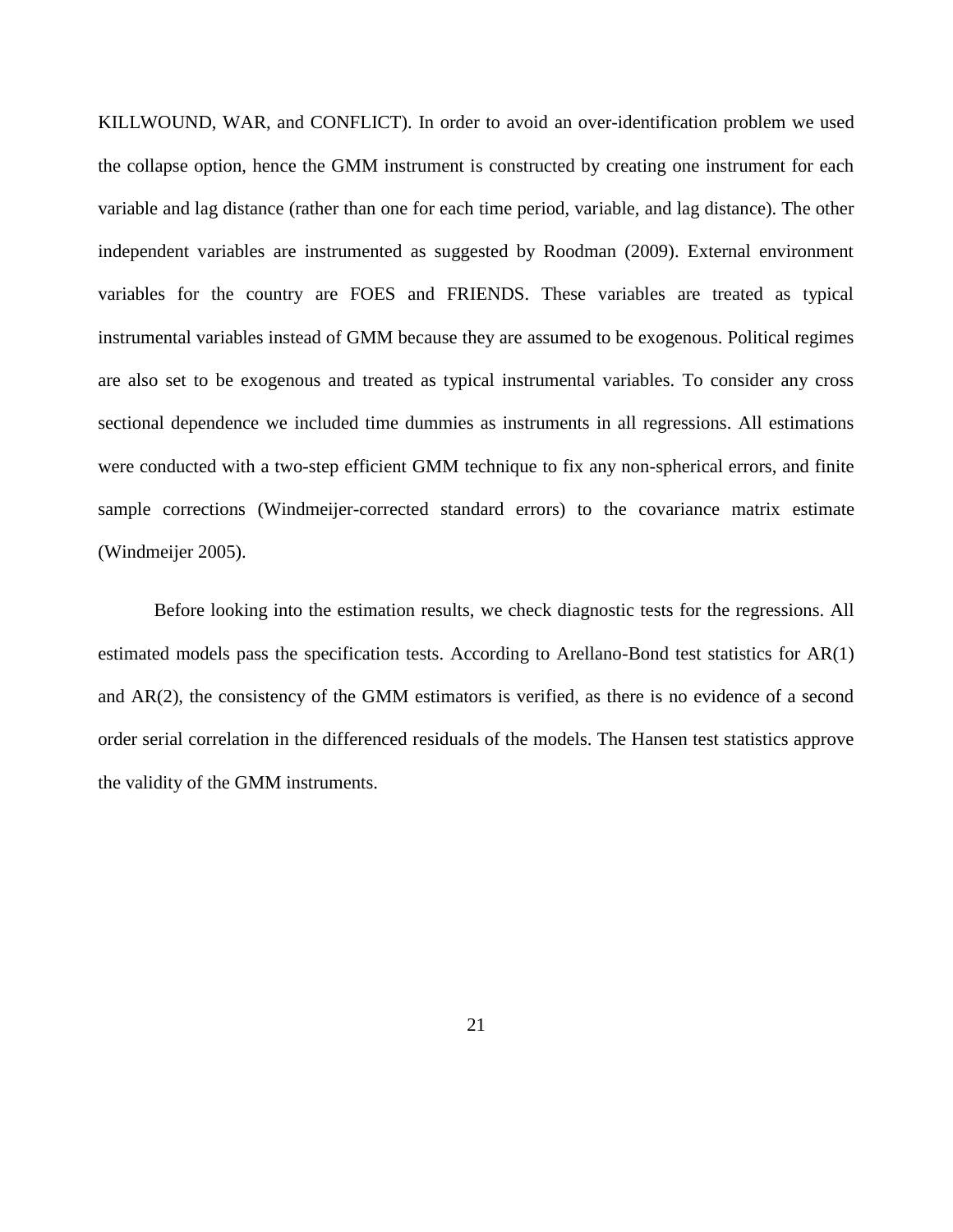KILLWOUND, WAR, and CONFLICT). In order to avoid an over-identification problem we used the collapse option, hence the GMM instrument is constructed by creating one instrument for each variable and lag distance (rather than one for each time period, variable, and lag distance). The other independent variables are instrumented as suggested by Roodman (2009). External environment variables for the country are FOES and FRIENDS. These variables are treated as typical instrumental variables instead of GMM because they are assumed to be exogenous. Political regimes are also set to be exogenous and treated as typical instrumental variables. To consider any cross sectional dependence we included time dummies as instruments in all regressions. All estimations were conducted with a two-step efficient GMM technique to fix any non-spherical errors, and finite sample corrections (Windmeijer-corrected standard errors) to the covariance matrix estimate (Windmeijer 2005).

Before looking into the estimation results, we check diagnostic tests for the regressions. All estimated models pass the specification tests. According to Arellano-Bond test statistics for AR(1) and AR(2), the consistency of the GMM estimators is verified, as there is no evidence of a second order serial correlation in the differenced residuals of the models. The Hansen test statistics approve the validity of the GMM instruments.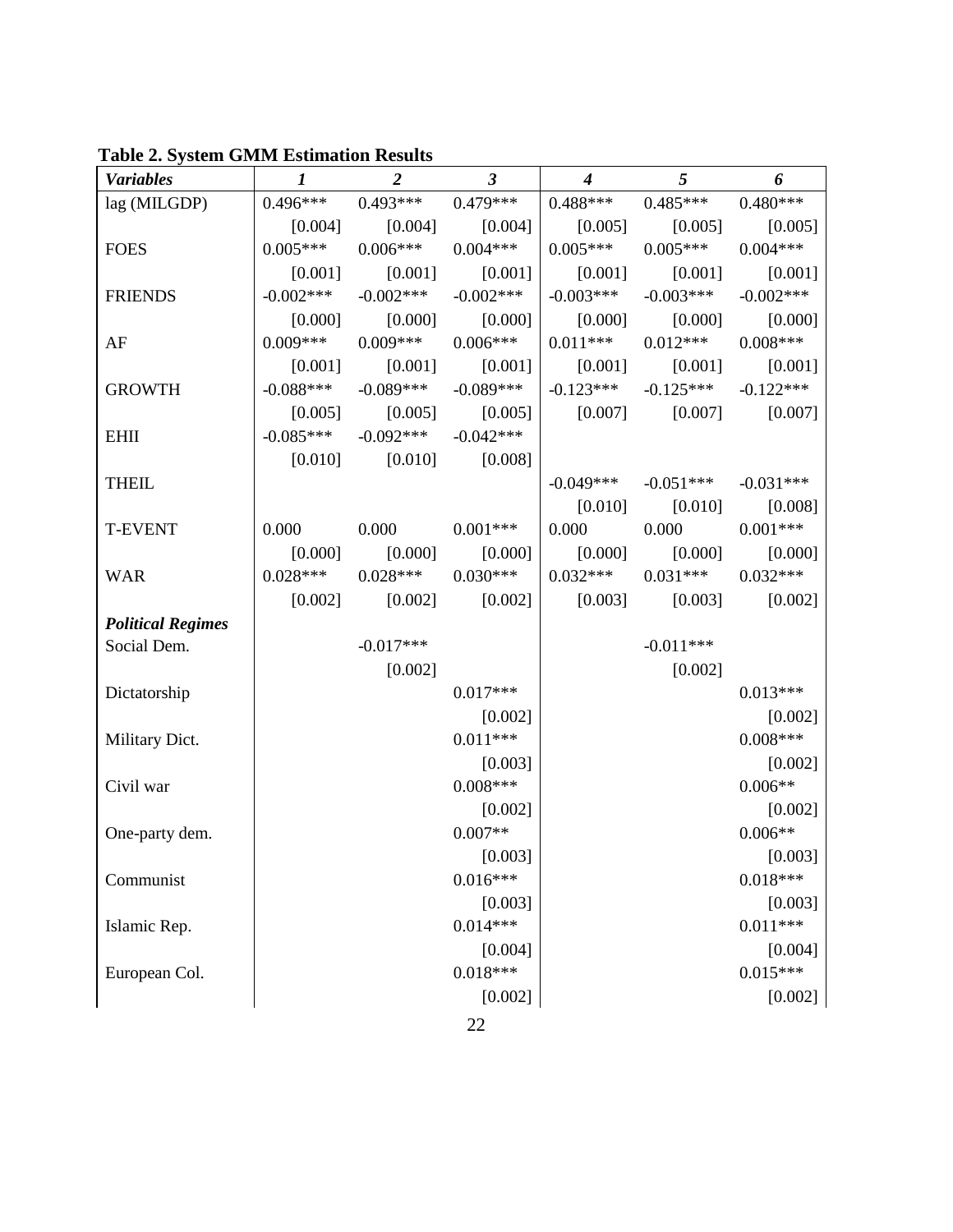| <b>Variables</b>         | $\boldsymbol{l}$ | $\overline{2}$                   | $\boldsymbol{\beta}$                                        | $\boldsymbol{4}$ | 5                   | 6                     |
|--------------------------|------------------|----------------------------------|-------------------------------------------------------------|------------------|---------------------|-----------------------|
| lag (MILGDP)             |                  | $0.496***$ $0.493***$ $0.479***$ |                                                             | $0.488***$       | $0.485***$          | $0.480***$            |
|                          |                  |                                  | $[0.004]$ $[0.004]$ $[0.004]$ $[0.005]$                     |                  | [0.005]             | [0.005]               |
| <b>FOES</b>              | $0.005***$       | $0.006***$                       | $0.004***$                                                  | $0.005***$       | $0.005***$          | $0.004***$            |
|                          | [0.001]          | [0.001]                          | [0.001]                                                     | [0.001]          | [0.001]             | [0.001]               |
| <b>FRIENDS</b>           | $-0.002***$      | $-0.002***$                      | $-0.002***$                                                 | $-0.003***$      | $-0.003***$         | $-0.002***$           |
|                          |                  |                                  | $[0.000]$ $[0.000]$ $[0.000]$ $[0.000]$                     |                  | [0.000]             | [0.000]               |
| AF                       | $0.009***$       | $0.009***$                       | $0.006***$                                                  | $0.011***$       | $0.012***$          | $0.008***$            |
|                          | [0.001]          | [0.001]                          | [0.001]                                                     | [0.001]          | [0.001]             | [0.001]               |
| <b>GROWTH</b>            |                  | $-0.088***$ $-0.089***$          | $-0.089***$                                                 | $-0.123***$      | $-0.125***$         | $-0.122***$           |
|                          |                  |                                  | $[0.005]$ $[0.005]$ $[0.005]$ $[0.007]$ $[0.007]$ $[0.007]$ |                  |                     |                       |
| <b>EHII</b>              | $-0.085***$      | $-0.092***$                      | $-0.042***$                                                 |                  |                     |                       |
|                          |                  | $[0.010]$ $[0.010]$ $[0.008]$    |                                                             |                  |                     |                       |
| <b>THEIL</b>             |                  |                                  |                                                             | $-0.049***$      | $-0.051***$         | $-0.031***$           |
|                          |                  |                                  |                                                             |                  | $[0.010]$ $[0.010]$ | [0.008]               |
| <b>T-EVENT</b>           | 0.000            | $0.000$ $0.001***$               |                                                             | 0.000            | 0.000               | $0.001***$            |
|                          | [0.000]          | [0.000]                          | [0.000]                                                     | [0.000]          | [0.000]             | [0.000]               |
| <b>WAR</b>               |                  | $0.028***$ $0.028***$ $0.030***$ |                                                             | $0.032***$       | $0.031***$          | $0.032***$            |
|                          |                  |                                  | $[0.002]$ $[0.002]$ $[0.002]$ $[0.003]$ $[0.003]$           |                  |                     | [0.002]               |
| <b>Political Regimes</b> |                  |                                  |                                                             |                  |                     |                       |
| Social Dem.              |                  | $-0.017***$                      |                                                             |                  | $-0.011***$         |                       |
|                          |                  | [0.002]                          |                                                             |                  | [0.002]             |                       |
| Dictatorship             |                  |                                  | $0.017***$                                                  |                  |                     | $0.013***$            |
|                          |                  |                                  | [0.002]                                                     |                  |                     | [0.002]               |
| Military Dict.           |                  |                                  | $0.011***$                                                  |                  |                     | $0.008***$            |
|                          |                  |                                  | [0.003]                                                     |                  |                     | [0.002]               |
| Civil war                |                  |                                  | $0.008***$                                                  |                  |                     | $0.006**$             |
|                          |                  |                                  | [0.002]                                                     |                  |                     | [0.002]               |
| One-party dem.           |                  |                                  | $0.007**$                                                   |                  |                     | $0.006**$             |
|                          |                  |                                  | [0.003]                                                     |                  |                     | [0.003]               |
| Communist                |                  |                                  | $0.016***$                                                  |                  |                     | $0.018***$            |
|                          |                  |                                  | [0.003]<br>$0.014***$                                       |                  |                     | [0.003]<br>$0.011***$ |
| Islamic Rep.             |                  |                                  |                                                             |                  |                     |                       |
|                          |                  |                                  | [0.004]<br>$0.018***$                                       |                  |                     | [0.004]<br>$0.015***$ |
| European Col.            |                  |                                  |                                                             |                  |                     |                       |
|                          |                  |                                  | [0.002]                                                     |                  |                     | [0.002]               |

**Table 2. System GMM Estimation Results**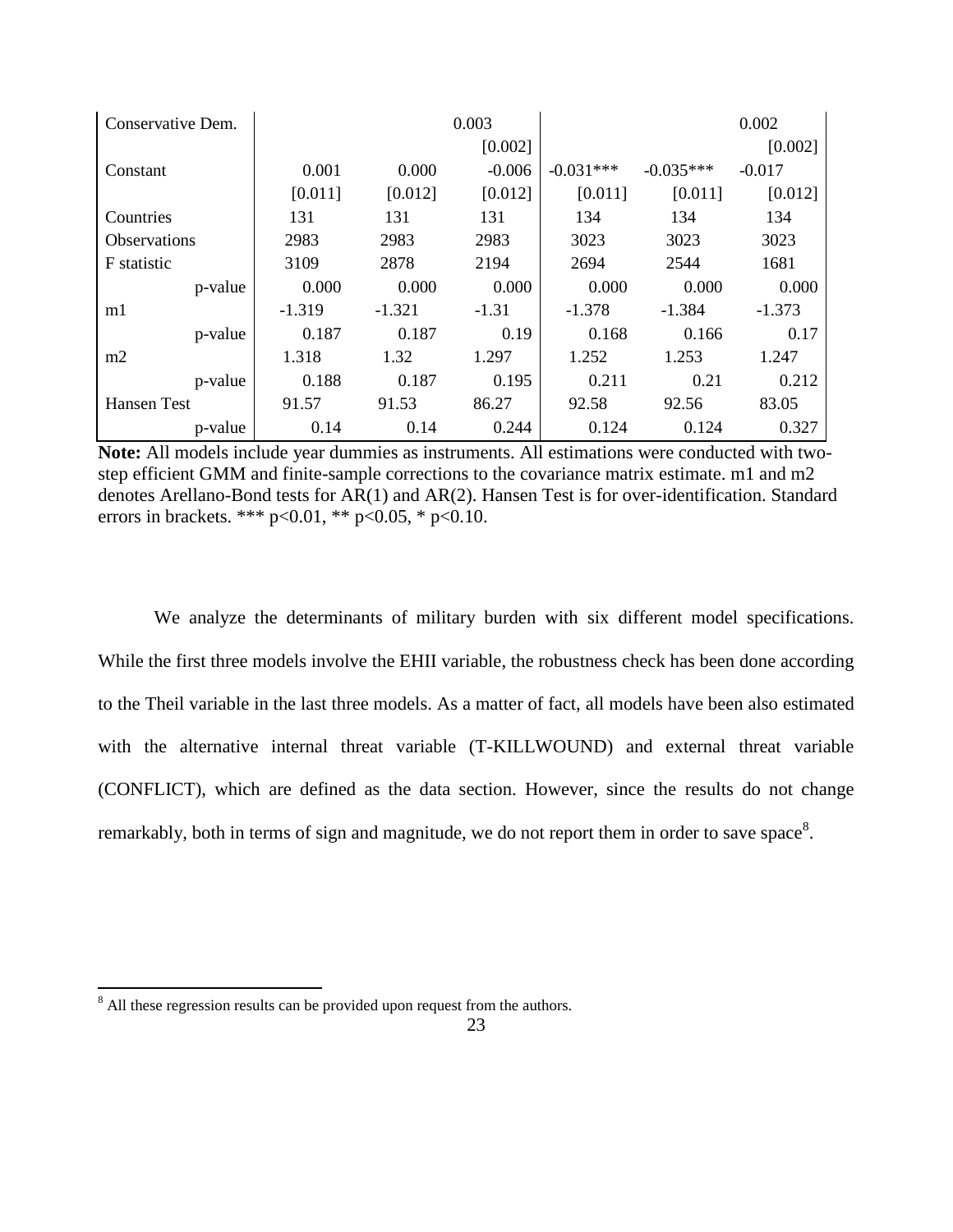| Conservative Dem.  |          |          | 0.003    |             |             | 0.002    |
|--------------------|----------|----------|----------|-------------|-------------|----------|
|                    |          |          | [0.002]  |             |             | [0.002]  |
| Constant           | 0.001    | 0.000    | $-0.006$ | $-0.031***$ | $-0.035***$ | $-0.017$ |
|                    | [0.011]  | [0.012]  | [0.012]  | [0.011]     | [0.011]     | [0.012]  |
| Countries          | 131      | 131      | 131      | 134         | 134         | 134      |
| Observations       | 2983     | 2983     | 2983     | 3023        | 3023        | 3023     |
| F statistic        | 3109     | 2878     | 2194     | 2694        | 2544        | 1681     |
| p-value            | 0.000    | 0.000    | 0.000    | 0.000       | 0.000       | 0.000    |
| m1                 | $-1.319$ | $-1.321$ | $-1.31$  | $-1.378$    | $-1.384$    | $-1.373$ |
| p-value            | 0.187    | 0.187    | 0.19     | 0.168       | 0.166       | 0.17     |
| m2                 | 1.318    | 1.32     | 1.297    | 1.252       | 1.253       | 1.247    |
| p-value            | 0.188    | 0.187    | 0.195    | 0.211       | 0.21        | 0.212    |
| <b>Hansen Test</b> | 91.57    | 91.53    | 86.27    | 92.58       | 92.56       | 83.05    |
| p-value            | 0.14     | 0.14     | 0.244    | 0.124       | 0.124       | 0.327    |

**Note:** All models include year dummies as instruments. All estimations were conducted with twostep efficient GMM and finite-sample corrections to the covariance matrix estimate. m1 and m2 denotes Arellano-Bond tests for AR(1) and AR(2). Hansen Test is for over-identification. Standard errors in brackets. \*\*\* p<0.01, \*\* p<0.05, \* p<0.10.

We analyze the determinants of military burden with six different model specifications. While the first three models involve the EHII variable, the robustness check has been done according to the Theil variable in the last three models. As a matter of fact, all models have been also estimated with the alternative internal threat variable (T-KILLWOUND) and external threat variable (CONFLICT), which are defined as the data section. However, since the results do not change remarkably, both in terms of sign and magnitude, we do not report them in order to save space<sup>8</sup>.

 $\overline{\phantom{a}}$ 

 $8$  All these regression results can be provided upon request from the authors.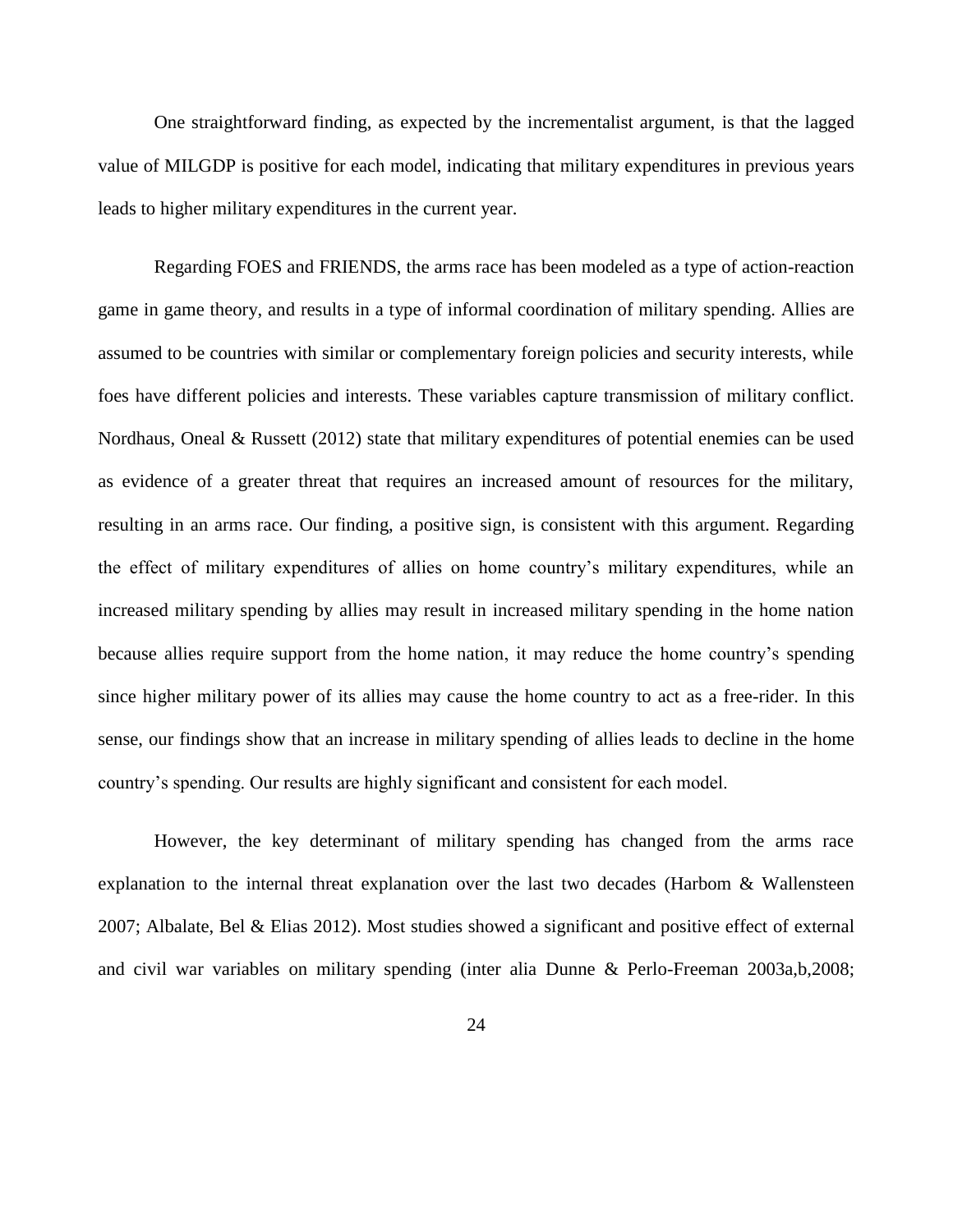One straightforward finding, as expected by the incrementalist argument, is that the lagged value of MILGDP is positive for each model, indicating that military expenditures in previous years leads to higher military expenditures in the current year.

Regarding FOES and FRIENDS, the arms race has been modeled as a type of action-reaction game in game theory, and results in a type of informal coordination of military spending. Allies are assumed to be countries with similar or complementary foreign policies and security interests, while foes have different policies and interests. These variables capture transmission of military conflict. Nordhaus, Oneal & Russett (2012) state that military expenditures of potential enemies can be used as evidence of a greater threat that requires an increased amount of resources for the military, resulting in an arms race. Our finding, a positive sign, is consistent with this argument. Regarding the effect of military expenditures of allies on home country's military expenditures, while an increased military spending by allies may result in increased military spending in the home nation because allies require support from the home nation, it may reduce the home country's spending since higher military power of its allies may cause the home country to act as a free-rider. In this sense, our findings show that an increase in military spending of allies leads to decline in the home country's spending. Our results are highly significant and consistent for each model.

However, the key determinant of military spending has changed from the arms race explanation to the internal threat explanation over the last two decades (Harbom  $\&$  Wallensteen 2007; Albalate, Bel & Elias 2012). Most studies showed a significant and positive effect of external and civil war variables on military spending (inter alia Dunne & Perlo-Freeman 2003a,b,2008;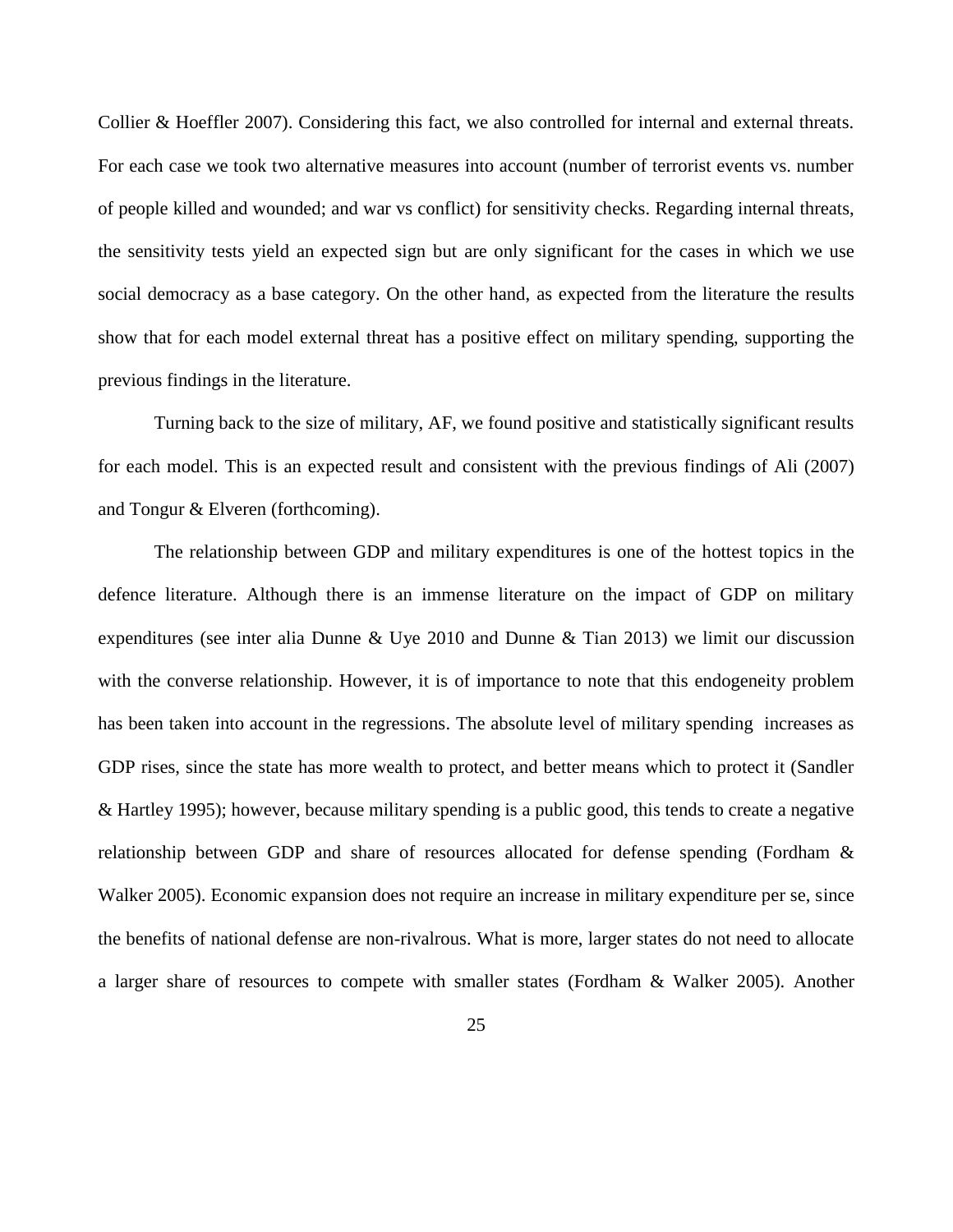Collier & Hoeffler 2007). Considering this fact, we also controlled for internal and external threats. For each case we took two alternative measures into account (number of terrorist events vs. number of people killed and wounded; and war vs conflict) for sensitivity checks. Regarding internal threats, the sensitivity tests yield an expected sign but are only significant for the cases in which we use social democracy as a base category. On the other hand, as expected from the literature the results show that for each model external threat has a positive effect on military spending, supporting the previous findings in the literature.

Turning back to the size of military, AF, we found positive and statistically significant results for each model. This is an expected result and consistent with the previous findings of Ali (2007) and Tongur & Elveren (forthcoming).

The relationship between GDP and military expenditures is one of the hottest topics in the defence literature. Although there is an immense literature on the impact of GDP on military expenditures (see inter alia Dunne & Uye 2010 and Dunne & Tian 2013) we limit our discussion with the converse relationship. However, it is of importance to note that this endogeneity problem has been taken into account in the regressions. The absolute level of military spending increases as GDP rises, since the state has more wealth to protect, and better means which to protect it (Sandler & Hartley 1995); however, because military spending is a public good, this tends to create a negative relationship between GDP and share of resources allocated for defense spending (Fordham & Walker 2005). Economic expansion does not require an increase in military expenditure per se, since the benefits of national defense are non-rivalrous. What is more, larger states do not need to allocate a larger share of resources to compete with smaller states (Fordham & Walker 2005). Another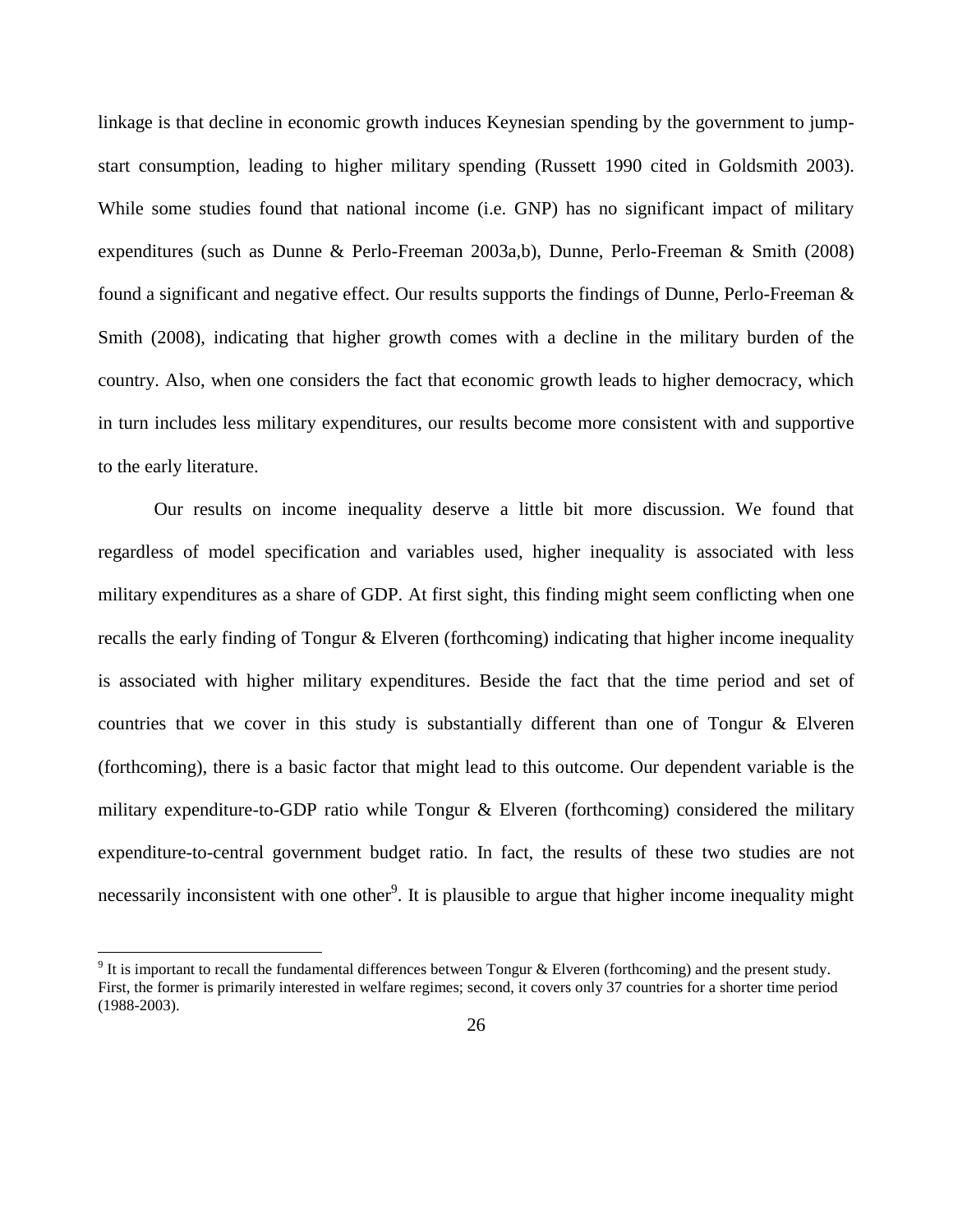linkage is that decline in economic growth induces Keynesian spending by the government to jumpstart consumption, leading to higher military spending (Russett 1990 cited in Goldsmith 2003). While some studies found that national income (i.e. GNP) has no significant impact of military expenditures (such as Dunne & Perlo-Freeman 2003a,b), Dunne, Perlo-Freeman & Smith (2008) found a significant and negative effect. Our results supports the findings of Dunne, Perlo-Freeman & Smith (2008), indicating that higher growth comes with a decline in the military burden of the country. Also, when one considers the fact that economic growth leads to higher democracy, which in turn includes less military expenditures, our results become more consistent with and supportive to the early literature.

Our results on income inequality deserve a little bit more discussion. We found that regardless of model specification and variables used, higher inequality is associated with less military expenditures as a share of GDP. At first sight, this finding might seem conflicting when one recalls the early finding of Tongur & Elveren (forthcoming) indicating that higher income inequality is associated with higher military expenditures. Beside the fact that the time period and set of countries that we cover in this study is substantially different than one of Tongur  $\&$  Elveren (forthcoming), there is a basic factor that might lead to this outcome. Our dependent variable is the military expenditure-to-GDP ratio while Tongur & Elveren (forthcoming) considered the military expenditure-to-central government budget ratio. In fact, the results of these two studies are not necessarily inconsistent with one other<sup>9</sup>. It is plausible to argue that higher income inequality might

l

<sup>&</sup>lt;sup>9</sup> It is important to recall the fundamental differences between Tongur & Elveren (forthcoming) and the present study. First, the former is primarily interested in welfare regimes; second, it covers only 37 countries for a shorter time period (1988-2003).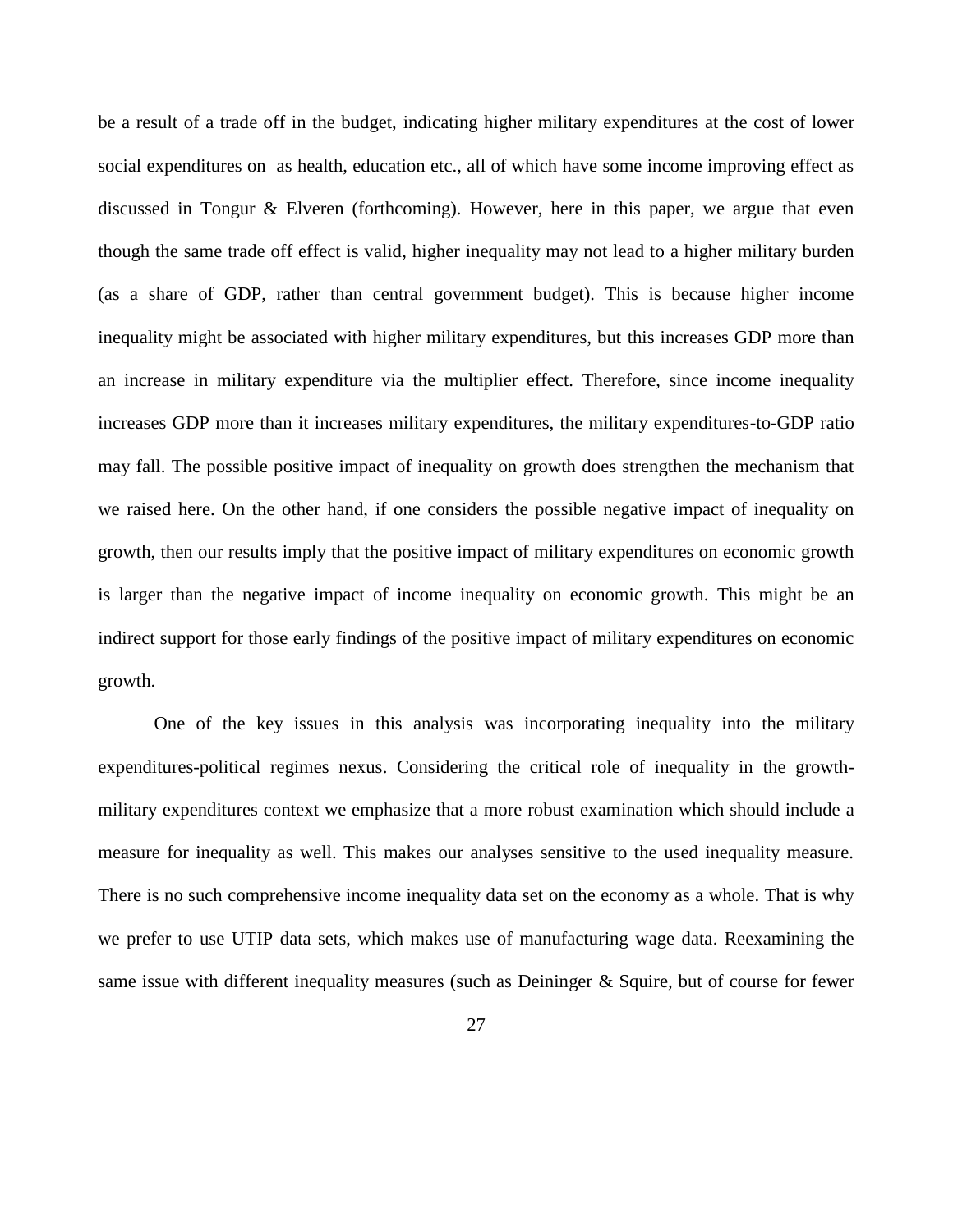be a result of a trade off in the budget, indicating higher military expenditures at the cost of lower social expenditures on as health, education etc., all of which have some income improving effect as discussed in Tongur & Elveren (forthcoming). However, here in this paper, we argue that even though the same trade off effect is valid, higher inequality may not lead to a higher military burden (as a share of GDP, rather than central government budget). This is because higher income inequality might be associated with higher military expenditures, but this increases GDP more than an increase in military expenditure via the multiplier effect. Therefore, since income inequality increases GDP more than it increases military expenditures, the military expenditures-to-GDP ratio may fall. The possible positive impact of inequality on growth does strengthen the mechanism that we raised here. On the other hand, if one considers the possible negative impact of inequality on growth, then our results imply that the positive impact of military expenditures on economic growth is larger than the negative impact of income inequality on economic growth. This might be an indirect support for those early findings of the positive impact of military expenditures on economic growth.

One of the key issues in this analysis was incorporating inequality into the military expenditures-political regimes nexus. Considering the critical role of inequality in the growthmilitary expenditures context we emphasize that a more robust examination which should include a measure for inequality as well. This makes our analyses sensitive to the used inequality measure. There is no such comprehensive income inequality data set on the economy as a whole. That is why we prefer to use UTIP data sets, which makes use of manufacturing wage data. Reexamining the same issue with different inequality measures (such as Deininger & Squire, but of course for fewer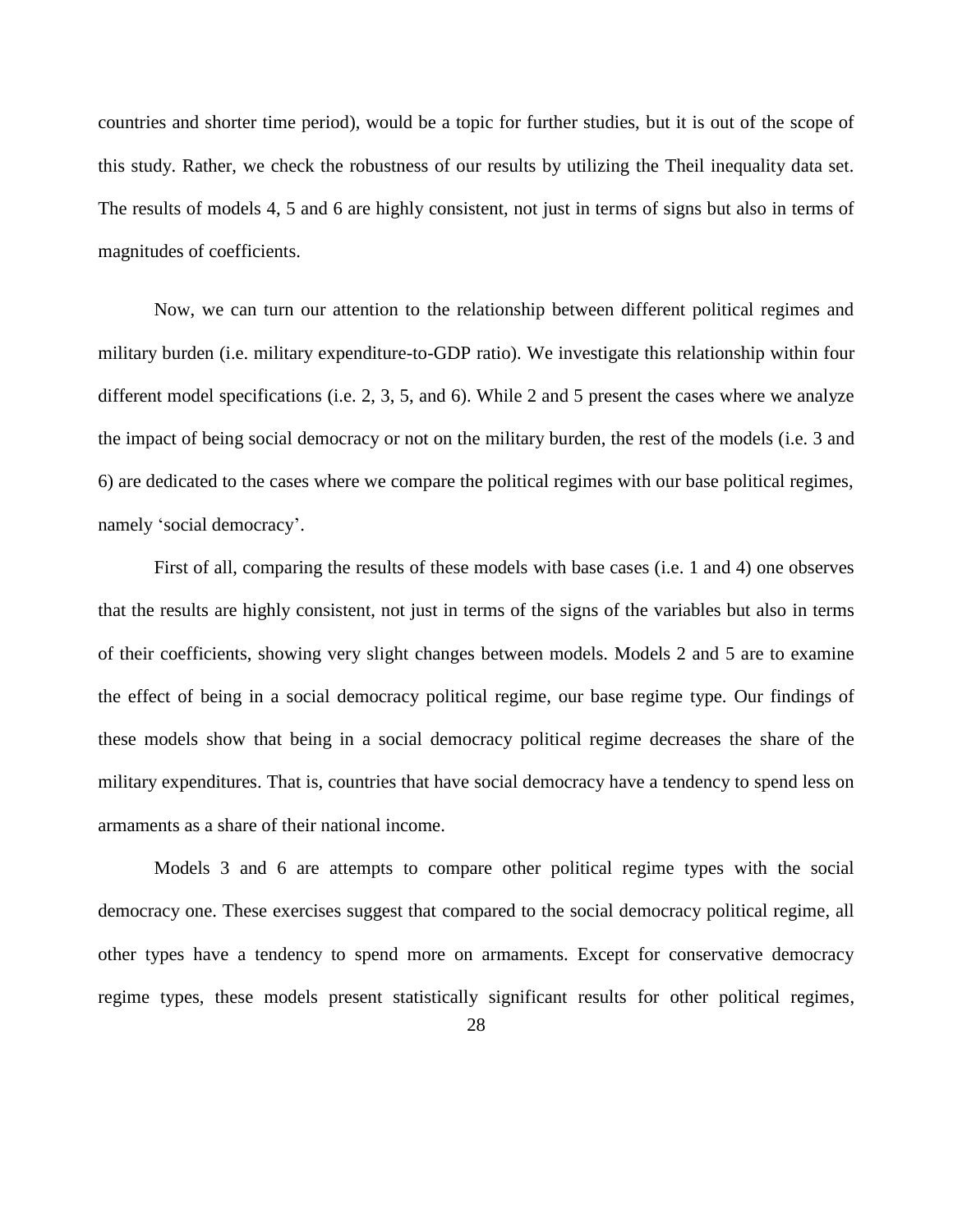countries and shorter time period), would be a topic for further studies, but it is out of the scope of this study. Rather, we check the robustness of our results by utilizing the Theil inequality data set. The results of models 4, 5 and 6 are highly consistent, not just in terms of signs but also in terms of magnitudes of coefficients.

Now, we can turn our attention to the relationship between different political regimes and military burden (i.e. military expenditure-to-GDP ratio). We investigate this relationship within four different model specifications (i.e. 2, 3, 5, and 6). While 2 and 5 present the cases where we analyze the impact of being social democracy or not on the military burden, the rest of the models (i.e. 3 and 6) are dedicated to the cases where we compare the political regimes with our base political regimes, namely 'social democracy'.

First of all, comparing the results of these models with base cases (i.e. 1 and 4) one observes that the results are highly consistent, not just in terms of the signs of the variables but also in terms of their coefficients, showing very slight changes between models. Models 2 and 5 are to examine the effect of being in a social democracy political regime, our base regime type. Our findings of these models show that being in a social democracy political regime decreases the share of the military expenditures. That is, countries that have social democracy have a tendency to spend less on armaments as a share of their national income.

Models 3 and 6 are attempts to compare other political regime types with the social democracy one. These exercises suggest that compared to the social democracy political regime, all other types have a tendency to spend more on armaments. Except for conservative democracy regime types, these models present statistically significant results for other political regimes,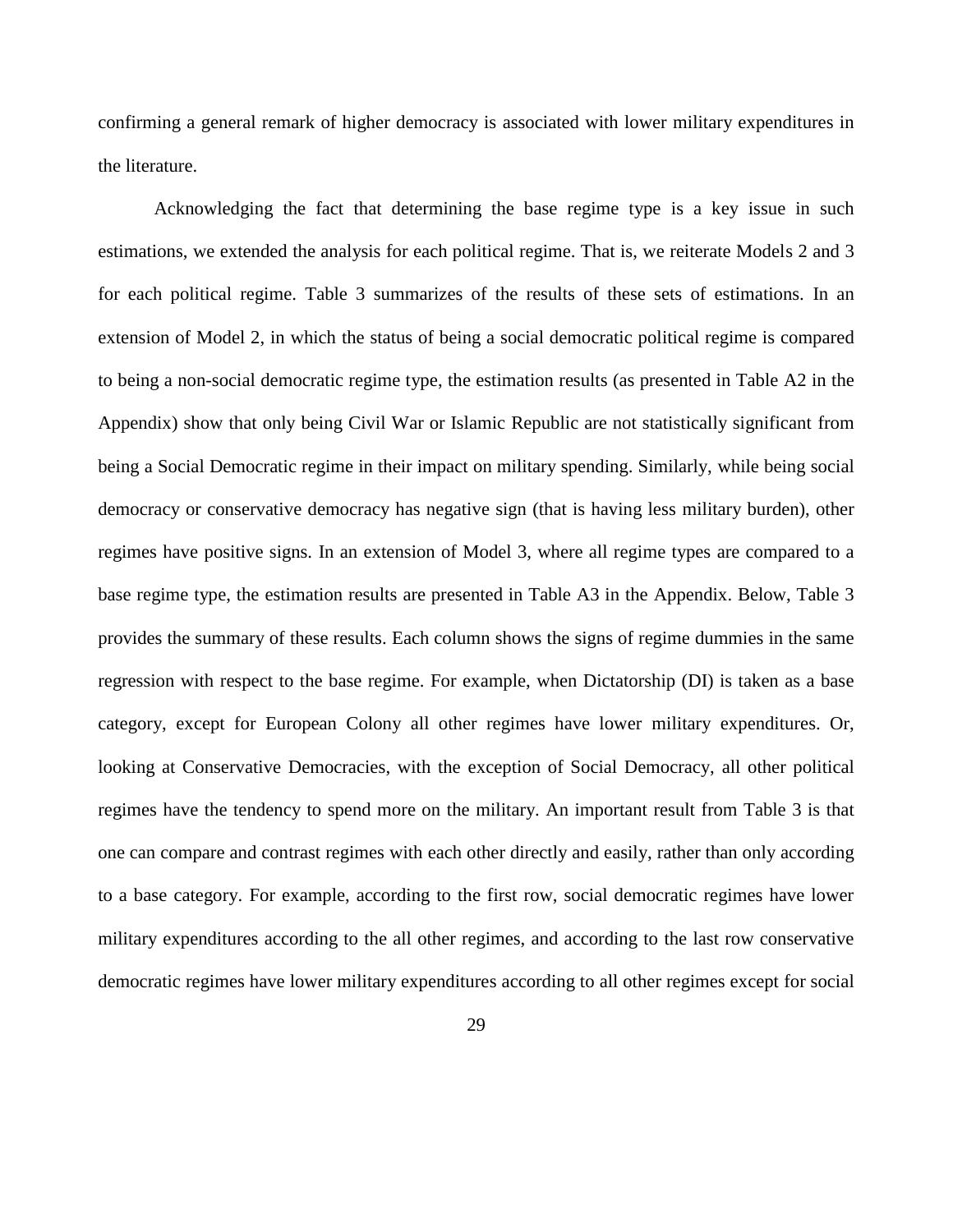confirming a general remark of higher democracy is associated with lower military expenditures in the literature.

Acknowledging the fact that determining the base regime type is a key issue in such estimations, we extended the analysis for each political regime. That is, we reiterate Models 2 and 3 for each political regime. Table 3 summarizes of the results of these sets of estimations. In an extension of Model 2, in which the status of being a social democratic political regime is compared to being a non-social democratic regime type, the estimation results (as presented in Table A2 in the Appendix) show that only being Civil War or Islamic Republic are not statistically significant from being a Social Democratic regime in their impact on military spending. Similarly, while being social democracy or conservative democracy has negative sign (that is having less military burden), other regimes have positive signs. In an extension of Model 3, where all regime types are compared to a base regime type, the estimation results are presented in Table A3 in the Appendix. Below, Table 3 provides the summary of these results. Each column shows the signs of regime dummies in the same regression with respect to the base regime. For example, when Dictatorship (DI) is taken as a base category, except for European Colony all other regimes have lower military expenditures. Or, looking at Conservative Democracies, with the exception of Social Democracy, all other political regimes have the tendency to spend more on the military. An important result from Table 3 is that one can compare and contrast regimes with each other directly and easily, rather than only according to a base category. For example, according to the first row, social democratic regimes have lower military expenditures according to the all other regimes, and according to the last row conservative democratic regimes have lower military expenditures according to all other regimes except for social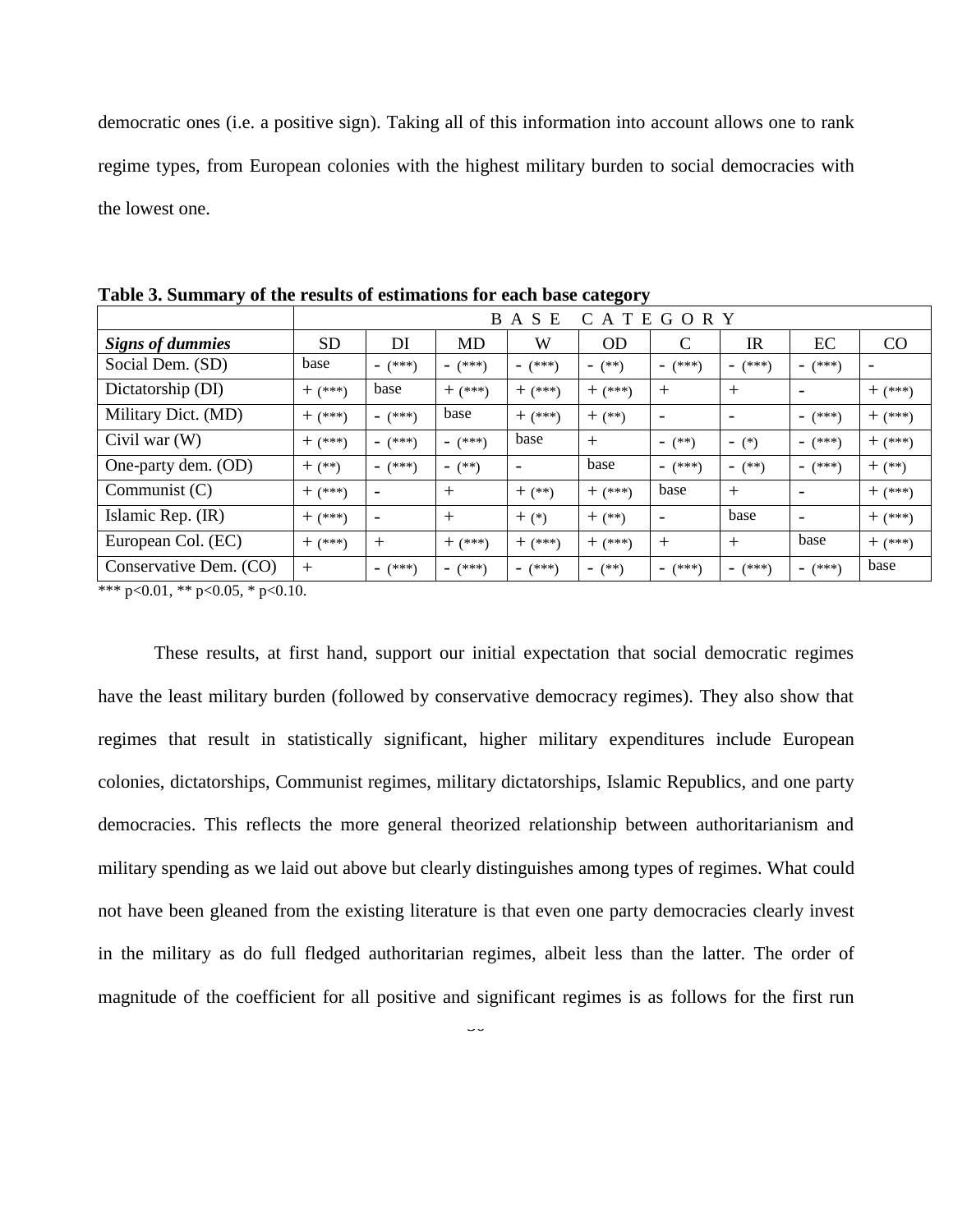democratic ones (i.e. a positive sign). Taking all of this information into account allows one to rank regime types, from European colonies with the highest military burden to social democracies with the lowest one.

|                         |             | <sub>B</sub><br>A S<br>E<br>CATEGORY |                                     |                          |                                    |                          |           |          |             |
|-------------------------|-------------|--------------------------------------|-------------------------------------|--------------------------|------------------------------------|--------------------------|-----------|----------|-------------|
| <b>Signs of dummies</b> | <b>SD</b>   | DI                                   | MD                                  | W                        | <b>OD</b>                          | C                        | <b>IR</b> | EС       | CO          |
| Social Dem. (SD)        | base        | $ (***)$                             | $ (***)$                            | $ (***)$                 | $ (**)$                            | $ (***)$                 | $ (***)$  | $ (***)$ |             |
| Dictatorship (DI)       | $+$ (***)   | base                                 | $+$ $(***)$                         | $+$ (***)                | $+$ $(***)$                        | $^{+}$                   | $^{+}$    |          | $+$ (***)   |
| Military Dict. (MD)     | $+$ $(***)$ | $ (***)$                             | base                                | $+$ $(***)$              | $+$ (**)                           | $\overline{\phantom{0}}$ |           | $ (***)$ | $+$ $(***)$ |
| Civil war $(W)$         | $+$ (***)   | $(***")$<br>$\overline{\phantom{0}}$ | $(***)$<br>$\overline{\phantom{0}}$ | base                     | $+$                                | $ (**)$                  | $ (*)$    | $ (***)$ | $+$ $(***)$ |
| One-party dem. (OD)     | $+$ $(**)$  | $ (***)$                             | $ (**)$                             | $\overline{\phantom{a}}$ | base                               | $ (***)$                 | $ (**)$   | $ (***)$ | $+$ $(**)$  |
| Communist $(C)$         | $+$ (***)   |                                      | $^{+}$                              | $+$ $(**)$               | $+$ $(***)$                        | base                     | $^{+}$    |          | $+$ $(***)$ |
| Islamic Rep. (IR)       | $+$ $(***)$ |                                      | $^{+}$                              | $+$ (*)                  | $+$ $(**)$                         | $\overline{\phantom{0}}$ | base      |          | $+$ $(***)$ |
| European Col. (EC)      | $+$ $(***)$ | $^{+}$                               | $+$ $(***)$                         | $+$ $(***)$              | $+$ $(***)$                        | $^{+}$                   | $^{+}$    | base     | $+$ $(***)$ |
| Conservative Dem. (CO)  | $^{+}$      | (***)<br>$\overline{\phantom{0}}$    | $(***)$<br>Ξ.                       | $ (***)$                 | $(**)$<br>$\overline{\phantom{0}}$ | $ (***)$                 | $ (***)$  | $ (***)$ | base        |

**Table 3. Summary of the results of estimations for each base category**

\*\*\* p<0.01, \*\* p<0.05, \* p<0.10.

These results, at first hand, support our initial expectation that social democratic regimes have the least military burden (followed by conservative democracy regimes). They also show that regimes that result in statistically significant, higher military expenditures include European colonies, dictatorships, Communist regimes, military dictatorships, Islamic Republics, and one party democracies. This reflects the more general theorized relationship between authoritarianism and military spending as we laid out above but clearly distinguishes among types of regimes. What could not have been gleaned from the existing literature is that even one party democracies clearly invest in the military as do full fledged authoritarian regimes, albeit less than the latter. The order of magnitude of the coefficient for all positive and significant regimes is as follows for the first run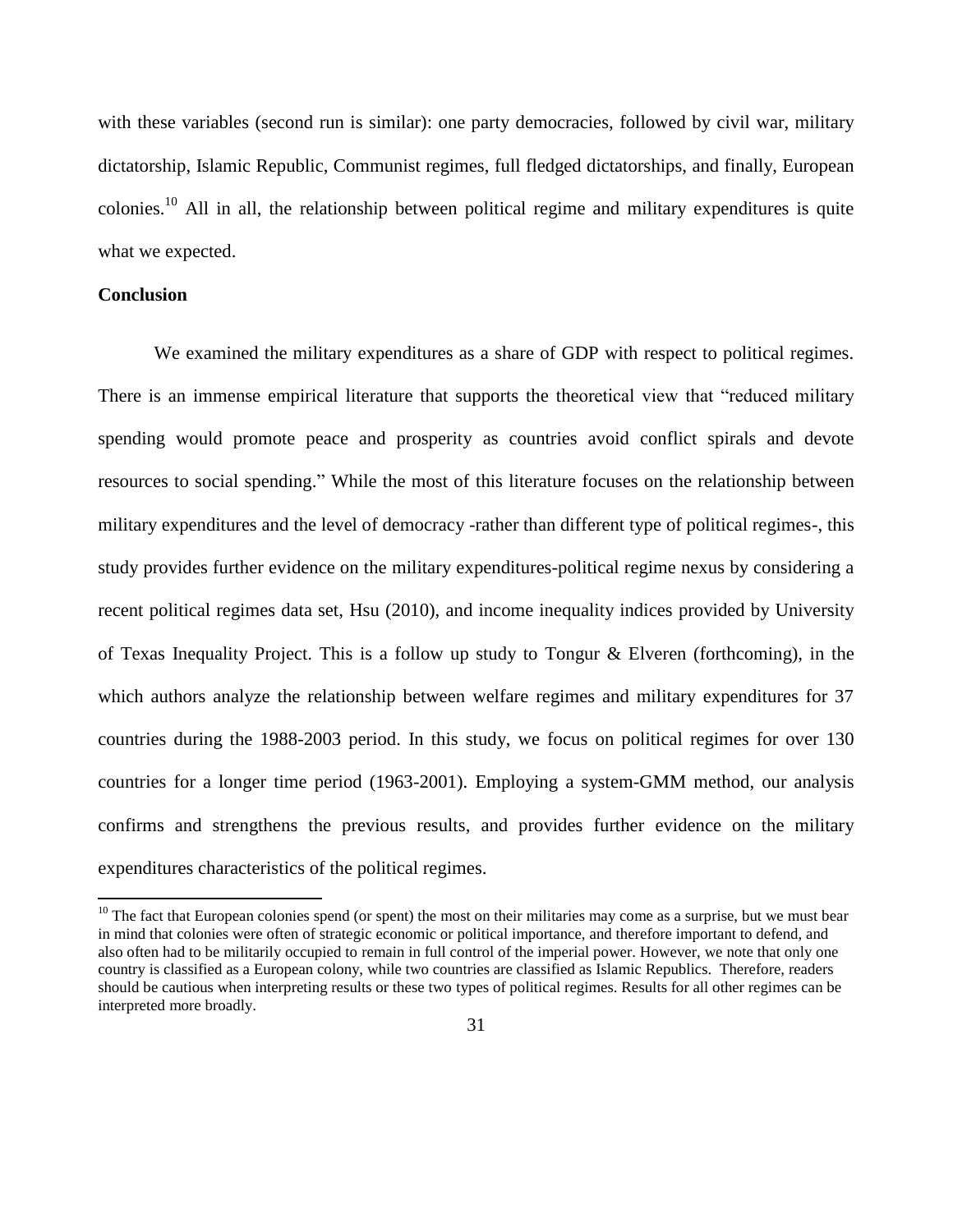with these variables (second run is similar): one party democracies, followed by civil war, military dictatorship, Islamic Republic, Communist regimes, full fledged dictatorships, and finally, European colonies.<sup>10</sup> All in all, the relationship between political regime and military expenditures is quite what we expected.

# **Conclusion**

 $\overline{a}$ 

We examined the military expenditures as a share of GDP with respect to political regimes. There is an immense empirical literature that supports the theoretical view that "reduced military spending would promote peace and prosperity as countries avoid conflict spirals and devote resources to social spending." While the most of this literature focuses on the relationship between military expenditures and the level of democracy -rather than different type of political regimes-, this study provides further evidence on the military expenditures-political regime nexus by considering a recent political regimes data set, Hsu (2010), and income inequality indices provided by University of Texas Inequality Project. This is a follow up study to Tongur & Elveren (forthcoming), in the which authors analyze the relationship between welfare regimes and military expenditures for 37 countries during the 1988-2003 period. In this study, we focus on political regimes for over 130 countries for a longer time period (1963-2001). Employing a system-GMM method, our analysis confirms and strengthens the previous results, and provides further evidence on the military expenditures characteristics of the political regimes.

 $10$  The fact that European colonies spend (or spent) the most on their militaries may come as a surprise, but we must bear in mind that colonies were often of strategic economic or political importance, and therefore important to defend, and also often had to be militarily occupied to remain in full control of the imperial power. However, we note that only one country is classified as a European colony, while two countries are classified as Islamic Republics. Therefore, readers should be cautious when interpreting results or these two types of political regimes. Results for all other regimes can be interpreted more broadly.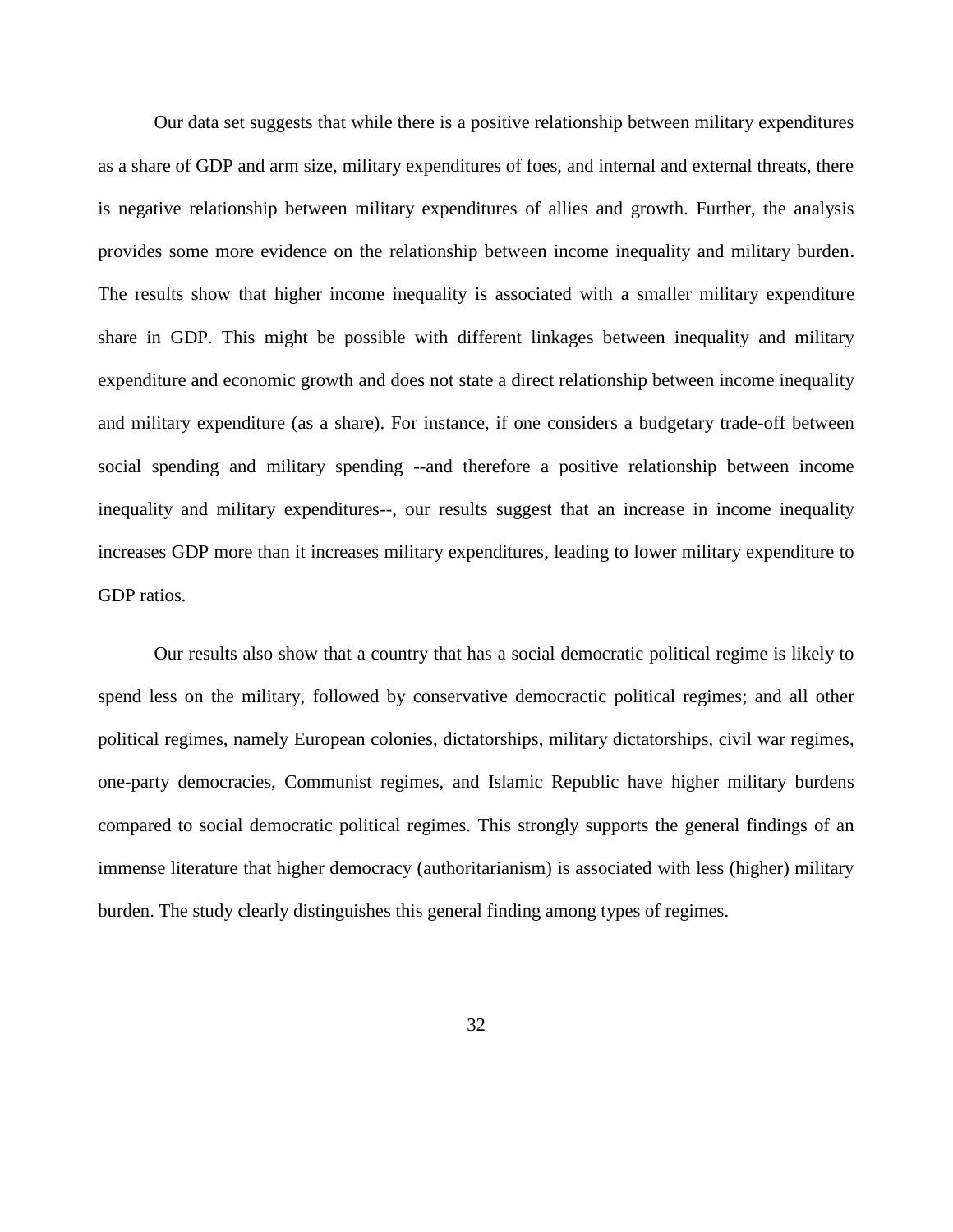Our data set suggests that while there is a positive relationship between military expenditures as a share of GDP and arm size, military expenditures of foes, and internal and external threats, there is negative relationship between military expenditures of allies and growth. Further, the analysis provides some more evidence on the relationship between income inequality and military burden. The results show that higher income inequality is associated with a smaller military expenditure share in GDP. This might be possible with different linkages between inequality and military expenditure and economic growth and does not state a direct relationship between income inequality and military expenditure (as a share). For instance, if one considers a budgetary trade-off between social spending and military spending --and therefore a positive relationship between income inequality and military expenditures--, our results suggest that an increase in income inequality increases GDP more than it increases military expenditures, leading to lower military expenditure to GDP ratios.

Our results also show that a country that has a social democratic political regime is likely to spend less on the military, followed by conservative democractic political regimes; and all other political regimes, namely European colonies, dictatorships, military dictatorships, civil war regimes, one-party democracies, Communist regimes, and Islamic Republic have higher military burdens compared to social democratic political regimes. This strongly supports the general findings of an immense literature that higher democracy (authoritarianism) is associated with less (higher) military burden. The study clearly distinguishes this general finding among types of regimes.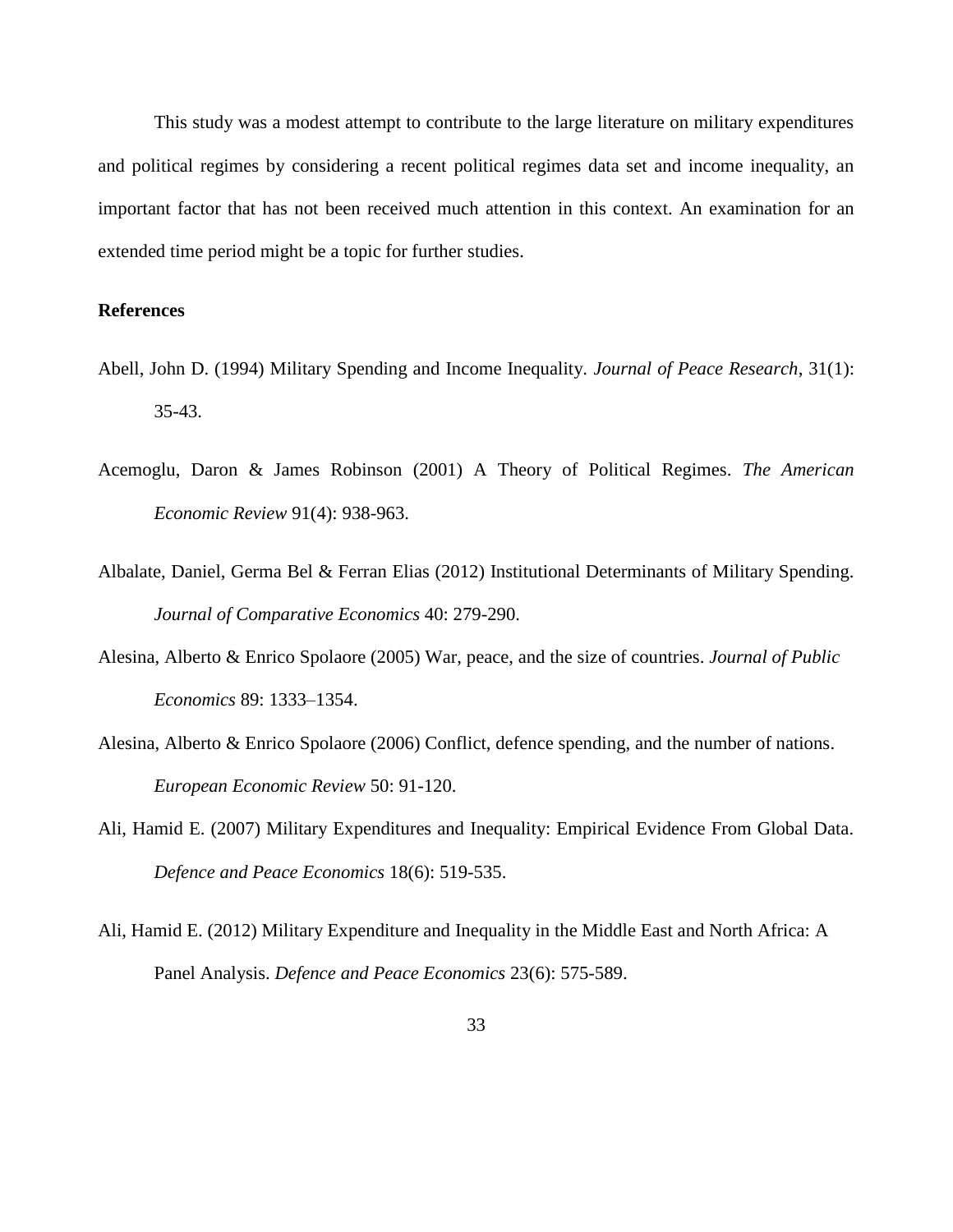This study was a modest attempt to contribute to the large literature on military expenditures and political regimes by considering a recent political regimes data set and income inequality, an important factor that has not been received much attention in this context. An examination for an extended time period might be a topic for further studies.

# **References**

- Abell, John D. (1994) Military Spending and Income Inequality. *Journal of Peace Research*, 31(1): 35-43.
- Acemoglu, Daron & James Robinson (2001) A Theory of Political Regimes. *The American Economic Review* 91(4): 938-963.
- Albalate, Daniel, Germa Bel & Ferran Elias (2012) Institutional Determinants of Military Spending. *Journal of Comparative Economics* 40: 279-290.
- Alesina, Alberto & Enrico Spolaore (2005) War, peace, and the size of countries. *Journal of Public Economics* 89: 1333–1354.
- Alesina, Alberto & Enrico Spolaore (2006) Conflict, defence spending, and the number of nations. *European Economic Review* 50: 91-120.
- Ali, Hamid E. (2007) Military Expenditures and Inequality: Empirical Evidence From Global Data. *Defence and Peace Economics* 18(6): 519-535.
- Ali, Hamid E. (2012) Military Expenditure and Inequality in the Middle East and North Africa: A Panel Analysis. *Defence and Peace Economics* 23(6): 575-589.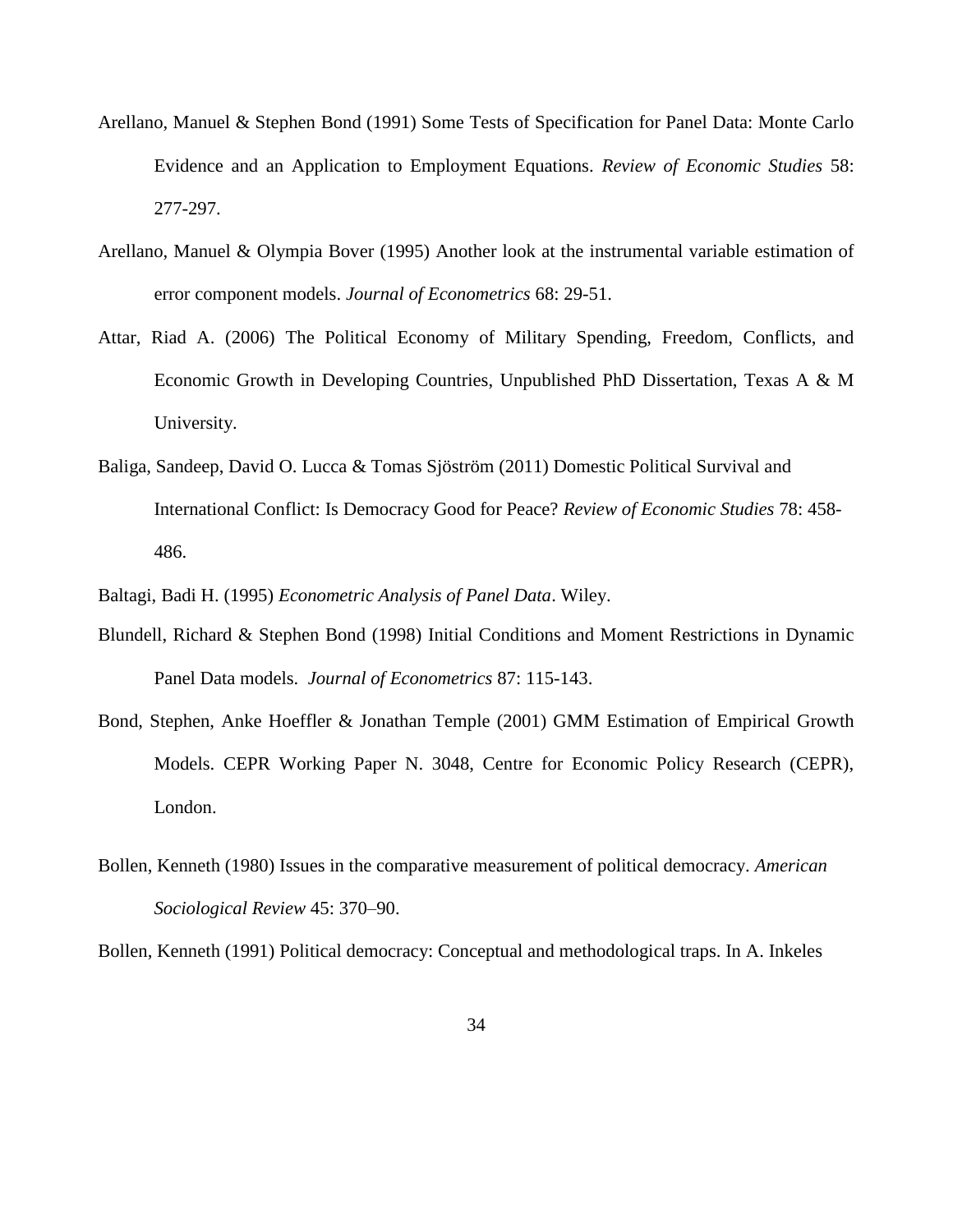- Arellano, Manuel & Stephen Bond (1991) Some Tests of Specification for Panel Data: Monte Carlo Evidence and an Application to Employment Equations. *Review of Economic Studies* 58: 277-297.
- Arellano, Manuel & Olympia Bover (1995) Another look at the instrumental variable estimation of error component models. *Journal of Econometrics* 68: 29-51.
- Attar, Riad A. (2006) The Political Economy of Military Spending, Freedom, Conflicts, and Economic Growth in Developing Countries, Unpublished PhD Dissertation, Texas A & M University.
- Baliga, Sandeep, David O. Lucca & Tomas Sjöström (2011) Domestic Political Survival and International Conflict: Is Democracy Good for Peace? *Review of Economic Studies* 78: 458- 486.
- Baltagi, Badi H. (1995) *Econometric Analysis of Panel Data*. Wiley.
- Blundell, Richard & Stephen Bond (1998) Initial Conditions and Moment Restrictions in Dynamic Panel Data models. *Journal of Econometrics* 87: 115-143.
- Bond, Stephen, Anke Hoeffler & Jonathan Temple (2001) GMM Estimation of Empirical Growth Models. CEPR Working Paper N. 3048, Centre for Economic Policy Research (CEPR), London.
- Bollen, Kenneth (1980) Issues in the comparative measurement of political democracy. *American Sociological Review* 45: 370–90.

Bollen, Kenneth (1991) Political democracy: Conceptual and methodological traps. In A. Inkeles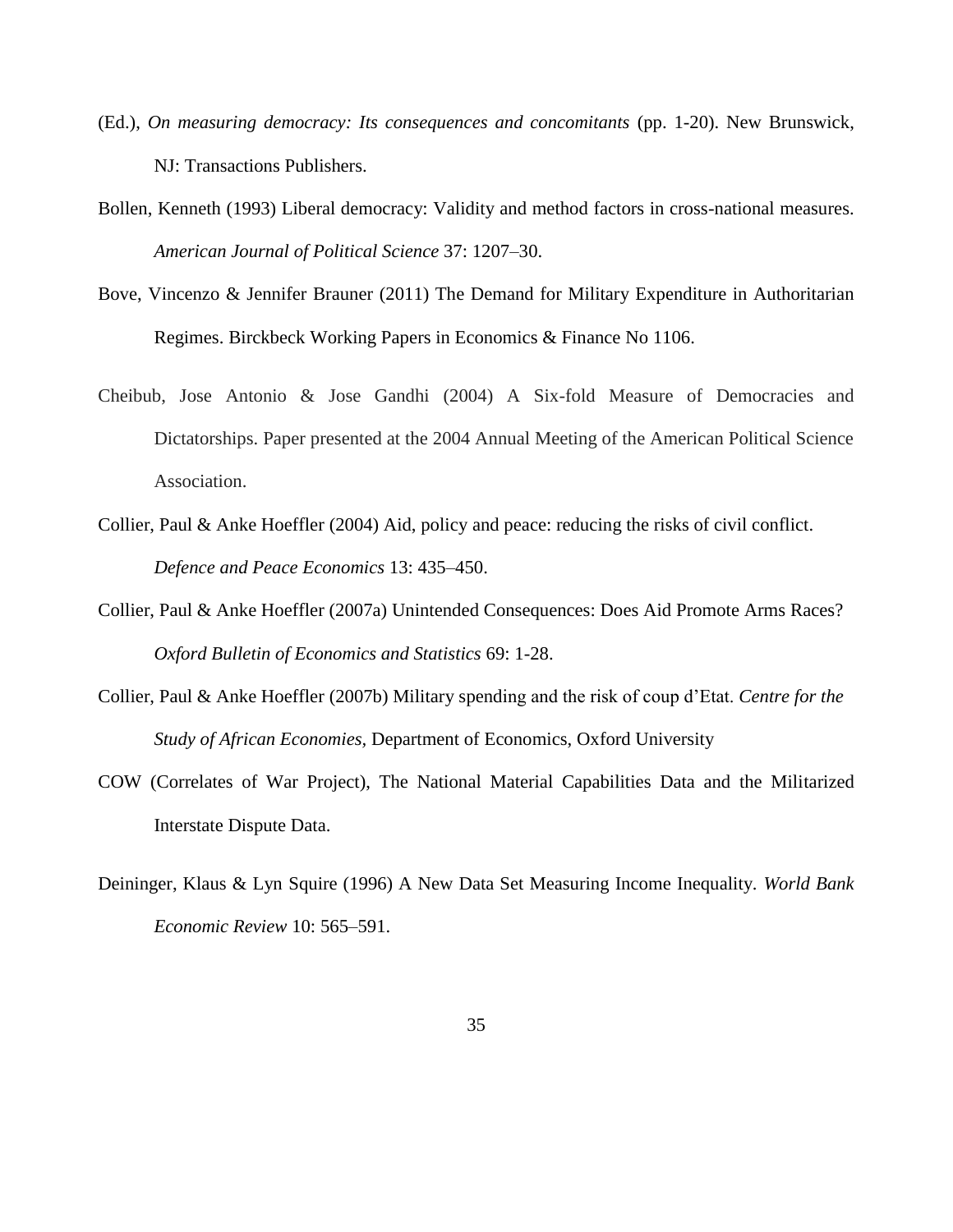- (Ed.), *On measuring democracy: Its consequences and concomitants* (pp. 1-20). New Brunswick, NJ: Transactions Publishers.
- Bollen, Kenneth (1993) Liberal democracy: Validity and method factors in cross-national measures. *American Journal of Political Science* 37: 1207–30.
- Bove, Vincenzo & Jennifer Brauner (2011) The Demand for Military Expenditure in Authoritarian Regimes. Birckbeck Working Papers in Economics & Finance No 1106.
- Cheibub, Jose Antonio & Jose Gandhi (2004) A Six-fold Measure of Democracies and Dictatorships. Paper presented at the 2004 Annual Meeting of the American Political Science Association.
- Collier, Paul & Anke Hoeffler (2004) Aid, policy and peace: reducing the risks of civil conflict. *Defence and Peace Economics* 13: 435–450.
- Collier, Paul & Anke Hoeffler (2007a) Unintended Consequences: Does Aid Promote Arms Races? *Oxford Bulletin of Economics and Statistics* 69: 1-28.
- Collier, Paul & Anke Hoeffler (2007b) Military spending and the risk of coup d'Etat. *Centre for the Study of African Economies,* Department of Economics, Oxford University
- COW (Correlates of War Project), The National Material Capabilities Data and the Militarized Interstate Dispute Data.
- Deininger, Klaus & Lyn Squire (1996) A New Data Set Measuring Income Inequality. *World Bank Economic Review* 10: 565–591.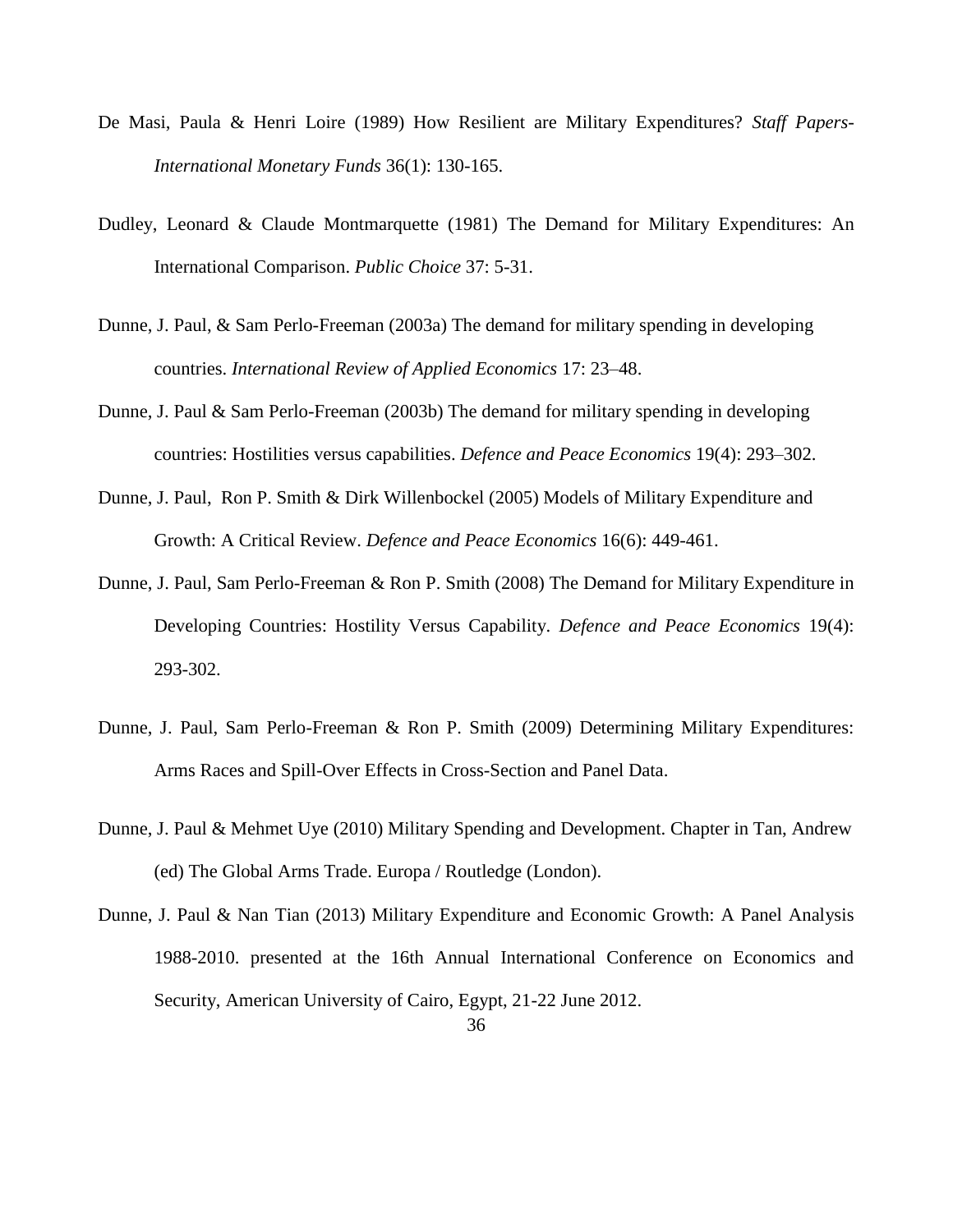- De Masi, Paula & Henri Loire (1989) How Resilient are Military Expenditures? *Staff Papers-International Monetary Funds* 36(1): 130-165.
- Dudley, Leonard & Claude Montmarquette (1981) The Demand for Military Expenditures: An International Comparison. *Public Choice* 37: 5-31.
- Dunne, J. Paul, & Sam Perlo-Freeman (2003a) The demand for military spending in developing countries. *International Review of Applied Economics* 17: 23–48.
- Dunne, J. Paul & Sam Perlo-Freeman (2003b) The demand for military spending in developing countries: Hostilities versus capabilities. *Defence and Peace Economics* 19(4): 293–302.
- Dunne, J. Paul, Ron P. Smith & Dirk Willenbockel (2005) Models of Military Expenditure and Growth: A Critical Review. *Defence and Peace Economics* 16(6): 449-461.
- Dunne, J. Paul, Sam Perlo-Freeman & Ron P. Smith (2008) The Demand for Military Expenditure in Developing Countries: Hostility Versus Capability. *Defence and Peace Economics* 19(4): 293-302.
- Dunne, J. Paul, Sam Perlo-Freeman & Ron P. Smith (2009) Determining Military Expenditures: Arms Races and Spill-Over Effects in Cross-Section and Panel Data.
- Dunne, J. Paul & Mehmet Uye (2010) Military Spending and Development. Chapter in Tan, Andrew (ed) The Global Arms Trade. Europa / Routledge (London).
- Dunne, J. Paul & Nan Tian (2013) Military Expenditure and Economic Growth: A Panel Analysis 1988-2010. presented at the 16th Annual International Conference on Economics and Security, American University of Cairo, Egypt, 21-22 June 2012.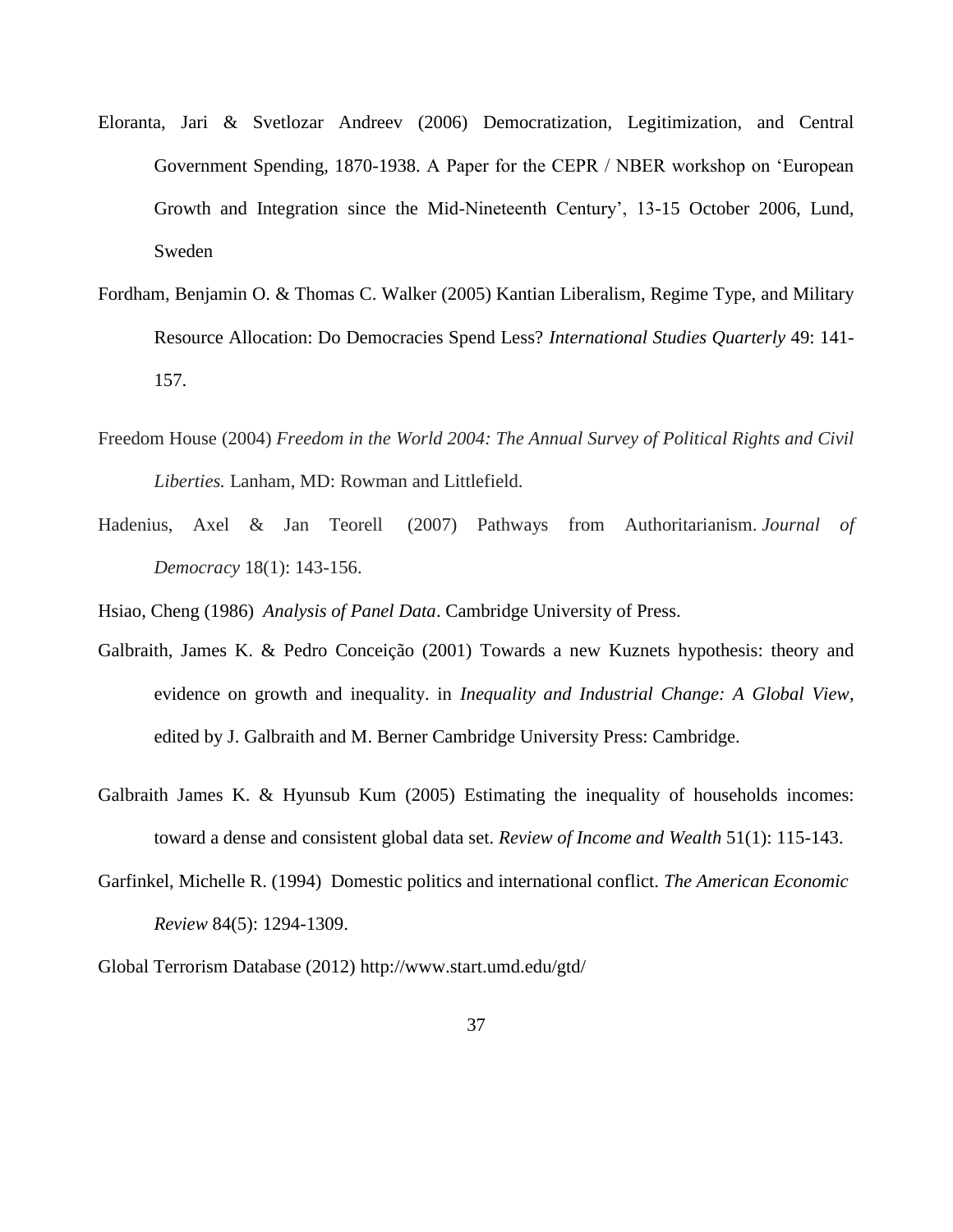- Eloranta, Jari & Svetlozar Andreev (2006) Democratization, Legitimization, and Central Government Spending, 1870-1938. A Paper for the CEPR / NBER workshop on 'European Growth and Integration since the Mid-Nineteenth Century', 13-15 October 2006, Lund, Sweden
- Fordham, Benjamin O. & Thomas C. Walker (2005) Kantian Liberalism, Regime Type, and Military Resource Allocation: Do Democracies Spend Less? *International Studies Quarterly* 49: 141- 157.
- Freedom House (2004) *Freedom in the World 2004: The Annual Survey of Political Rights and Civil Liberties.* Lanham, MD: Rowman and Littlefield.
- Hadenius, Axel & Jan Teorell (2007) Pathways from Authoritarianism. *Journal of Democracy* 18(1): 143-156.

Hsiao, Cheng (1986) *Analysis of Panel Data*. Cambridge University of Press.

- Galbraith, James K. & Pedro Conceição (2001) Towards a new Kuznets hypothesis: theory and evidence on growth and inequality. in *Inequality and Industrial Change: A Global View*, edited by J. Galbraith and M. Berner Cambridge University Press: Cambridge.
- Galbraith James K. & Hyunsub Kum (2005) Estimating the inequality of households incomes: toward a dense and consistent global data set. *Review of Income and Wealth* 51(1): 115-143.
- Garfinkel, Michelle R. (1994) Domestic politics and international conflict. *The American Economic Review* 84(5): 1294-1309.

Global Terrorism Database (2012)<http://www.start.umd.edu/gtd/>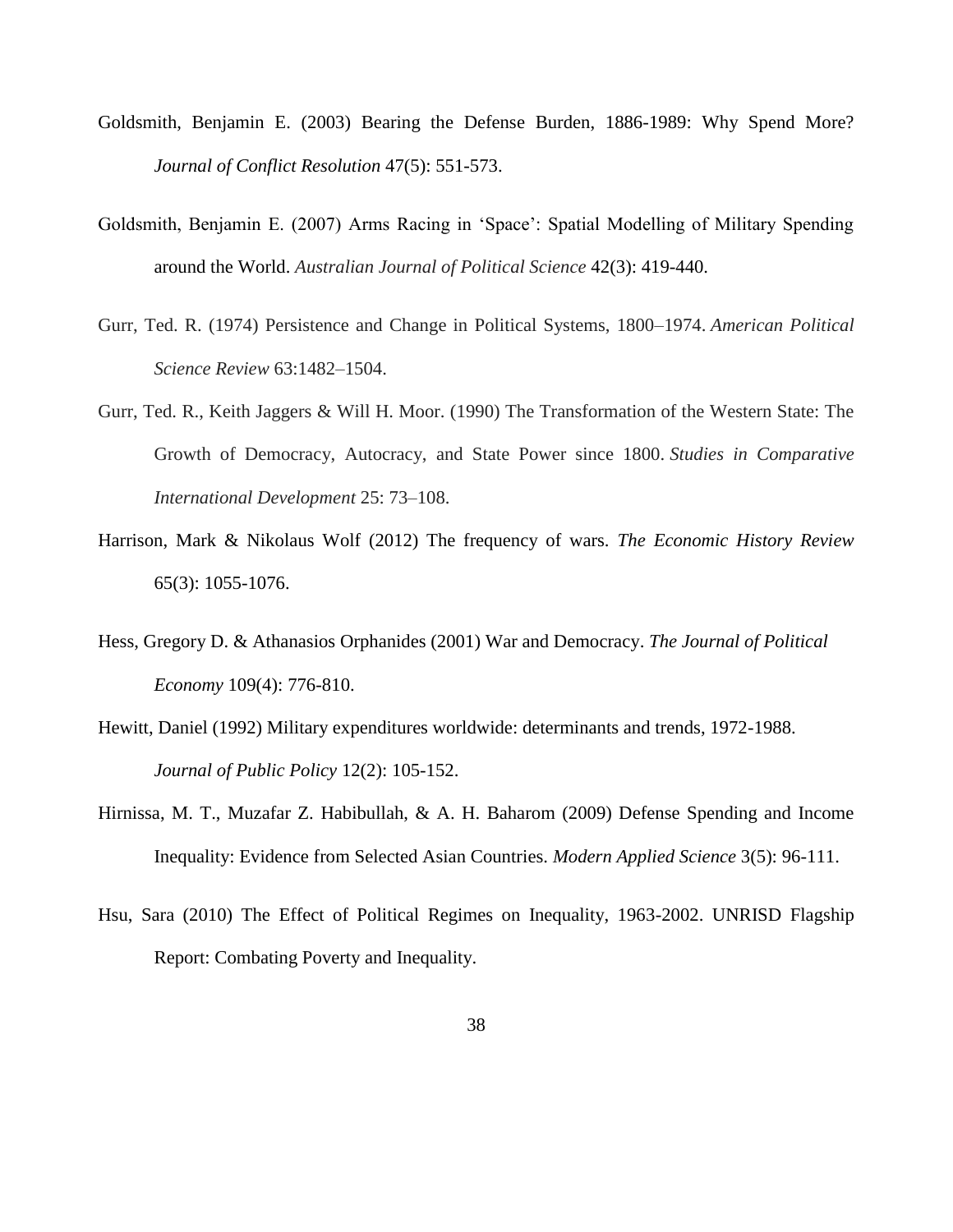- Goldsmith, Benjamin E. (2003) Bearing the Defense Burden, 1886-1989: Why Spend More? *Journal of Conflict Resolution* 47(5): 551-573.
- Goldsmith, Benjamin E. (2007) Arms Racing in 'Space': Spatial Modelling of Military Spending around the World. *Australian Journal of Political Science* 42(3): 419-440.
- Gurr, Ted. R. (1974) Persistence and Change in Political Systems, 1800–1974. *American Political Science Review* 63:1482–1504.
- Gurr, Ted. R., Keith Jaggers & Will H. Moor. (1990) The Transformation of the Western State: The Growth of Democracy, Autocracy, and State Power since 1800. *Studies in Comparative International Development* 25: 73–108.
- Harrison, Mark & Nikolaus Wolf (2012) The frequency of wars. *The Economic History Review* 65(3): 1055-1076.
- Hess, Gregory D. & Athanasios Orphanides (2001) War and Democracy. *The Journal of Political Economy* 109(4): 776-810.
- Hewitt, Daniel (1992) Military expenditures worldwide: determinants and trends, 1972-1988. *Journal of Public Policy* 12(2): 105-152.
- Hirnissa, M. T., Muzafar Z. Habibullah, & A. H. Baharom (2009) Defense Spending and Income Inequality: Evidence from Selected Asian Countries. *Modern Applied Science* 3(5): 96-111.
- Hsu, Sara (2010) The Effect of Political Regimes on Inequality, 1963-2002. UNRISD Flagship Report: Combating Poverty and Inequality.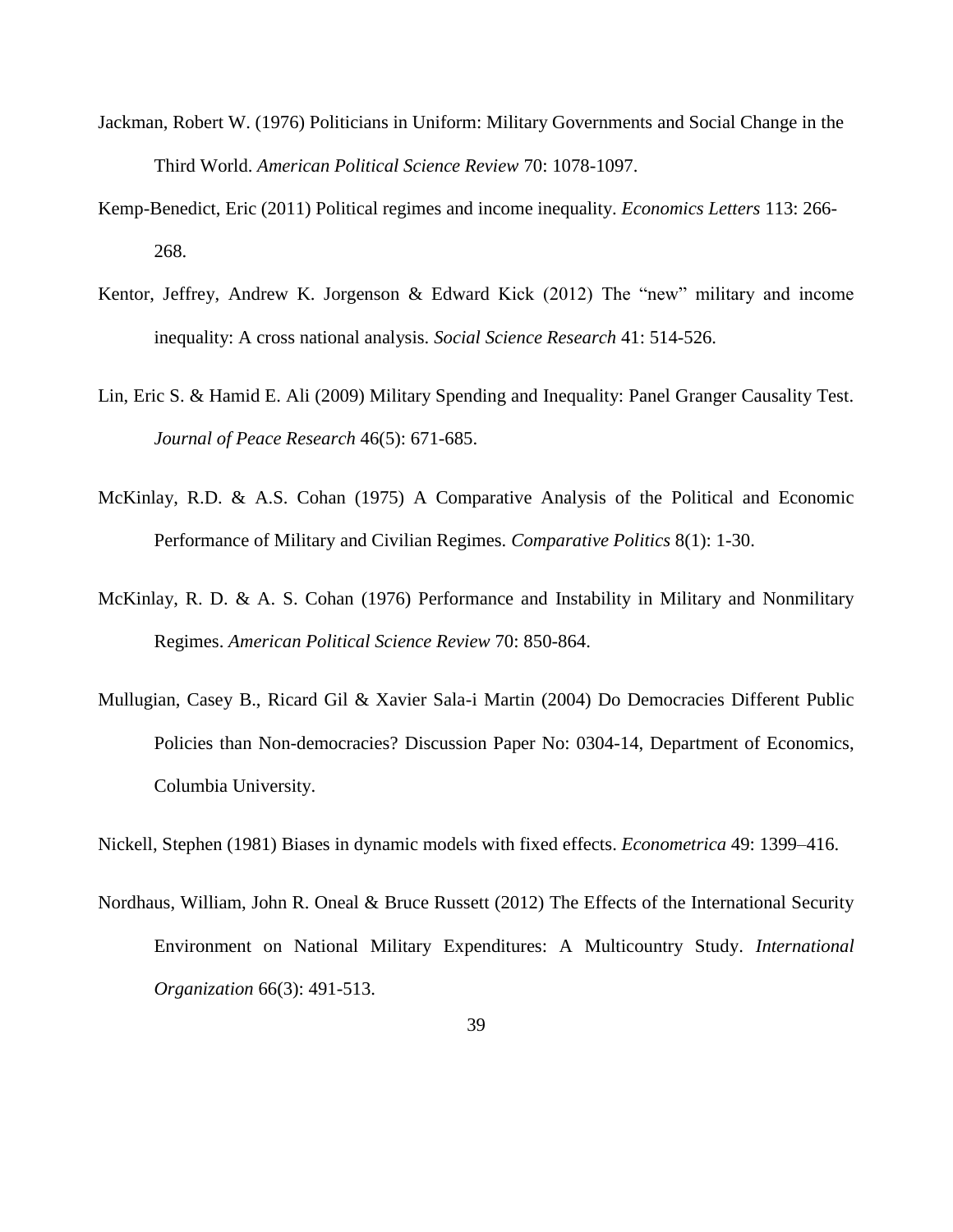- Jackman, Robert W. (1976) Politicians in Uniform: Military Governments and Social Change in the Third World. *American Political Science Review* 70: 1078-1097.
- Kemp-Benedict, Eric (2011) Political regimes and income inequality. *Economics Letters* 113: 266- 268.
- Kentor, Jeffrey, Andrew K. Jorgenson & Edward Kick (2012) The "new" military and income inequality: A cross national analysis. *Social Science Research* 41: 514-526.
- Lin, Eric S. & Hamid E. Ali (2009) Military Spending and Inequality: Panel Granger Causality Test. *Journal of Peace Research* 46(5): 671-685.
- McKinlay, R.D. & A.S. Cohan (1975) A Comparative Analysis of the Political and Economic Performance of Military and Civilian Regimes. *Comparative Politics* 8(1): 1-30.
- McKinlay, R. D. & A. S. Cohan (1976) Performance and Instability in Military and Nonmilitary Regimes. *American Political Science Review* 70: 850-864.
- Mullugian, Casey B., Ricard Gil & Xavier Sala-i Martin (2004) Do Democracies Different Public Policies than Non-democracies? Discussion Paper No: 0304-14, Department of Economics, Columbia University.

Nickell, Stephen (1981) Biases in dynamic models with fixed effects. *Econometrica* 49: 1399–416.

Nordhaus, William, John R. Oneal & Bruce Russett (2012) The Effects of the International Security Environment on National Military Expenditures: A Multicountry Study. *International Organization* 66(3): 491-513.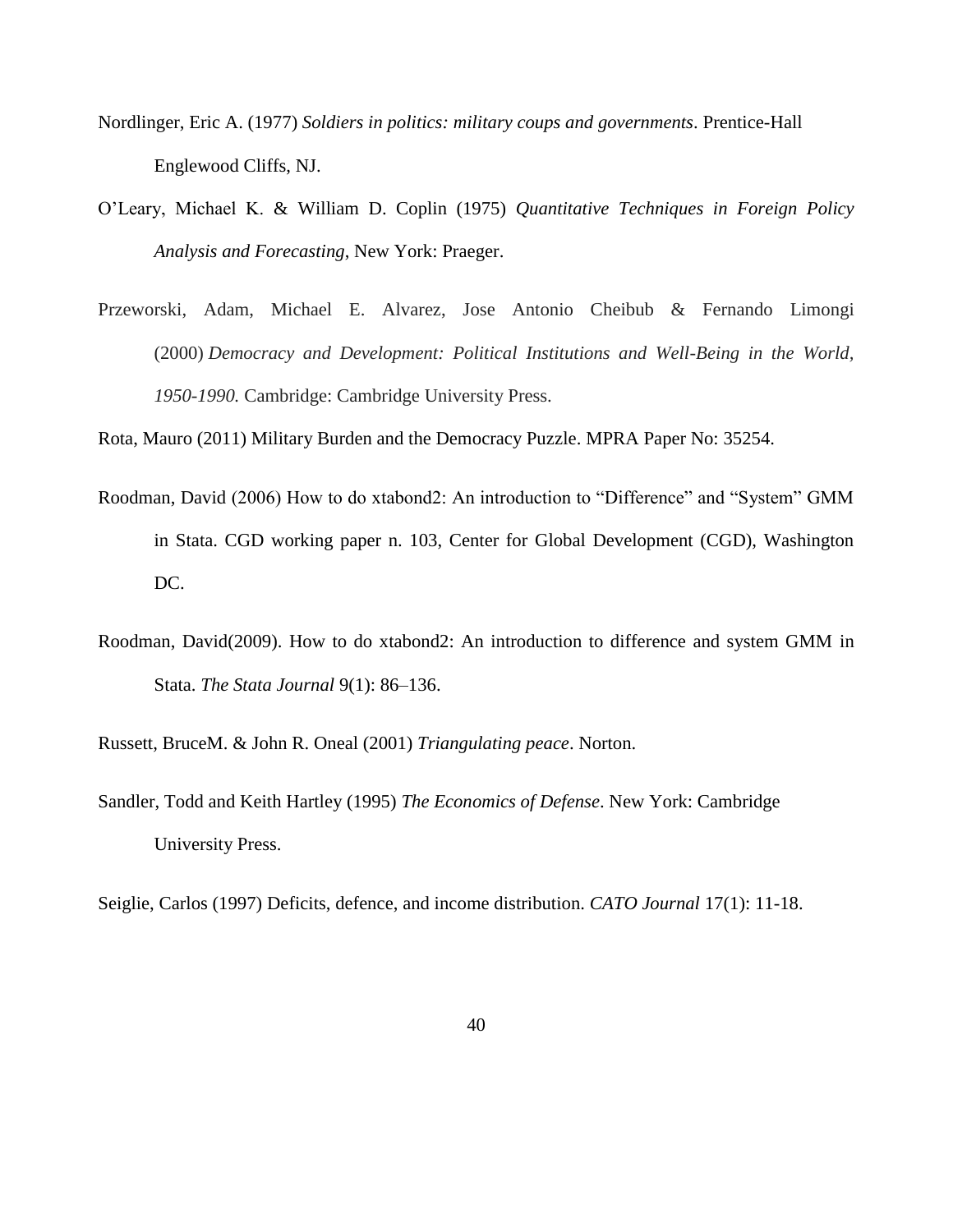- Nordlinger, Eric A. (1977) *Soldiers in politics: military coups and governments*. Prentice-Hall Englewood Cliffs, NJ.
- O'Leary, Michael K. & William D. Coplin (1975) *Quantitative Techniques in Foreign Policy Analysis and Forecasting*, New York: Praeger.
- Przeworski, Adam, Michael E. Alvarez, Jose Antonio Cheibub & Fernando Limongi (2000) *Democracy and Development: Political Institutions and Well-Being in the World, 1950-1990.* Cambridge: Cambridge University Press.

Rota, Mauro (2011) Military Burden and the Democracy Puzzle. MPRA Paper No: 35254.

- Roodman, David (2006) How to do xtabond2: An introduction to "Difference" and "System" GMM in Stata. CGD working paper n. 103, Center for Global Development (CGD), Washington DC.
- Roodman, David(2009). How to do xtabond2: An introduction to difference and system GMM in Stata. *The Stata Journal* 9(1): 86–136.

Russett, BruceM. & John R. Oneal (2001) *Triangulating peace*. Norton.

Sandler, Todd and Keith Hartley (1995) *The Economics of Defense*. New York: Cambridge University Press.

Seiglie, Carlos (1997) Deficits, defence, and income distribution. *CATO Journal* 17(1): 11-18.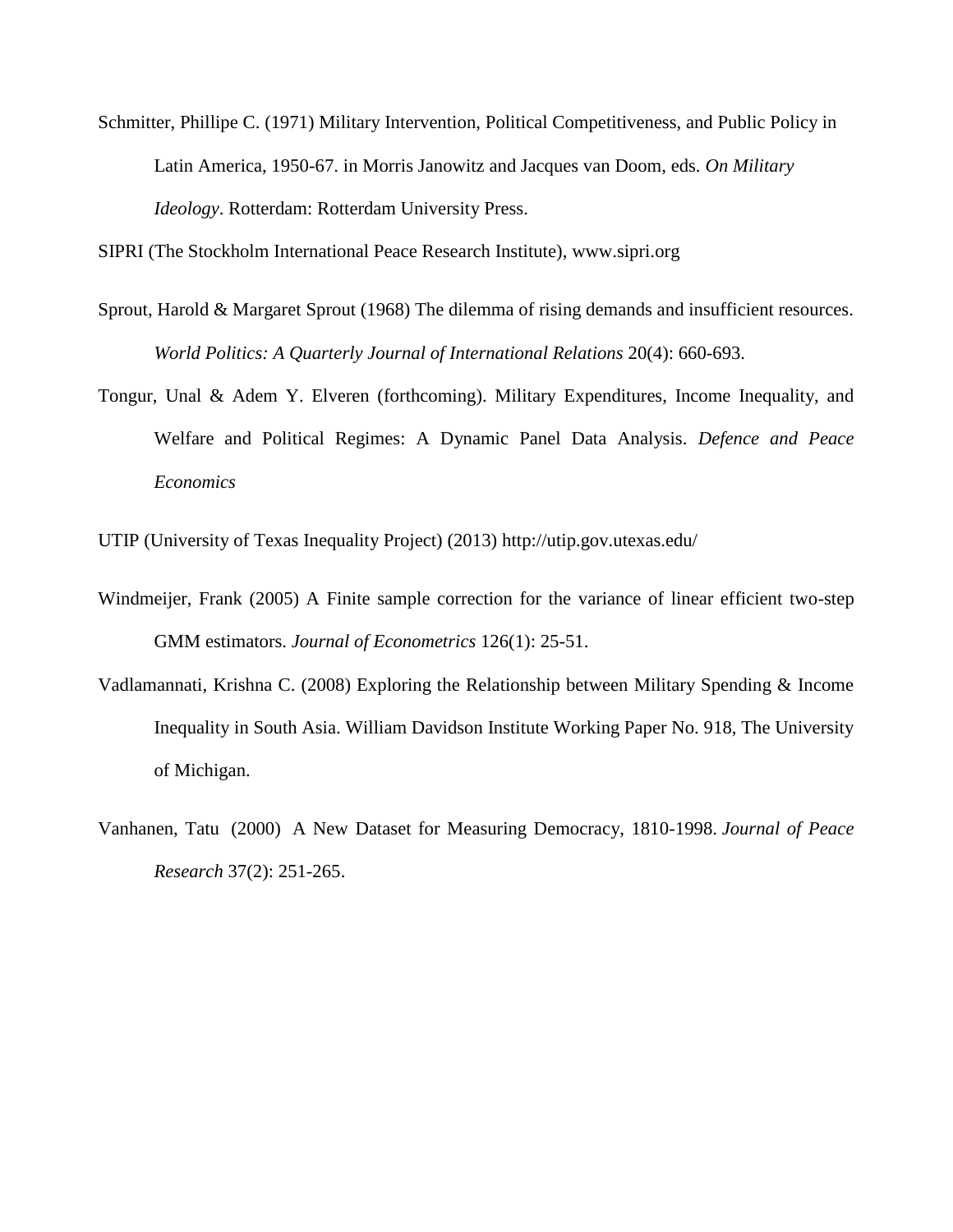Schmitter, Phillipe C. (1971) Military Intervention, Political Competitiveness, and Public Policy in Latin America, 1950-67. in Morris Janowitz and Jacques van Doom, eds. *On Military Ideology*. Rotterdam: Rotterdam University Press.

SIPRI (The Stockholm International Peace Research Institute), [www.sipri.org](http://www.sipri.org/)

- Sprout, Harold & Margaret Sprout (1968) The dilemma of rising demands and insufficient resources. *World Politics: A Quarterly Journal of International Relations* 20(4): 660-693.
- Tongur, Unal & Adem Y. Elveren (forthcoming). Military Expenditures, Income Inequality, and Welfare and Political Regimes: A Dynamic Panel Data Analysis. *Defence and Peace Economics*

UTIP (University of Texas Inequality Project) (2013)<http://utip.gov.utexas.edu/>

- Windmeijer, Frank (2005) A Finite sample correction for the variance of linear efficient two-step GMM estimators. *Journal of Econometrics* 126(1): 25-51.
- Vadlamannati, Krishna C. (2008) Exploring the Relationship between Military Spending & Income Inequality in South Asia. William Davidson Institute Working Paper No. 918, The University of Michigan.
- Vanhanen, Tatu (2000) A New Dataset for Measuring Democracy, 1810-1998. *Journal of Peace Research* 37(2): 251-265.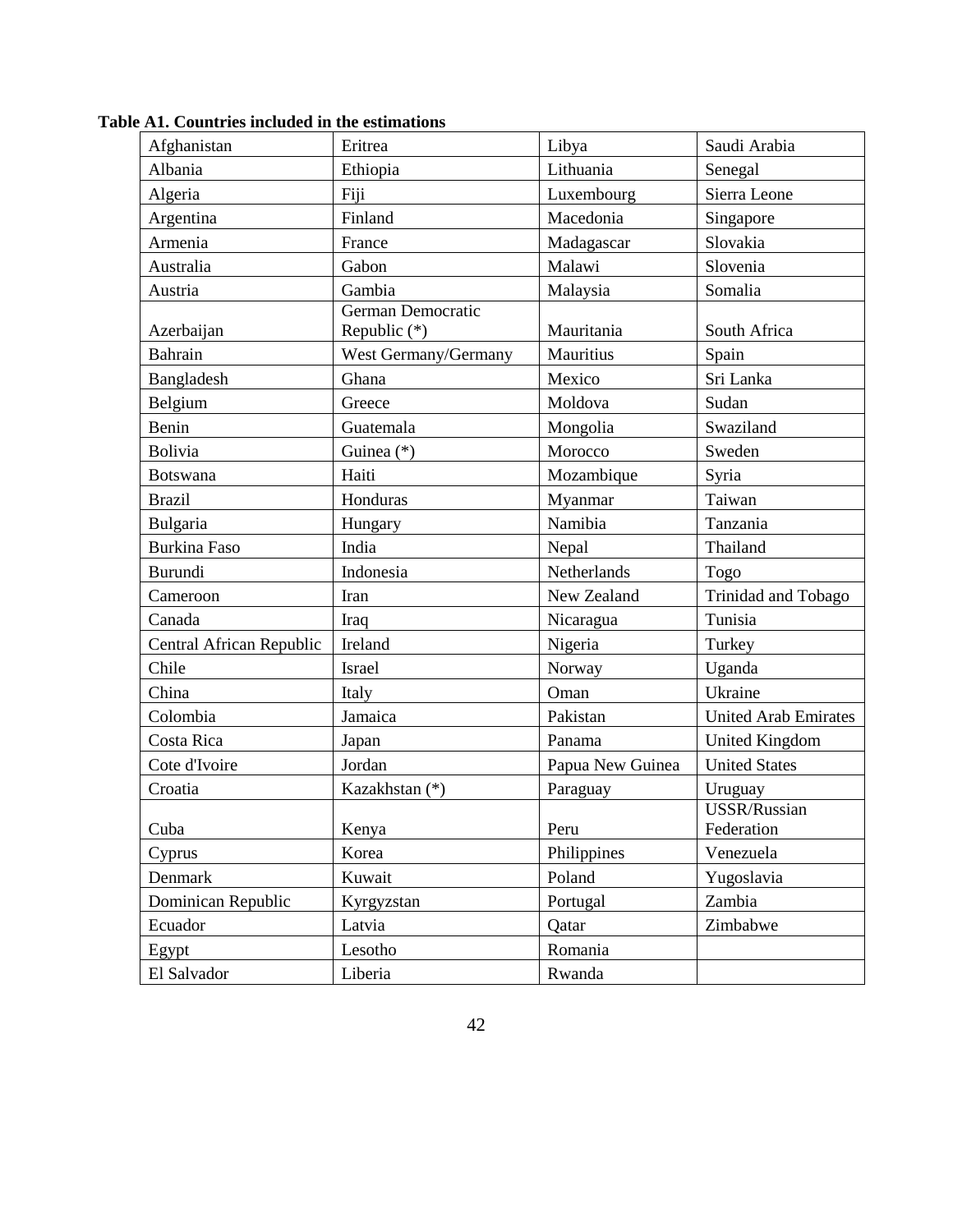| Afghanistan              | Eritrea                           | Libya            | Saudi Arabia                |
|--------------------------|-----------------------------------|------------------|-----------------------------|
| Albania                  | Ethiopia                          | Lithuania        | Senegal                     |
| Algeria                  | Fiji                              | Luxembourg       | Sierra Leone                |
| Argentina                | Finland                           | Macedonia        | Singapore                   |
| Armenia                  | France                            | Madagascar       | Slovakia                    |
| Australia                | Gabon                             | Malawi           | Slovenia                    |
| Austria                  | Gambia                            | Malaysia         | Somalia                     |
| Azerbaijan               | German Democratic<br>Republic (*) | Mauritania       | South Africa                |
| Bahrain                  | West Germany/Germany              | Mauritius        | Spain                       |
| Bangladesh               | Ghana                             | Mexico           | Sri Lanka                   |
| Belgium                  | Greece                            | Moldova          | Sudan                       |
| Benin                    | Guatemala                         | Mongolia         | Swaziland                   |
| <b>Bolivia</b>           | Guinea $(*)$                      | Morocco          | Sweden                      |
| <b>Botswana</b>          | Haiti                             | Mozambique       | Syria                       |
| <b>Brazil</b>            | Honduras                          | Myanmar          | Taiwan                      |
| Bulgaria                 | Hungary                           | Namibia          | Tanzania                    |
| <b>Burkina Faso</b>      | India                             | Nepal            | Thailand                    |
| Burundi                  | Indonesia                         | Netherlands      | Togo                        |
| Cameroon                 | Iran                              | New Zealand      | Trinidad and Tobago         |
| Canada                   | Iraq                              | Nicaragua        | Tunisia                     |
| Central African Republic | Ireland                           | Nigeria          | Turkey                      |
| Chile                    | <b>Israel</b>                     | Norway           | Uganda                      |
| China                    | Italy                             | Oman             | Ukraine                     |
| Colombia                 | Jamaica                           | Pakistan         | <b>United Arab Emirates</b> |
| Costa Rica               | Japan                             | Panama           | <b>United Kingdom</b>       |
| Cote d'Ivoire            | Jordan                            | Papua New Guinea | <b>United States</b>        |
| Croatia                  | Kazakhstan (*)                    | Paraguay         | Uruguay                     |
| Cuba                     | Kenya                             | Peru             | USSR/Russian<br>Federation  |
| Cyprus                   | Korea                             | Philippines      | Venezuela                   |
| Denmark                  | Kuwait                            | Poland           | Yugoslavia                  |
| Dominican Republic       | Kyrgyzstan                        | Portugal         | Zambia                      |
| Ecuador                  | Latvia                            | Qatar            | Zimbabwe                    |
| Egypt                    | Lesotho                           | Romania          |                             |
| El Salvador              | Liberia                           | Rwanda           |                             |

**Table A1. Countries included in the estimations**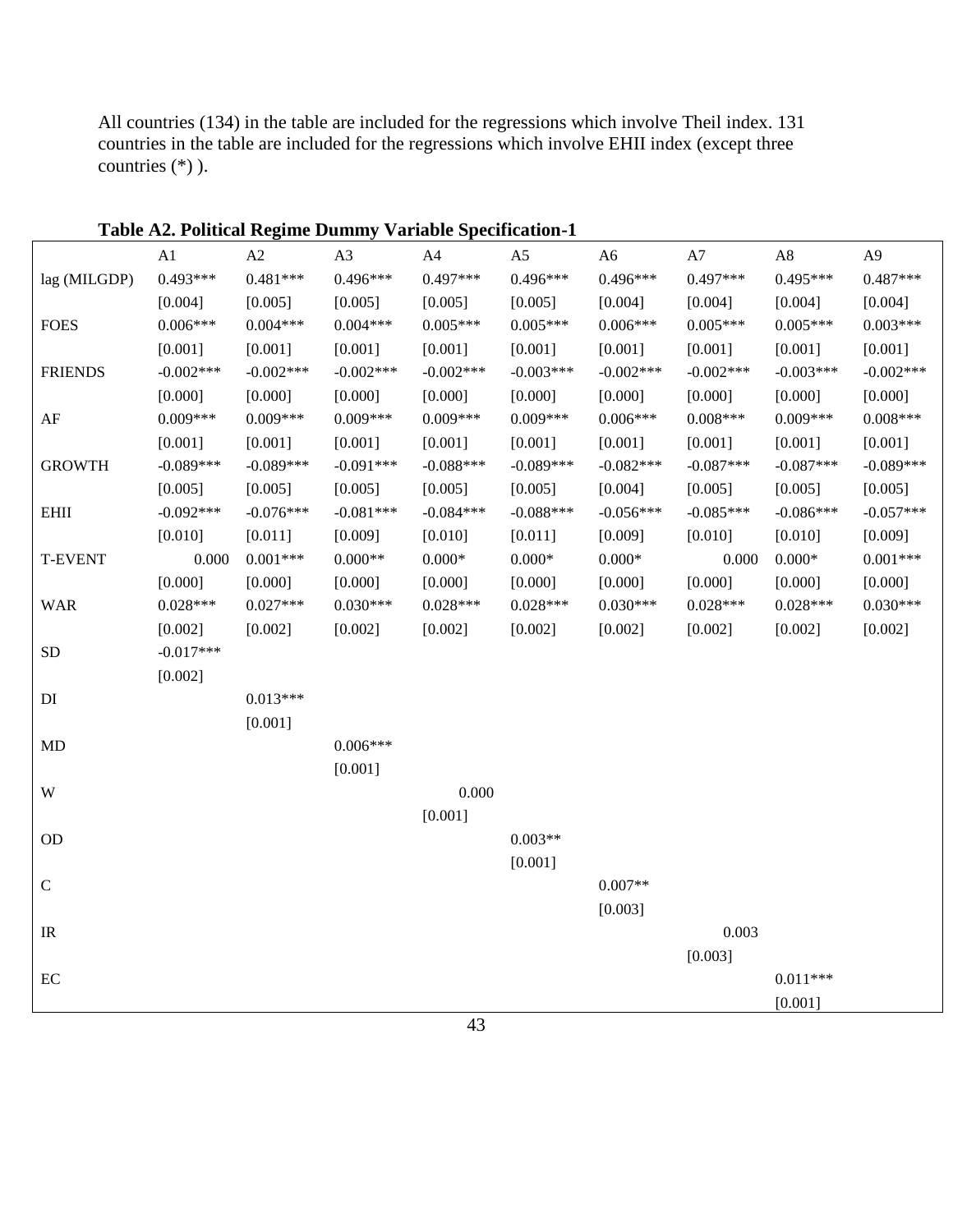All countries (134) in the table are included for the regressions which involve Theil index. 131 countries in the table are included for the regressions which involve EHII index (except three countries (\*) ).

|                   |             |             |             | Table A2. Political Regime Dummy Variable Specification-1 |                |                |             |             |                |
|-------------------|-------------|-------------|-------------|-----------------------------------------------------------|----------------|----------------|-------------|-------------|----------------|
|                   | A1          | A2          | A3          | A4                                                        | A <sub>5</sub> | A <sub>6</sub> | A7          | A8          | A <sub>9</sub> |
| lag (MILGDP)      | $0.493***$  | $0.481***$  | 0.496***    | $0.497***$                                                | $0.496***$     | 0.496***       | $0.497***$  | $0.495***$  | $0.487***$     |
|                   | [0.004]     | [0.005]     | [0.005]     | [0.005]                                                   | [0.005]        | [0.004]        | [0.004]     | [0.004]     | [0.004]        |
| <b>FOES</b>       | $0.006***$  | $0.004***$  | $0.004***$  | $0.005***$                                                | $0.005***$     | $0.006***$     | $0.005***$  | $0.005***$  | $0.003***$     |
|                   | [0.001]     | [0.001]     | [0.001]     | [0.001]                                                   | [0.001]        | [0.001]        | [0.001]     | [0.001]     | [0.001]        |
| <b>FRIENDS</b>    | $-0.002***$ | $-0.002***$ | $-0.002***$ | $-0.002***$                                               | $-0.003***$    | $-0.002***$    | $-0.002***$ | $-0.003***$ | $-0.002***$    |
|                   | [0.000]     | [0.000]     | [0.000]     | [0.000]                                                   | [0.000]        | [0.000]        | [0.000]     | [0.000]     | [0.000]        |
| $\rm AF$          | $0.009***$  | $0.009***$  | $0.009***$  | $0.009***$                                                | $0.009***$     | $0.006***$     | $0.008***$  | 0.009***    | $0.008***$     |
|                   | [0.001]     | [0.001]     | [0.001]     | [0.001]                                                   | [0.001]        | [0.001]        | [0.001]     | [0.001]     | [0.001]        |
| <b>GROWTH</b>     | $-0.089***$ | $-0.089***$ | $-0.091***$ | $-0.088***$                                               | $-0.089***$    | $-0.082***$    | $-0.087***$ | $-0.087***$ | $-0.089***$    |
|                   | [0.005]     | [0.005]     | [0.005]     | [0.005]                                                   | [0.005]        | [0.004]        | [0.005]     | [0.005]     | [0.005]        |
| <b>EHII</b>       | $-0.092***$ | $-0.076***$ | $-0.081***$ | $-0.084***$                                               | $-0.088***$    | $-0.056***$    | $-0.085***$ | $-0.086***$ | $-0.057***$    |
|                   | [0.010]     | [0.011]     | [0.009]     | [0.010]                                                   | [0.011]        | [0.009]        | [0.010]     | [0.010]     | [0.009]        |
| <b>T-EVENT</b>    | 0.000       | $0.001***$  | $0.000**$   | $0.000*$                                                  | $0.000*$       | $0.000*$       | 0.000       | $0.000*$    | $0.001***$     |
|                   | [0.000]     | [0.000]     | [0.000]     | [0.000]                                                   | [0.000]        | [0.000]        | [0.000]     | [0.000]     | [0.000]        |
| <b>WAR</b>        | $0.028***$  | $0.027***$  | $0.030***$  | $0.028***$                                                | $0.028***$     | $0.030***$     | $0.028***$  | $0.028***$  | $0.030***$     |
|                   | [0.002]     | [0.002]     | [0.002]     | [0.002]                                                   | [0.002]        | [0.002]        | [0.002]     | [0.002]     | [0.002]        |
| <b>SD</b>         | $-0.017***$ |             |             |                                                           |                |                |             |             |                |
|                   | [0.002]     |             |             |                                                           |                |                |             |             |                |
| $\mathop{\rm DI}$ |             | $0.013***$  |             |                                                           |                |                |             |             |                |
|                   |             | [0.001]     |             |                                                           |                |                |             |             |                |
| <b>MD</b>         |             |             | $0.006***$  |                                                           |                |                |             |             |                |
|                   |             |             | [0.001]     |                                                           |                |                |             |             |                |
| W                 |             |             |             | 0.000                                                     |                |                |             |             |                |
|                   |             |             |             | [0.001]                                                   |                |                |             |             |                |
| OD                |             |             |             |                                                           | $0.003**$      |                |             |             |                |
|                   |             |             |             |                                                           | [0.001]        |                |             |             |                |
| $\mathsf{C}$      |             |             |             |                                                           |                | $0.007**$      |             |             |                |
|                   |             |             |             |                                                           |                | [0.003]        |             |             |                |
| IR                |             |             |             |                                                           |                |                | 0.003       |             |                |
|                   |             |             |             |                                                           |                |                | [0.003]     |             |                |
| $\rm EC$          |             |             |             |                                                           |                |                |             | $0.011***$  |                |
|                   |             |             |             |                                                           |                |                |             | [0.001]     |                |

**Table A2. Political Regime Dummy Variable Specification-1**

43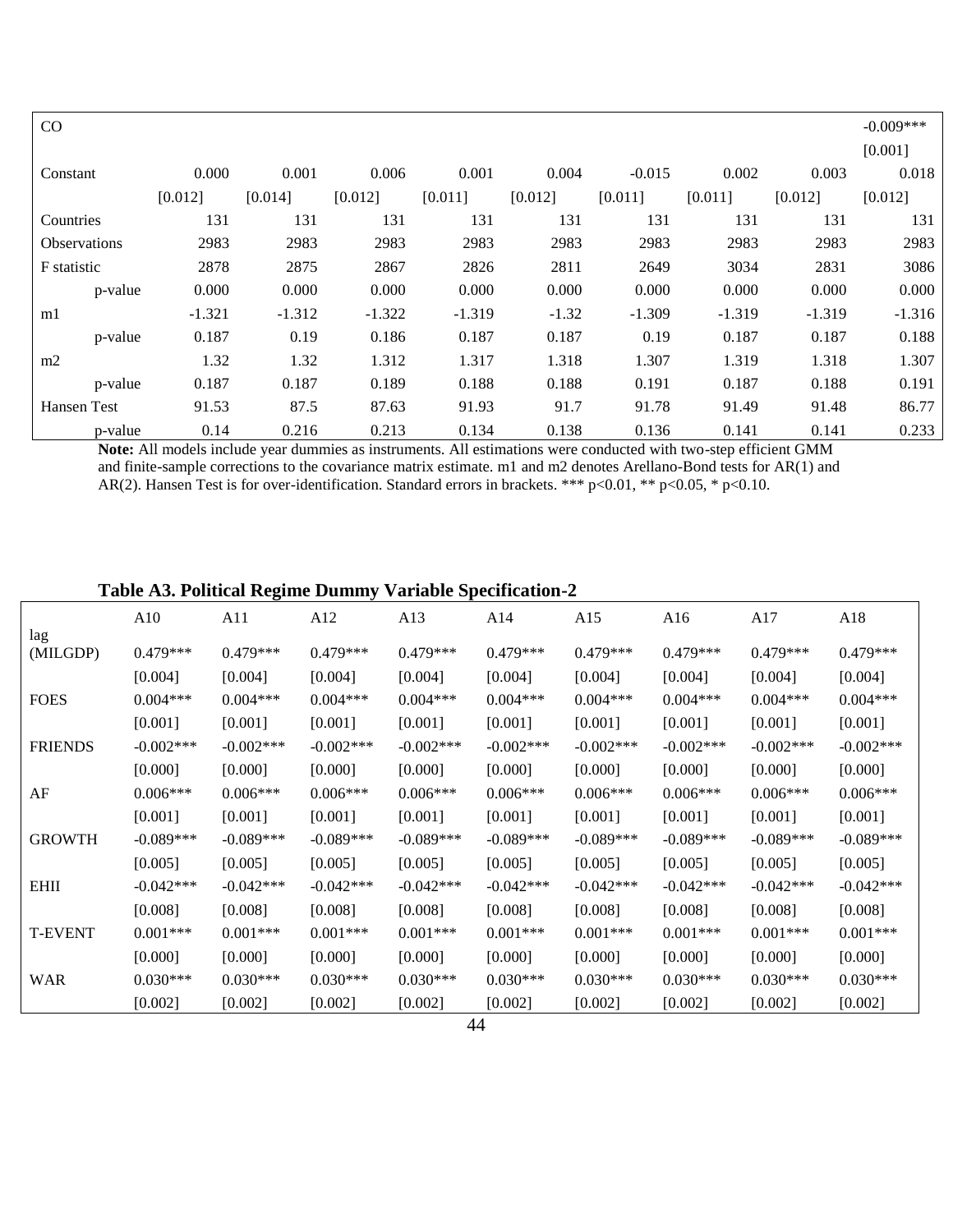| CO                  |          |          |          |          |         |          |          |          | $-0.009***$ |
|---------------------|----------|----------|----------|----------|---------|----------|----------|----------|-------------|
|                     |          |          |          |          |         |          |          |          | [0.001]     |
| Constant            | 0.000    | 0.001    | 0.006    | 0.001    | 0.004   | $-0.015$ | 0.002    | 0.003    | 0.018       |
|                     | [0.012]  | [0.014]  | [0.012]  | [0.011]  | [0.012] | [0.011]  | [0.011]  | [0.012]  | [0.012]     |
| Countries           | 131      | 131      | 131      | 131      | 131     | 131      | 131      | 131      | 131         |
| <b>Observations</b> | 2983     | 2983     | 2983     | 2983     | 2983    | 2983     | 2983     | 2983     | 2983        |
| F statistic         | 2878     | 2875     | 2867     | 2826     | 2811    | 2649     | 3034     | 2831     | 3086        |
| p-value             | 0.000    | 0.000    | 0.000    | 0.000    | 0.000   | 0.000    | 0.000    | 0.000    | 0.000       |
| m1                  | $-1.321$ | $-1.312$ | $-1.322$ | $-1.319$ | $-1.32$ | $-1.309$ | $-1.319$ | $-1.319$ | $-1.316$    |
| p-value             | 0.187    | 0.19     | 0.186    | 0.187    | 0.187   | 0.19     | 0.187    | 0.187    | 0.188       |
| m2                  | 1.32     | 1.32     | 1.312    | 1.317    | 1.318   | 1.307    | 1.319    | 1.318    | 1.307       |
| p-value             | 0.187    | 0.187    | 0.189    | 0.188    | 0.188   | 0.191    | 0.187    | 0.188    | 0.191       |
| Hansen Test         | 91.53    | 87.5     | 87.63    | 91.93    | 91.7    | 91.78    | 91.49    | 91.48    | 86.77       |
| p-value             | 0.14     | 0.216    | 0.213    | 0.134    | 0.138   | 0.136    | 0.141    | 0.141    | 0.233       |

**Note:** All models include year dummies as instruments. All estimations were conducted with two-step efficient GMM and finite-sample corrections to the covariance matrix estimate. m1 and m2 denotes Arellano-Bond tests for AR(1) and AR(2). Hansen Test is for over-identification. Standard errors in brackets. \*\*\* p<0.01, \*\* p<0.05, \* p<0.10.

# **Table A3. Political Regime Dummy Variable Specification-2**

| lag<br>$0.479***$<br>(MILGDP)<br>[0.004] | $0.479***$<br>[0.004]<br>$0.004***$ | $0.479***$<br>[0.004]<br>$0.004***$ | $0.479***$<br>[0.004] | $0.479***$<br>[0.004] | $0.479***$   | $0.479***$   | $0.479***$   | $0.479***$   |
|------------------------------------------|-------------------------------------|-------------------------------------|-----------------------|-----------------------|--------------|--------------|--------------|--------------|
|                                          |                                     |                                     |                       |                       |              |              |              |              |
|                                          |                                     |                                     |                       |                       |              |              |              |              |
|                                          |                                     |                                     |                       |                       | [0.004]      | [0.004]      | [0.004]      | [0.004]      |
| <b>FOES</b><br>$0.004***$                |                                     |                                     | $0.004***$            | $0.004***$            | $0.004***$   | $0.004***$   | $0.004***$   | $0.004***$   |
| [0.001]                                  | [0.001]                             | [0.001]                             | [0.001]               | [0.001]               | [0.001]      | [0.001]      | [0.001]      | [0.001]      |
| <b>FRIENDS</b><br>$-0.002$ ***           | $-0.002$ ***                        | $-0.002$ ***                        | $-0.002$ ***          | $-0.002$ ***          | $-0.002$ *** | $-0.002$ *** | $-0.002$ *** | $-0.002$ *** |
| [0.000]                                  | [0.000]                             | [0.000]                             | [0.000]               | [0.000]               | [0.000]      | [0.000]      | [0.000]      | [0.000]      |
| AF<br>$0.006***$                         | $0.006***$                          | $0.006***$                          | $0.006***$            | $0.006***$            | $0.006***$   | $0.006***$   | $0.006***$   | $0.006***$   |
| [0.001]                                  | [0.001]                             | [0.001]                             | [0.001]               | [0.001]               | [0.001]      | [0.001]      | [0.001]      | [0.001]      |
| <b>GROWTH</b><br>$-0.089***$             | $-0.089***$                         | $-0.089***$                         | $-0.089***$           | $-0.089***$           | $-0.089***$  | $-0.089***$  | $-0.089***$  | $-0.089***$  |
| [0.005]                                  | [0.005]                             | [0.005]                             | [0.005]               | [0.005]               | [0.005]      | [0.005]      | [0.005]      | [0.005]      |
| <b>EHII</b><br>$-0.042***$               | $-0.042***$                         | $-0.042***$                         | $-0.042***$           | $-0.042***$           | $-0.042***$  | $-0.042***$  | $-0.042***$  | $-0.042***$  |
| [0.008]                                  | [0.008]                             | [0.008]                             | [0.008]               | [0.008]               | [0.008]      | [0.008]      | [0.008]      | [0.008]      |
| <b>T-EVENT</b><br>$0.001***$             | $0.001***$                          | $0.001***$                          | $0.001***$            | $0.001***$            | $0.001***$   | $0.001***$   | $0.001***$   | $0.001***$   |
| [0.000]                                  | [0.000]                             | [0.000]                             | [0.000]               | [0.000]               | [0.000]      | [0.000]      | [0.000]      | [0.000]      |
| <b>WAR</b><br>$0.030***$                 | $0.030***$                          | $0.030***$                          | $0.030***$            | $0.030***$            | $0.030***$   | $0.030***$   | $0.030***$   | $0.030***$   |
| [0.002]                                  | [0.002]                             | [0.002]                             | [0.002]               | [0.002]               | [0.002]      | [0.002]      | [0.002]      | [0.002]      |